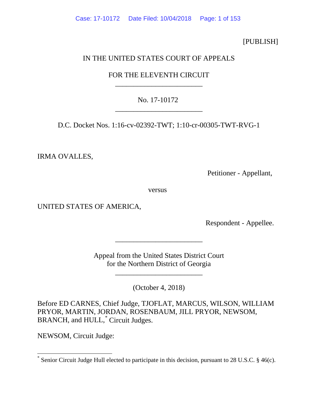[PUBLISH]

# IN THE UNITED STATES COURT OF APPEALS

# FOR THE ELEVENTH CIRCUIT \_\_\_\_\_\_\_\_\_\_\_\_\_\_\_\_\_\_\_\_\_\_\_\_

# No. 17-10172 \_\_\_\_\_\_\_\_\_\_\_\_\_\_\_\_\_\_\_\_\_\_\_\_

D.C. Docket Nos. 1:16-cv-02392-TWT; 1:10-cr-00305-TWT-RVG-1

IRMA OVALLES,

Petitioner - Appellant,

versus

UNITED STATES OF AMERICA,

Respondent - Appellee.

Appeal from the United States District Court for the Northern District of Georgia

\_\_\_\_\_\_\_\_\_\_\_\_\_\_\_\_\_\_\_\_\_\_\_\_

\_\_\_\_\_\_\_\_\_\_\_\_\_\_\_\_\_\_\_\_\_\_\_\_

(October 4, 2018)

Before ED CARNES, Chief Judge, TJOFLAT, MARCUS, WILSON, WILLIAM PRYOR, MARTIN, JORDAN, ROSENBAUM, JILL PRYOR, NEWSOM, BRANCH, and HULL,<sup>[\\*](#page-0-0)</sup> Circuit Judges.

NEWSOM, Circuit Judge:

<span id="page-0-0"></span>Senior Circuit Judge Hull elected to participate in this decision, pursuant to [28 U.S.C. § 46\(c\).](https://1.next.westlaw.com/Link/Document/FullText?findType=L&pubNum=1000546&cite=28USCAS46&originatingDoc=I7a718d30f12c11ddb6a3a099756c05b7&refType=RB&originationContext=document&transitionType=DocumentItem&contextData=(sc.UserEnteredCitation)#co_pp_4b24000003ba5)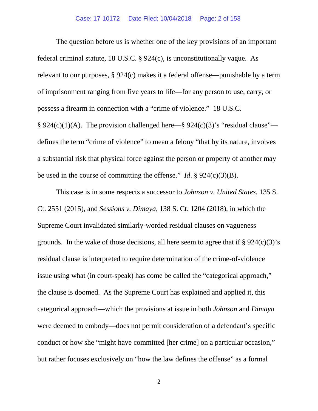The question before us is whether one of the key provisions of an important federal criminal statute, 18 U.S.C. § 924(c), is unconstitutionally vague. As relevant to our purposes, § 924(c) makes it a federal offense—punishable by a term of imprisonment ranging from five years to life—for any person to use, carry, or possess a firearm in connection with a "crime of violence." 18 U.S.C.  $\S 924(c)(1)(A)$ . The provision challenged here— $\S 924(c)(3)$ 's "residual clause" defines the term "crime of violence" to mean a felony "that by its nature, involves a substantial risk that physical force against the person or property of another may be used in the course of committing the offense." *Id*. § 924(c)(3)(B).

This case is in some respects a successor to *Johnson v. United States*, 135 S. Ct. 2551 (2015), and *Sessions v. Dimaya*, 138 S. Ct. 1204 (2018), in which the Supreme Court invalidated similarly-worded residual clauses on vagueness grounds. In the wake of those decisions, all here seem to agree that if  $\S 924(c)(3)$ 's residual clause is interpreted to require determination of the crime-of-violence issue using what (in court-speak) has come be called the "categorical approach," the clause is doomed. As the Supreme Court has explained and applied it, this categorical approach—which the provisions at issue in both *Johnson* and *Dimaya* were deemed to embody—does not permit consideration of a defendant's specific conduct or how she "might have committed [her crime] on a particular occasion," but rather focuses exclusively on "how the law defines the offense" as a formal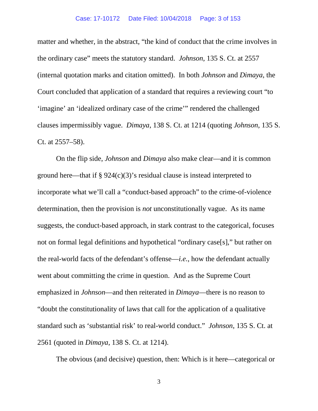matter and whether, in the abstract, "the kind of conduct that the crime involves in the ordinary case" meets the statutory standard. *Johnson*, 135 S. Ct. at 2557 (internal quotation marks and citation omitted). In both *Johnson* and *Dimaya*, the Court concluded that application of a standard that requires a reviewing court "to 'imagine' an 'idealized ordinary case of the crime'" rendered the challenged clauses impermissibly vague. *Dimaya*, 138 S. Ct. at 1214 (quoting *Johnson*, 135 S. Ct. at 2557–58).

On the flip side, *Johnson* and *Dimaya* also make clear—and it is common ground here—that if  $\S 924(c)(3)'$  residual clause is instead interpreted to incorporate what we'll call a "conduct-based approach" to the crime-of-violence determination, then the provision is *not* unconstitutionally vague. As its name suggests, the conduct-based approach, in stark contrast to the categorical, focuses not on formal legal definitions and hypothetical "ordinary case[s]," but rather on the real-world facts of the defendant's offense—*i.e.*, how the defendant actually went about committing the crime in question. And as the Supreme Court emphasized in *Johnson*—and then reiterated in *Dimaya*—there is no reason to "doubt the constitutionality of laws that call for the application of a qualitative standard such as 'substantial risk' to real-world conduct." *Johnson*, 135 S. Ct. at 2561 (quoted in *Dimaya*, 138 S. Ct. at 1214).

The obvious (and decisive) question, then: Which is it here—categorical or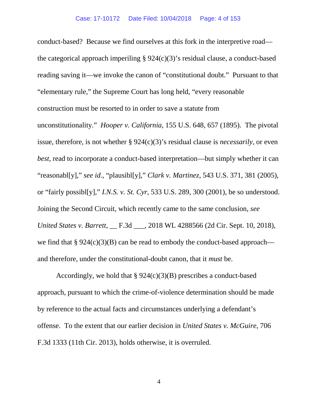conduct-based? Because we find ourselves at this fork in the interpretive road the categorical approach imperiling  $\S 924(c)(3)$ 's residual clause, a conduct-based reading saving it—we invoke the canon of "constitutional doubt." Pursuant to that "elementary rule," the Supreme Court has long held, "every reasonable construction must be resorted to in order to save a statute from unconstitutionality." *Hooper v. California*, 155 U.S. 648, 657 (1895). The pivotal issue, therefore, is not whether § 924(c)(3)'s residual clause is *necessarily*, or even *best*, read to incorporate a conduct-based interpretation—but simply whether it can "reasonabl[y]," *see id*., "plausibl[y]," *Clark v. Martinez*, 543 U.S. 371, 381 (2005), or "fairly possibl[y]," *I.N.S. v. St. Cyr*, 533 U.S. 289, 300 (2001), be so understood. Joining the Second Circuit, which recently came to the same conclusion, *see United States v. Barrett*, \_\_ F.3d \_\_\_, 2018 WL 4288566 (2d Cir. Sept. 10, 2018), we find that  $\S 924(c)(3)(B)$  can be read to embody the conduct-based approach and therefore, under the constitutional-doubt canon, that it *must* be.

Accordingly, we hold that § 924(c)(3)(B) prescribes a conduct-based approach, pursuant to which the crime-of-violence determination should be made by reference to the actual facts and circumstances underlying a defendant's offense. To the extent that our earlier decision in *United States v. McGuire*, 706 F.3d 1333 (11th Cir. 2013), holds otherwise, it is overruled.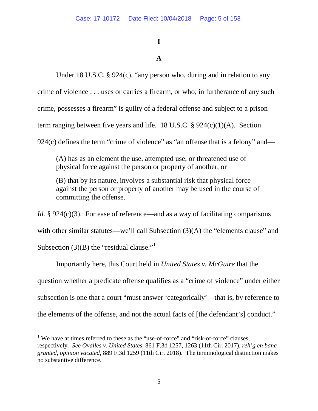# **I**

# **A**

Under 18 U.S.C. § 924(c), "any person who, during and in relation to any crime of violence . . . uses or carries a firearm, or who, in furtherance of any such crime, possesses a firearm" is guilty of a federal offense and subject to a prison term ranging between five years and life. 18 U.S.C.  $\S$  924(c)(1)(A). Section 924(c) defines the term "crime of violence" as "an offense that is a felony" and—

(A) has as an element the use, attempted use, or threatened use of physical force against the person or property of another, or

(B) that by its nature, involves a substantial risk that physical force against the person or property of another may be used in the course of committing the offense.

*Id.* § 924(c)(3). For ease of reference—and as a way of facilitating comparisons

with other similar statutes—we'll call Subsection (3)(A) the "elements clause" and

Subsection (3)(B) the "residual clause." $1$ 

Importantly here, this Court held in *United States v. McGuire* that the question whether a predicate offense qualifies as a "crime of violence" under either subsection is one that a court "must answer 'categorically'—that is, by reference to the elements of the offense, and not the actual facts of [the defendant's] conduct."

<span id="page-4-0"></span><sup>&</sup>lt;sup>1</sup> We have at times referred to these as the "use-of-force" and "risk-of-force" clauses, respectively. *See Ovalles v. United States*, 861 F.3d 1257, 1263 (11th Cir. 2017), *reh'g en banc granted, opinion vacated*, 889 F.3d 1259 (11th Cir. 2018). The terminological distinction makes no substantive difference.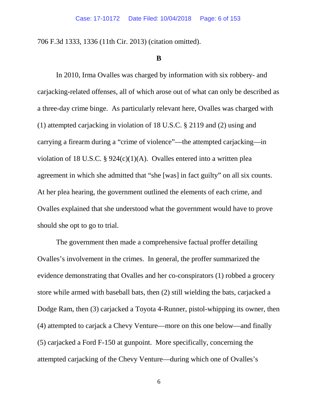706 F.3d 1333, 1336 (11th Cir. 2013) (citation omitted).

#### **B**

In 2010, Irma Ovalles was charged by information with six robbery- and carjacking-related offenses, all of which arose out of what can only be described as a three-day crime binge. As particularly relevant here, Ovalles was charged with (1) attempted carjacking in violation of 18 U.S.C. § 2119 and (2) using and carrying a firearm during a "crime of violence"—the attempted carjacking—in violation of 18 U.S.C. § 924(c)(1)(A). Ovalles entered into a written plea agreement in which she admitted that "she [was] in fact guilty" on all six counts. At her plea hearing, the government outlined the elements of each crime, and Ovalles explained that she understood what the government would have to prove should she opt to go to trial.

The government then made a comprehensive factual proffer detailing Ovalles's involvement in the crimes. In general, the proffer summarized the evidence demonstrating that Ovalles and her co-conspirators (1) robbed a grocery store while armed with baseball bats, then (2) still wielding the bats, carjacked a Dodge Ram, then (3) carjacked a Toyota 4-Runner, pistol-whipping its owner, then (4) attempted to carjack a Chevy Venture—more on this one below—and finally (5) carjacked a Ford F-150 at gunpoint. More specifically, concerning the attempted carjacking of the Chevy Venture—during which one of Ovalles's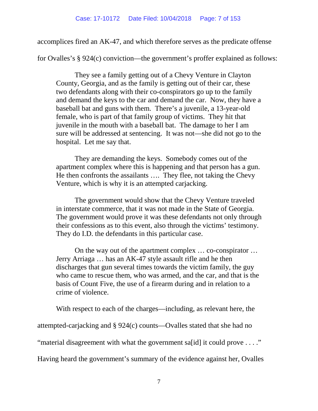accomplices fired an AK-47, and which therefore serves as the predicate offense

for Ovalles's § 924(c) conviction—the government's proffer explained as follows:

They see a family getting out of a Chevy Venture in Clayton County, Georgia, and as the family is getting out of their car, these two defendants along with their co-conspirators go up to the family and demand the keys to the car and demand the car. Now, they have a baseball bat and guns with them. There's a juvenile, a 13-year-old female, who is part of that family group of victims. They hit that juvenile in the mouth with a baseball bat. The damage to her I am sure will be addressed at sentencing. It was not—she did not go to the hospital. Let me say that.

They are demanding the keys. Somebody comes out of the apartment complex where this is happening and that person has a gun. He then confronts the assailants …. They flee, not taking the Chevy Venture, which is why it is an attempted carjacking.

The government would show that the Chevy Venture traveled in interstate commerce, that it was not made in the State of Georgia. The government would prove it was these defendants not only through their confessions as to this event, also through the victims' testimony. They do I.D. the defendants in this particular case.

On the way out of the apartment complex … co-conspirator … Jerry Arriaga … has an AK-47 style assault rifle and he then discharges that gun several times towards the victim family, the guy who came to rescue them, who was armed, and the car, and that is the basis of Count Five, the use of a firearm during and in relation to a crime of violence.

With respect to each of the charges—including, as relevant here, the

attempted-carjacking and § 924(c) counts—Ovalles stated that she had no

"material disagreement with what the government sa[id] it could prove . . . ."

Having heard the government's summary of the evidence against her, Ovalles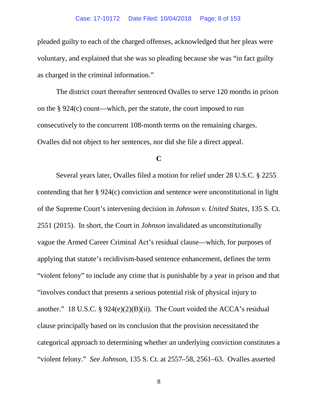#### Case: 17-10172 Date Filed: 10/04/2018 Page: 8 of 153

pleaded guilty to each of the charged offenses, acknowledged that her pleas were voluntary, and explained that she was so pleading because she was "in fact guilty as charged in the criminal information."

The district court thereafter sentenced Ovalles to serve 120 months in prison on the § 924(c) count—which, per the statute, the court imposed to run consecutively to the concurrent 108-month terms on the remaining charges. Ovalles did not object to her sentences, nor did she file a direct appeal.

### **C**

Several years later, Ovalles filed a motion for relief under 28 U.S.C. § 2255 contending that her § 924(c) conviction and sentence were unconstitutional in light of the Supreme Court's intervening decision in *Johnson v. United States*, 135 S. Ct. 2551 (2015). In short, the Court in *Johnson* invalidated as unconstitutionally vague the Armed Career Criminal Act's residual clause—which, for purposes of applying that statute's recidivism-based sentence enhancement, defines the term "violent felony" to include any crime that is punishable by a year in prison and that "involves conduct that presents a serious potential risk of physical injury to another." 18 U.S.C.  $\S 924(e)(2)(B)(ii)$ . The Court voided the ACCA's residual clause principally based on its conclusion that the provision necessitated the categorical approach to determining whether an underlying conviction constitutes a "violent felony." *See Johnson*, 135 S. Ct. at 2557–58, 2561–63. Ovalles asserted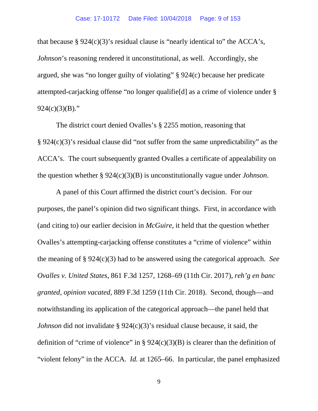that because §  $924(c)(3)$ 's residual clause is "nearly identical to" the ACCA's, *Johnson*'s reasoning rendered it unconstitutional, as well. Accordingly, she argued, she was "no longer guilty of violating" § 924(c) because her predicate attempted-carjacking offense "no longer qualifie[d] as a crime of violence under §  $924(c)(3)(B)$ ."

The district court denied Ovalles's § 2255 motion, reasoning that § 924(c)(3)'s residual clause did "not suffer from the same unpredictability" as the ACCA's. The court subsequently granted Ovalles a certificate of appealability on the question whether § 924(c)(3)(B) is unconstitutionally vague under *Johnson*.

A panel of this Court affirmed the district court's decision. For our purposes, the panel's opinion did two significant things. First, in accordance with (and citing to) our earlier decision in *McGuire*, it held that the question whether Ovalles's attempting-carjacking offense constitutes a "crime of violence" within the meaning of § 924(c)(3) had to be answered using the categorical approach. *See Ovalles v. United States*, 861 F.3d 1257, 1268–69 (11th Cir. 2017), *reh'g en banc granted, opinion vacated*, 889 F.3d 1259 (11th Cir. 2018). Second, though—and notwithstanding its application of the categorical approach—the panel held that *Johnson* did not invalidate § 924(c)(3)'s residual clause because, it said, the definition of "crime of violence" in §  $924(c)(3)(B)$  is clearer than the definition of "violent felony" in the ACCA. *Id.* at 1265–66. In particular, the panel emphasized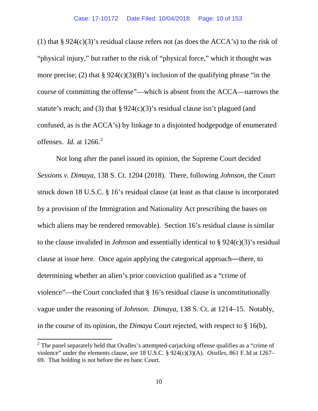(1) that  $\S 924(c)(3)$ 's residual clause refers not (as does the ACCA's) to the risk of "physical injury," but rather to the risk of "physical force," which it thought was more precise; (2) that  $\S 924(c)(3)(B)$ 's inclusion of the qualifying phrase "in the course of committing the offense"—which is absent from the ACCA—narrows the statute's reach; and (3) that  $\S 924(c)(3)$ 's residual clause isn't plagued (and confused, as is the ACCA's) by linkage to a disjointed hodgepodge of enumerated offenses. *Id.* at 1266. [2](#page-9-0)

Not long after the panel issued its opinion, the Supreme Court decided *Sessions v. Dimaya*, 138 S. Ct. 1204 (2018). There, following *Johnson*, the Court struck down 18 U.S.C. § 16's residual clause (at least as that clause is incorporated by a provision of the Immigration and Nationality Act prescribing the bases on which aliens may be rendered removable). Section 16's residual clause is similar to the clause invalided in *Johnson* and essentially identical to § 924(c)(3)'s residual clause at issue here. Once again applying the categorical approach―there, to determining whether an alien's prior conviction qualified as a "crime of violence"—the Court concluded that § 16's residual clause is unconstitutionally vague under the reasoning of *Johnson*. *Dimaya*, 138 S. Ct. at 1214–15. Notably, in the course of its opinion, the *Dimaya* Court rejected, with respect to § 16(b),

<span id="page-9-0"></span> $2$  The panel separately held that Ovalles's attempted-carjacking offense qualifies as a "crime of violence" under the elements clause, *see* 18 U.S.C. § 924(c)(3)(A). *Ovalles*, 861 F.3d at 1267– 69. That holding is not before the en banc Court.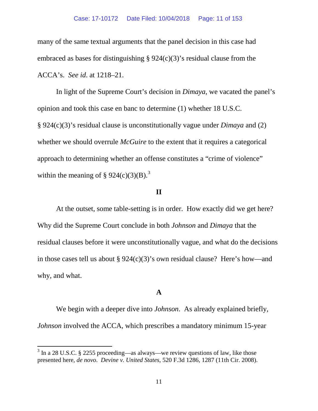many of the same textual arguments that the panel decision in this case had embraced as bases for distinguishing  $\S 924(c)(3)$ 's residual clause from the ACCA's. *See id*. at 1218–21.

In light of the Supreme Court's decision in *Dimaya*, we vacated the panel's opinion and took this case en banc to determine (1) whether 18 U.S.C. § 924(c)(3)'s residual clause is unconstitutionally vague under *Dimaya* and (2) whether we should overrule *McGuire* to the extent that it requires a categorical approach to determining whether an offense constitutes a "crime of violence" within the meaning of § 924(c)([3](#page-10-0))(B).<sup>3</sup>

## **II**

At the outset, some table-setting is in order. How exactly did we get here? Why did the Supreme Court conclude in both *Johnson* and *Dimaya* that the residual clauses before it were unconstitutionally vague, and what do the decisions in those cases tell us about § 924(c)(3)'s own residual clause? Here's how—and why, and what.

## **A**

We begin with a deeper dive into *Johnson*. As already explained briefly, *Johnson* involved the ACCA, which prescribes a mandatory minimum 15-year

<span id="page-10-0"></span> $3 \text{ In a } 28 \text{ U.S.C. }$  \$ 2255 proceeding—as always—we review questions of law, like those presented here, *de novo*. *Devine v. United States*, 520 F.3d 1286, 1287 (11th Cir. 2008).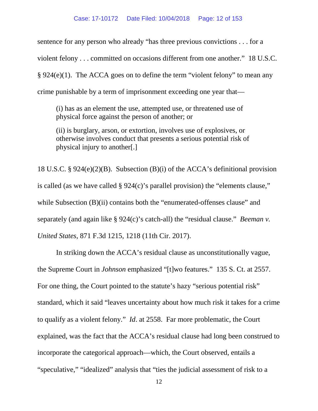sentence for any person who already "has three previous convictions . . . for a violent felony . . . committed on occasions different from one another." 18 U.S.C. § 924(e)(1). The ACCA goes on to define the term "violent felony" to mean any crime punishable by a term of imprisonment exceeding one year that—

(i) has as an element the use, attempted use, or threatened use of physical force against the person of another; or

(ii) is burglary, arson, or extortion, involves use of explosives, or otherwise involves conduct that presents a serious potential risk of physical injury to another[.]

18 U.S.C. § 924(e)(2)(B). Subsection (B)(i) of the ACCA's definitional provision is called (as we have called § 924(c)'s parallel provision) the "elements clause," while Subsection (B)(ii) contains both the "enumerated-offenses clause" and separately (and again like § 924(c)'s catch-all) the "residual clause." *Beeman v. United States*, 871 F.3d 1215, 1218 (11th Cir. 2017).

In striking down the ACCA's residual clause as unconstitutionally vague, the Supreme Court in *Johnson* emphasized "[t]wo features." 135 S. Ct. at 2557. For one thing, the Court pointed to the statute's hazy "serious potential risk" standard, which it said "leaves uncertainty about how much risk it takes for a crime to qualify as a violent felony." *Id*. at 2558. Far more problematic, the Court explained, was the fact that the ACCA's residual clause had long been construed to incorporate the categorical approach—which, the Court observed, entails a "speculative," "idealized" analysis that "ties the judicial assessment of risk to a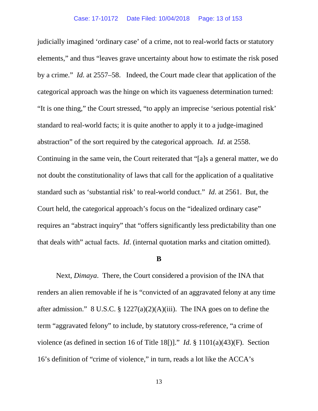judicially imagined 'ordinary case' of a crime, not to real-world facts or statutory elements," and thus "leaves grave uncertainty about how to estimate the risk posed by a crime." *Id.* at 2557–58. Indeed, the Court made clear that application of the categorical approach was the hinge on which its vagueness determination turned: "It is one thing," the Court stressed, "to apply an imprecise 'serious potential risk' standard to real-world facts; it is quite another to apply it to a judge-imagined abstraction" of the sort required by the categorical approach. *Id*. at 2558. Continuing in the same vein, the Court reiterated that "[a]s a general matter, we do not doubt the constitutionality of laws that call for the application of a qualitative standard such as 'substantial risk' to real-world conduct." *Id*. at 2561. But, the Court held, the categorical approach's focus on the "idealized ordinary case" requires an "abstract inquiry" that "offers significantly less predictability than one that deals with" actual facts. *Id*. (internal quotation marks and citation omitted).

#### **B**

Next, *Dimaya*. There, the Court considered a provision of the INA that renders an alien removable if he is "convicted of an aggravated felony at any time after admission." 8 U.S.C. § 1227(a)(2)(A)(iii). The INA goes on to define the term "aggravated felony" to include, by statutory cross-reference, "a crime of violence (as defined in section 16 of Title 18[)]." *Id*. § 1101(a)(43)(F). Section 16's definition of "crime of violence," in turn, reads a lot like the ACCA's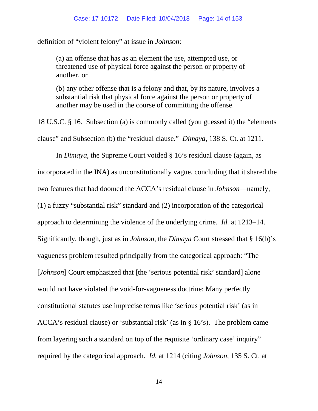definition of "violent felony" at issue in *Johnson*:

(a) an offense that has as an element the use, attempted use, or threatened use of physical force against the person or property of another, or

(b) any other offense that is a felony and that, by its nature, involves a substantial risk that physical force against the person or property of another may be used in the course of committing the offense.

18 U.S.C. § 16. Subsection (a) is commonly called (you guessed it) the "elements clause" and Subsection (b) the "residual clause." *Dimaya*, 138 S. Ct. at 1211.

In *Dimaya*, the Supreme Court voided § 16's residual clause (again, as incorporated in the INA) as unconstitutionally vague, concluding that it shared the two features that had doomed the ACCA's residual clause in *Johnson*―namely, (1) a fuzzy "substantial risk" standard and (2) incorporation of the categorical approach to determining the violence of the underlying crime. *Id.* at 1213–14. Significantly, though, just as in *Johnson*, the *Dimaya* Court stressed that § 16(b)'s vagueness problem resulted principally from the categorical approach: "The [*Johnson*] Court emphasized that [the 'serious potential risk' standard] alone would not have violated the void-for-vagueness doctrine: Many perfectly constitutional statutes use imprecise terms like 'serious potential risk' (as in ACCA's residual clause) or 'substantial risk' (as in § 16's). The problem came from layering such a standard on top of the requisite 'ordinary case' inquiry" required by the categorical approach. *Id.* at 1214 (citing *Johnson*, 135 S. Ct. at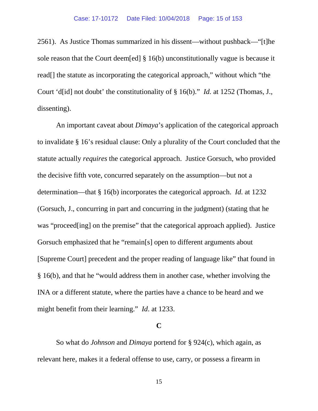2561). As Justice Thomas summarized in his dissent—without pushback—"[t]he sole reason that the Court deem[ed] § 16(b) unconstitutionally vague is because it read[] the statute as incorporating the categorical approach," without which "the Court 'd[id] not doubt' the constitutionality of § 16(b)." *Id.* at 1252 (Thomas, J., dissenting).

An important caveat about *Dimaya*'s application of the categorical approach to invalidate § 16's residual clause: Only a plurality of the Court concluded that the statute actually *requires* the categorical approach. Justice Gorsuch, who provided the decisive fifth vote, concurred separately on the assumption—but not a determination—that § 16(b) incorporates the categorical approach. *Id.* at 1232 (Gorsuch, J., concurring in part and concurring in the judgment) (stating that he was "proceed[ing] on the premise" that the categorical approach applied). Justice Gorsuch emphasized that he "remain[s] open to different arguments about [Supreme Court] precedent and the proper reading of language like" that found in § 16(b), and that he "would address them in another case, whether involving the INA or a different statute, where the parties have a chance to be heard and we might benefit from their learning." *Id*. at 1233.

### **C**

So what do *Johnson* and *Dimaya* portend for § 924(c), which again, as relevant here, makes it a federal offense to use, carry, or possess a firearm in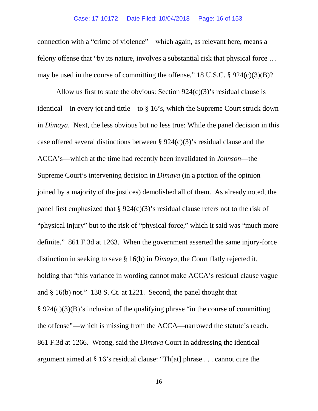connection with a "crime of violence"―which again, as relevant here, means a felony offense that "by its nature, involves a substantial risk that physical force … may be used in the course of committing the offense," 18 U.S.C. § 924(c)(3)(B)?

Allow us first to state the obvious: Section  $924(c)(3)$ 's residual clause is identical—in every jot and tittle—to § 16's, which the Supreme Court struck down in *Dimaya*. Next, the less obvious but no less true: While the panel decision in this case offered several distinctions between § 924(c)(3)'s residual clause and the ACCA's—which at the time had recently been invalidated in *Johnson*—the Supreme Court's intervening decision in *Dimaya* (in a portion of the opinion joined by a majority of the justices) demolished all of them. As already noted, the panel first emphasized that  $\S 924(c)(3)$ 's residual clause refers not to the risk of "physical injury" but to the risk of "physical force," which it said was "much more definite." 861 F.3d at 1263. When the government asserted the same injury-force distinction in seeking to save § 16(b) in *Dimaya*, the Court flatly rejected it, holding that "this variance in wording cannot make ACCA's residual clause vague and § 16(b) not." 138 S. Ct. at 1221. Second, the panel thought that  $\S 924(c)(3)(B)$ 's inclusion of the qualifying phrase "in the course of committing the offense"—which is missing from the ACCA—narrowed the statute's reach. 861 F.3d at 1266. Wrong, said the *Dimaya* Court in addressing the identical argument aimed at § 16's residual clause: "Th[at] phrase . . . cannot cure the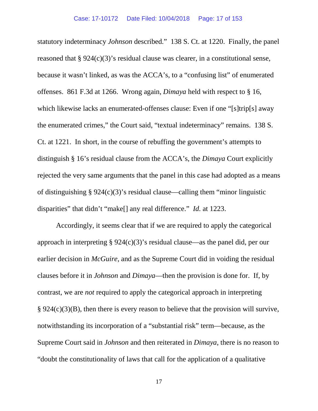statutory indeterminacy *Johnson* described." 138 S. Ct. at 1220. Finally, the panel reasoned that  $\S 924(c)(3)$ 's residual clause was clearer, in a constitutional sense, because it wasn't linked, as was the ACCA's, to a "confusing list" of enumerated offenses. 861 F.3d at 1266. Wrong again, *Dimaya* held with respect to § 16, which likewise lacks an enumerated-offenses clause: Even if one "[s]trip[s] away the enumerated crimes," the Court said, "textual indeterminacy" remains. 138 S. Ct. at 1221. In short, in the course of rebuffing the government's attempts to distinguish § 16's residual clause from the ACCA's, the *Dimaya* Court explicitly rejected the very same arguments that the panel in this case had adopted as a means of distinguishing  $\S 924(c)(3)$ 's residual clause—calling them "minor linguistic disparities" that didn't "make[] any real difference." *Id.* at 1223.

Accordingly, it seems clear that if we are required to apply the categorical approach in interpreting  $\S 924(c)(3)$ 's residual clause—as the panel did, per our earlier decision in *McGuire*, and as the Supreme Court did in voiding the residual clauses before it in *Johnson* and *Dimaya*—then the provision is done for. If, by contrast, we are *not* required to apply the categorical approach in interpreting  $\S 924(c)(3)(B)$ , then there is every reason to believe that the provision will survive, notwithstanding its incorporation of a "substantial risk" term—because, as the Supreme Court said in *Johnson* and then reiterated in *Dimaya*, there is no reason to "doubt the constitutionality of laws that call for the application of a qualitative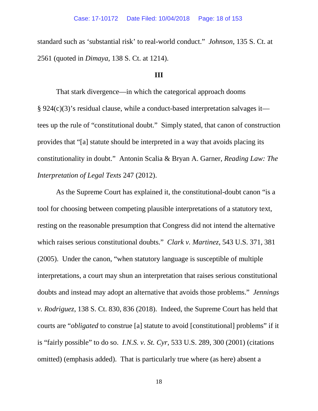standard such as 'substantial risk' to real-world conduct." *Johnson*, 135 S. Ct. at 2561 (quoted in *Dimaya*, 138 S. Ct. at 1214).

### **III**

That stark divergence—in which the categorical approach dooms § 924(c)(3)'s residual clause, while a conduct-based interpretation salvages it tees up the rule of "constitutional doubt." Simply stated, that canon of construction provides that "[a] statute should be interpreted in a way that avoids placing its constitutionality in doubt." Antonin Scalia & Bryan A. Garner, *Reading Law: The Interpretation of Legal Texts* 247 (2012).

As the Supreme Court has explained it, the constitutional-doubt canon "is a tool for choosing between competing plausible interpretations of a statutory text, resting on the reasonable presumption that Congress did not intend the alternative which raises serious constitutional doubts." *Clark v. Martinez*, 543 U.S. 371, 381 (2005). Under the canon, "when statutory language is susceptible of multiple interpretations, a court may shun an interpretation that raises serious constitutional doubts and instead may adopt an alternative that avoids those problems." *Jennings v. Rodriguez*, 138 S. Ct. 830, 836 (2018). Indeed, the Supreme Court has held that courts are "*obligated* to construe [a] statute to avoid [constitutional] problems" if it is "fairly possible" to do so. *I.N.S. v. St. Cyr*, 533 U.S. 289, 300 (2001) (citations omitted) (emphasis added). That is particularly true where (as here) absent a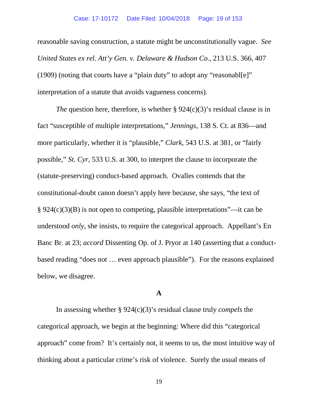reasonable saving construction, a statute might be unconstitutionally vague. *See United States ex rel. Att'y Gen. v. Delaware & Hudson Co.*, 213 U.S. 366, 407 (1909) (noting that courts have a "plain duty" to adopt any "reasonabl[e]" interpretation of a statute that avoids vagueness concerns).

*The* question here, therefore, is whether § 924(c)(3)'s residual clause is in fact "susceptible of multiple interpretations," *Jennings*, 138 S. Ct. at 836—and more particularly, whether it is "plausible," *Clark*, 543 U.S. at 381, or "fairly possible," *St. Cyr*, 533 U.S. at 300, to interpret the clause to incorporate the (statute-preserving) conduct-based approach. Ovalles contends that the constitutional-doubt canon doesn't apply here because, she says, "the text of § 924(c)(3)(B) is not open to competing, plausible interpretations"—it can be understood *only*, she insists, to require the categorical approach. Appellant's En Banc Br. at 23; *accord* Dissenting Op. of J. Pryor at 140 (asserting that a conductbased reading "does not … even approach plausible"). For the reasons explained below, we disagree.

### **A**

In assessing whether § 924(c)(3)'s residual clause truly *compels* the categorical approach, we begin at the beginning: Where did this "categorical approach" come from? It's certainly not, it seems to us, the most intuitive way of thinking about a particular crime's risk of violence. Surely the usual means of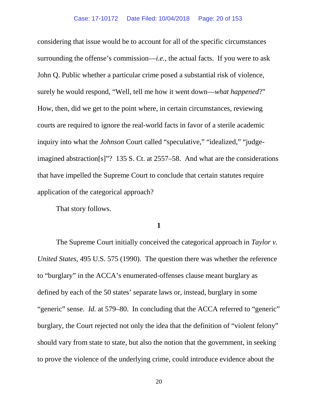considering that issue would be to account for all of the specific circumstances surrounding the offense's commission—*i.e.*, the actual facts. If you were to ask John Q. Public whether a particular crime posed a substantial risk of violence, surely he would respond, "Well, tell me how it went down—*what happened*?" How, then, did we get to the point where, in certain circumstances, reviewing courts are required to ignore the real-world facts in favor of a sterile academic inquiry into what the *Johnson* Court called "speculative," "idealized," "judgeimagined abstraction[s]"? 135 S. Ct. at 2557–58. And what are the considerations that have impelled the Supreme Court to conclude that certain statutes require application of the categorical approach?

That story follows.

**1**

The Supreme Court initially conceived the categorical approach in *Taylor v. United States*, 495 U.S. 575 (1990). The question there was whether the reference to "burglary" in the ACCA's enumerated-offenses clause meant burglary as defined by each of the 50 states' separate laws or, instead, burglary in some "generic" sense. *Id.* at 579–80. In concluding that the ACCA referred to "generic" burglary, the Court rejected not only the idea that the definition of "violent felony" should vary from state to state, but also the notion that the government, in seeking to prove the violence of the underlying crime, could introduce evidence about the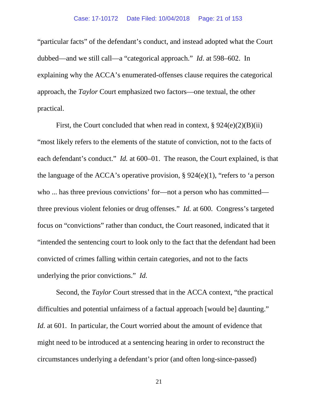"particular facts" of the defendant's conduct, and instead adopted what the Court dubbed—and we still call—a "categorical approach." *Id*. at 598–602. In explaining why the ACCA's enumerated-offenses clause requires the categorical approach, the *Taylor* Court emphasized two factors—one textual, the other practical.

First, the Court concluded that when read in context,  $\S 924(e)(2)(B)(ii)$ "most likely refers to the elements of the statute of conviction, not to the facts of each defendant's conduct." *Id.* at 600–01. The reason, the Court explained, is that the language of the ACCA's operative provision,  $\S 924(e)(1)$ , "refers to 'a person who ... has three previous convictions' for—not a person who has committed three previous violent felonies or drug offenses." *Id.* at 600. Congress's targeted focus on "convictions" rather than conduct, the Court reasoned, indicated that it "intended the sentencing court to look only to the fact that the defendant had been convicted of crimes falling within certain categories, and not to the facts underlying the prior convictions." *Id.*

Second, the *Taylor* Court stressed that in the ACCA context, "the practical difficulties and potential unfairness of a factual approach [would be] daunting." *Id.* at 601. In particular, the Court worried about the amount of evidence that might need to be introduced at a sentencing hearing in order to reconstruct the circumstances underlying a defendant's prior (and often long-since-passed)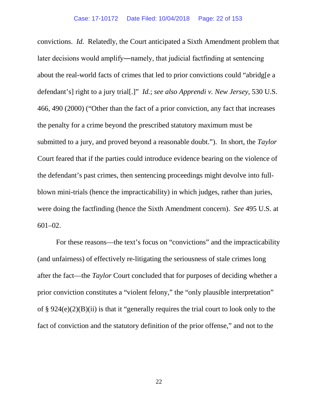convictions. *Id.* Relatedly, the Court anticipated a Sixth Amendment problem that later decisions would amplify―namely, that judicial factfinding at sentencing about the real-world facts of crimes that led to prior convictions could "abridg[e a defendant's] right to a jury trial[.]" *Id.*; *see also Apprendi v. New Jersey*, 530 U.S. 466, 490 (2000) ("Other than the fact of a prior conviction, any fact that increases the penalty for a crime beyond the prescribed statutory maximum must be submitted to a jury, and proved beyond a reasonable doubt."). In short, the *Taylor* Court feared that if the parties could introduce evidence bearing on the violence of the defendant's past crimes, then sentencing proceedings might devolve into fullblown mini-trials (hence the impracticability) in which judges, rather than juries, were doing the factfinding (hence the Sixth Amendment concern). *See* 495 U.S. at 601–02.

For these reasons—the text's focus on "convictions" and the impracticability (and unfairness) of effectively re-litigating the seriousness of stale crimes long after the fact—the *Taylor* Court concluded that for purposes of deciding whether a prior conviction constitutes a "violent felony," the "only plausible interpretation" of § 924(e)(2)(B)(ii) is that it "generally requires the trial court to look only to the fact of conviction and the statutory definition of the prior offense," and not to the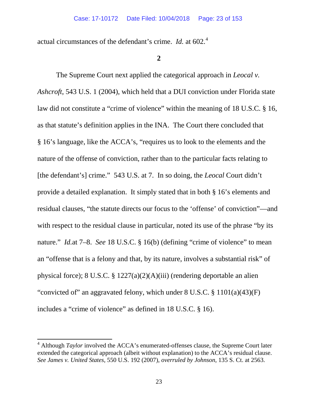actual circumstances of the defendant's crime. *Id.* at 602.<sup>[4](#page-22-0)</sup>

### **2**

The Supreme Court next applied the categorical approach in *Leocal v. Ashcroft*, 543 U.S. 1 (2004), which held that a DUI conviction under Florida state law did not constitute a "crime of violence" within the meaning of 18 U.S.C. § 16, as that statute's definition applies in the INA. The Court there concluded that § 16's language, like the ACCA's, "requires us to look to the elements and the nature of the offense of conviction, rather than to the particular facts relating to [the defendant's] crime." 543 U.S. at 7. In so doing, the *Leocal* Court didn't provide a detailed explanation. It simply stated that in both § 16's elements and residual clauses, "the statute directs our focus to the 'offense' of conviction"—and with respect to the residual clause in particular, noted its use of the phrase "by its" nature." *Id.at* 7–8. *See* 18 U.S.C. § 16(b) (defining "crime of violence" to mean an "offense that is a felony and that, by its nature, involves a substantial risk" of physical force); 8 U.S.C. § 1227(a)(2)(A)(iii) (rendering deportable an alien "convicted of" an aggravated felony, which under 8 U.S.C. § 1101(a)(43)(F) includes a "crime of violence" as defined in 18 U.S.C. § 16).

<span id="page-22-0"></span><sup>&</sup>lt;sup>4</sup> Although *Taylor* involved the ACCA's enumerated-offenses clause, the Supreme Court later extended the categorical approach (albeit without explanation) to the ACCA's residual clause. *See James v. United States*, 550 U.S. 192 (2007), *overruled by Johnson*, 135 S. Ct. at 2563.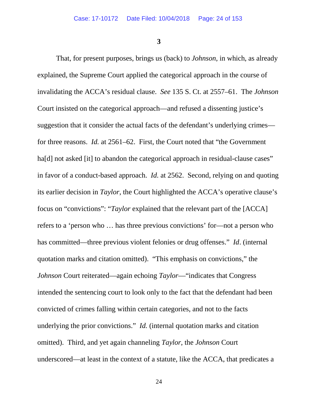**3**

That, for present purposes, brings us (back) to *Johnson*, in which, as already explained, the Supreme Court applied the categorical approach in the course of invalidating the ACCA's residual clause. *See* 135 S. Ct. at 2557–61. The *Johnson* Court insisted on the categorical approach—and refused a dissenting justice's suggestion that it consider the actual facts of the defendant's underlying crimes for three reasons. *Id.* at 2561–62. First, the Court noted that "the Government ha<sup>[d]</sup> not asked [it] to abandon the categorical approach in residual-clause cases" in favor of a conduct-based approach. *Id.* at 2562. Second, relying on and quoting its earlier decision in *Taylor*, the Court highlighted the ACCA's operative clause's focus on "convictions": "*Taylor* explained that the relevant part of the [ACCA] refers to a 'person who … has three previous convictions' for—not a person who has committed—three previous violent felonies or drug offenses." *Id*. (internal quotation marks and citation omitted). "This emphasis on convictions," the *Johnson* Court reiterated—again echoing *Taylor*—"indicates that Congress intended the sentencing court to look only to the fact that the defendant had been convicted of crimes falling within certain categories, and not to the facts underlying the prior convictions." *Id.* (internal quotation marks and citation omitted). Third, and yet again channeling *Taylor*, the *Johnson* Court underscored—at least in the context of a statute, like the ACCA, that predicates a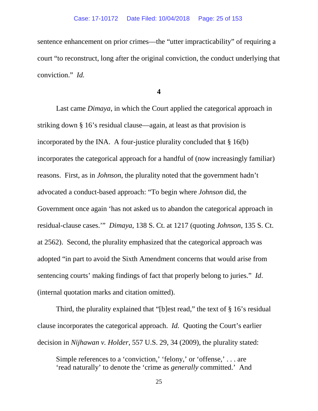sentence enhancement on prior crimes—the "utter impracticability" of requiring a court "to reconstruct, long after the original conviction, the conduct underlying that conviction." *Id.*

**4**

Last came *Dimaya*, in which the Court applied the categorical approach in striking down § 16's residual clause—again, at least as that provision is incorporated by the INA. A four-justice plurality concluded that  $\S 16(b)$ incorporates the categorical approach for a handful of (now increasingly familiar) reasons. First, as in *Johnson*, the plurality noted that the government hadn't advocated a conduct-based approach: "To begin where *Johnson* did, the Government once again 'has not asked us to abandon the categorical approach in residual-clause cases.'" *Dimaya*, 138 S. Ct. at 1217 (quoting *Johnson*, 135 S. Ct. at 2562). Second, the plurality emphasized that the categorical approach was adopted "in part to avoid the Sixth Amendment concerns that would arise from sentencing courts' making findings of fact that properly belong to juries." *Id*. (internal quotation marks and citation omitted).

Third, the plurality explained that "[b]est read," the text of § 16's residual clause incorporates the categorical approach. *Id.* Quoting the Court's earlier decision in *Nijhawan v. Holder*, 557 U.S. 29, 34 (2009), the plurality stated:

Simple references to a 'conviction,' 'felony,' or 'offense,' . . . are 'read naturally' to denote the 'crime as *generally* committed.' And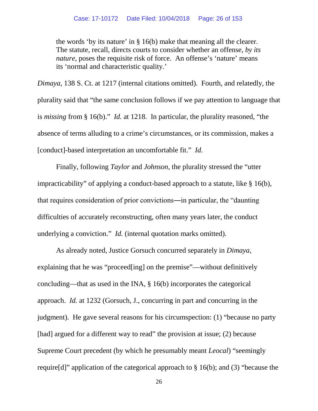the words 'by its nature' in § 16(b) make that meaning all the clearer. The statute, recall, directs courts to consider whether an offense, *by its nature,* poses the requisite risk of force. An offense's 'nature' means its 'normal and characteristic quality.'

*Dimaya*, 138 S. Ct. at 1217 (internal citations omitted). Fourth, and relatedly, the plurality said that "the same conclusion follows if we pay attention to language that is *missing* from § 16(b)." *Id.* at 1218. In particular, the plurality reasoned, "the absence of terms alluding to a crime's circumstances, or its commission, makes a [conduct]-based interpretation an uncomfortable fit." *Id.*

Finally, following *Taylor* and *Johnson*, the plurality stressed the "utter impracticability" of applying a conduct-based approach to a statute, like § 16(b), that requires consideration of prior convictions―in particular, the "daunting difficulties of accurately reconstructing, often many years later, the conduct underlying a conviction." *Id.* (internal quotation marks omitted).

As already noted, Justice Gorsuch concurred separately in *Dimaya*, explaining that he was "proceed[ing] on the premise"—without definitively concluding—that as used in the INA, § 16(b) incorporates the categorical approach. *Id.* at 1232 (Gorsuch, J., concurring in part and concurring in the judgment). He gave several reasons for his circumspection: (1) "because no party [had] argued for a different way to read" the provision at issue; (2) because Supreme Court precedent (by which he presumably meant *Leocal*) "seemingly require[d]" application of the categorical approach to § 16(b); and (3) "because the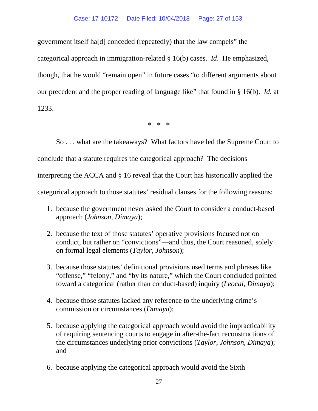#### Case: 17-10172 Date Filed: 10/04/2018 Page: 27 of 153

government itself ha[d] conceded (repeatedly) that the law compels" the categorical approach in immigration-related § 16(b) cases. *Id*. He emphasized, though, that he would "remain open" in future cases "to different arguments about our precedent and the proper reading of language like" that found in § 16(b). *Id.* at 1233.

**\* \* \***

So . . . what are the takeaways? What factors have led the Supreme Court to conclude that a statute requires the categorical approach? The decisions interpreting the ACCA and § 16 reveal that the Court has historically applied the categorical approach to those statutes' residual clauses for the following reasons:

- 1. because the government never asked the Court to consider a conduct-based approach (*Johnson*, *Dimaya*);
- 2. because the text of those statutes' operative provisions focused not on conduct, but rather on "convictions"—and thus, the Court reasoned, solely on formal legal elements (*Taylor*, *Johnson*);
- 3. because those statutes' definitional provisions used terms and phrases like "offense," "felony," and "by its nature," which the Court concluded pointed toward a categorical (rather than conduct-based) inquiry (*Leocal*, *Dimaya*);
- 4. because those statutes lacked any reference to the underlying crime's commission or circumstances (*Dimaya*);
- 5. because applying the categorical approach would avoid the impracticability of requiring sentencing courts to engage in after-the-fact reconstructions of the circumstances underlying prior convictions (*Taylor*, *Johnson*, *Dimaya*); and
- 6. because applying the categorical approach would avoid the Sixth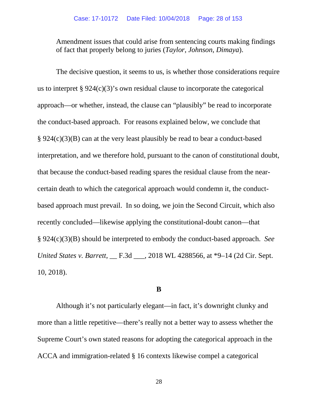Amendment issues that could arise from sentencing courts making findings of fact that properly belong to juries (*Taylor*, *Johnson*, *Dimaya*).

The decisive question, it seems to us, is whether those considerations require us to interpret § 924(c)(3)'s own residual clause to incorporate the categorical approach—or whether, instead, the clause can "plausibly" be read to incorporate the conduct-based approach. For reasons explained below, we conclude that § 924(c)(3)(B) can at the very least plausibly be read to bear a conduct-based interpretation, and we therefore hold, pursuant to the canon of constitutional doubt, that because the conduct-based reading spares the residual clause from the nearcertain death to which the categorical approach would condemn it, the conductbased approach must prevail. In so doing, we join the Second Circuit, which also recently concluded—likewise applying the constitutional-doubt canon—that § 924(c)(3)(B) should be interpreted to embody the conduct-based approach. *See United States v. Barrett*, \_\_ F.3d \_\_\_, 2018 WL 4288566, at \*9–14 (2d Cir. Sept. 10, 2018).

## **B**

Although it's not particularly elegant—in fact, it's downright clunky and more than a little repetitive—there's really not a better way to assess whether the Supreme Court's own stated reasons for adopting the categorical approach in the ACCA and immigration-related § 16 contexts likewise compel a categorical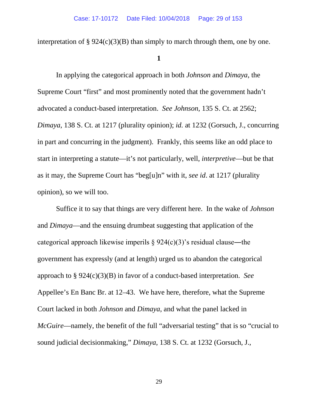interpretation of  $\S 924(c)(3)(B)$  than simply to march through them, one by one.

#### **1**

In applying the categorical approach in both *Johnson* and *Dimaya*, the Supreme Court "first" and most prominently noted that the government hadn't advocated a conduct-based interpretation. *See Johnson*, 135 S. Ct. at 2562; *Dimaya*, 138 S. Ct. at 1217 (plurality opinion); *id.* at 1232 (Gorsuch, J., concurring in part and concurring in the judgment). Frankly, this seems like an odd place to start in interpreting a statute—it's not particularly, well, *interpretive*—but be that as it may, the Supreme Court has "beg[u]n" with it, *see id*. at 1217 (plurality opinion), so we will too.

Suffice it to say that things are very different here. In the wake of *Johnson* and *Dimaya*—and the ensuing drumbeat suggesting that application of the categorical approach likewise imperils § 924(c)(3)'s residual clause―the government has expressly (and at length) urged us to abandon the categorical approach to § 924(c)(3)(B) in favor of a conduct-based interpretation. *See* Appellee's En Banc Br. at 12–43. We have here, therefore, what the Supreme Court lacked in both *Johnson* and *Dimaya*, and what the panel lacked in *McGuire*—namely, the benefit of the full "adversarial testing" that is so "crucial to sound judicial decisionmaking," *Dimaya*, 138 S. Ct. at 1232 (Gorsuch, J.,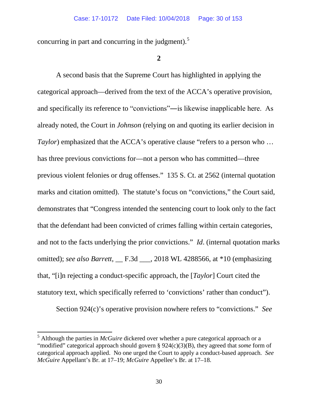concurring in part and concurring in the judgment). $5$ 

### **2**

A second basis that the Supreme Court has highlighted in applying the categorical approach—derived from the text of the ACCA's operative provision, and specifically its reference to "convictions"―is likewise inapplicable here. As already noted, the Court in *Johnson* (relying on and quoting its earlier decision in *Taylor*) emphasized that the ACCA's operative clause "refers to a person who ... has three previous convictions for—not a person who has committed—three previous violent felonies or drug offenses." 135 S. Ct. at 2562 (internal quotation marks and citation omitted). The statute's focus on "convictions," the Court said, demonstrates that "Congress intended the sentencing court to look only to the fact that the defendant had been convicted of crimes falling within certain categories, and not to the facts underlying the prior convictions." *Id*. (internal quotation marks omitted); *see also Barrett*, \_\_ F.3d \_\_\_, 2018 WL 4288566, at \*10 (emphasizing that, "[i]n rejecting a conduct-specific approach, the [*Taylor*] Court cited the statutory text, which specifically referred to 'convictions' rather than conduct").

Section 924(c)'s operative provision nowhere refers to "convictions." *See* 

<span id="page-29-0"></span><sup>&</sup>lt;sup>5</sup> Although the parties in *McGuire* dickered over whether a pure categorical approach or a "modified" categorical approach should govern § 924(c)(3)(B), they agreed that *some* form of categorical approach applied. No one urged the Court to apply a conduct-based approach. *See McGuire* Appellant's Br. at 17–19; *McGuire* Appellee's Br. at 17–18.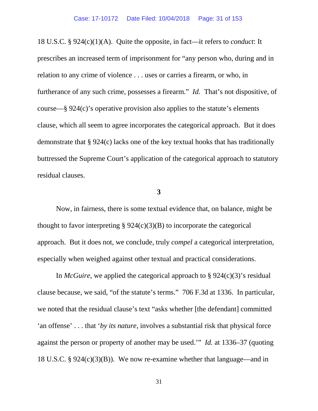18 U.S.C. § 924(c)(1)(A). Quite the opposite, in fact—it refers to *conduct*: It prescribes an increased term of imprisonment for "any person who, during and in relation to any crime of violence . . . uses or carries a firearm, or who, in furtherance of any such crime, possesses a firearm." *Id.* That's not dispositive, of course—§ 924(c)'s operative provision also applies to the statute's elements clause, which all seem to agree incorporates the categorical approach. But it does demonstrate that § 924(c) lacks one of the key textual hooks that has traditionally buttressed the Supreme Court's application of the categorical approach to statutory residual clauses.

### **3**

Now, in fairness, there is some textual evidence that, on balance, might be thought to favor interpreting  $\S 924(c)(3)(B)$  to incorporate the categorical approach. But it does not, we conclude, truly *compel* a categorical interpretation, especially when weighed against other textual and practical considerations.

In *McGuire*, we applied the categorical approach to  $\S 924(c)(3)$ 's residual clause because, we said, "of the statute's terms." 706 F.3d at 1336. In particular, we noted that the residual clause's text "asks whether [the defendant] committed 'an offense' . . . that '*by its nature*, involves a substantial risk that physical force against the person or property of another may be used.'" *Id.* at 1336–37 (quoting 18 U.S.C. § 924(c)(3)(B)). We now re-examine whether that language—and in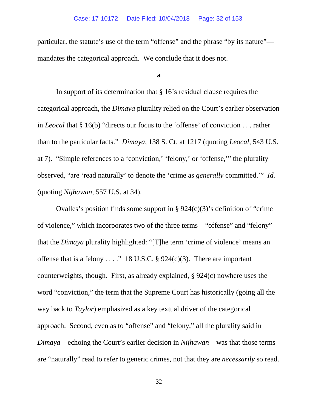particular, the statute's use of the term "offense" and the phrase "by its nature" mandates the categorical approach. We conclude that it does not.

#### **a**

In support of its determination that § 16's residual clause requires the categorical approach, the *Dimaya* plurality relied on the Court's earlier observation in *Leocal* that § 16(b) "directs our focus to the 'offense' of conviction . . . rather than to the particular facts." *Dimaya*, 138 S. Ct. at 1217 (quoting *Leocal*, 543 U.S. at 7). "Simple references to a 'conviction,' 'felony,' or 'offense,'" the plurality observed, "are 'read naturally' to denote the 'crime as *generally* committed.'" *Id.* (quoting *Nijhawan*, 557 U.S. at 34).

Ovalles's position finds some support in  $\S 924(c)(3)$ 's definition of "crime" of violence," which incorporates two of the three terms—"offense" and "felony" that the *Dimaya* plurality highlighted: "[T]he term 'crime of violence' means an offense that is a felony . . . ." 18 U.S.C. § 924(c)(3). There are important counterweights, though. First, as already explained, § 924(c) nowhere uses the word "conviction," the term that the Supreme Court has historically (going all the way back to *Taylor*) emphasized as a key textual driver of the categorical approach. Second, even as to "offense" and "felony," all the plurality said in *Dimaya*—echoing the Court's earlier decision in *Nijhawan*—was that those terms are "naturally" read to refer to generic crimes, not that they are *necessarily* so read.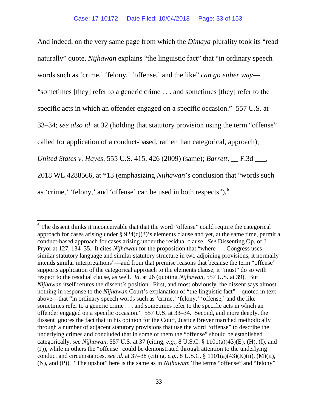And indeed, on the very same page from which the *Dimaya* plurality took its "read naturally" quote, *Nijhawan* explains "the linguistic fact" that "in ordinary speech words such as 'crime,' 'felony,' 'offense,' and the like" *can go either way*— "sometimes [they] refer to a generic crime . . . and sometimes [they] refer to the specific acts in which an offender engaged on a specific occasion." 557 U.S. at 33–34; *see also id*. at 32 (holding that statutory provision using the term "offense" called for application of a conduct-based, rather than categorical, approach); *United States v. Hayes*, 555 U.S. 415, 426 (2009) (same); *Barrett*, \_\_ F.3d \_\_\_, 2018 WL 4288566, at \*13 (emphasizing *Nijhawan*'s conclusion that "words such as 'crime,' 'felony,' and 'offense' can be used in both respects'').<sup>[6](#page-32-0)</sup>

<span id="page-32-0"></span> $6$  The dissent thinks it inconceivable that that the word "offense" could require the categorical approach for cases arising under  $\S 924(c)(3)$ 's elements clause and yet, at the same time, permit a conduct-based approach for cases arising under the residual clause. *See* Dissenting Op. of J. Pryor at 127, 134–35. It cites *Nijhawan* for the proposition that "where . . . Congress uses similar statutory language and similar statutory structure in two adjoining provisions, it normally intends similar interpretations"—and from that premise reasons that because the term "offense" supports application of the categorical approach to the elements clause, it "must" do so with respect to the residual clause, as well. *Id*. at 26 (quoting *Nijhawan*, 557 U.S. at 39). But *Nijhawan* itself refutes the dissent's position. First, and most obviously, the dissent says almost nothing in response to the *Nijhawan* Court's explanation of "the linguistic fact"—quoted in text above—that "in ordinary speech words such as 'crime,' 'felony,' 'offense,' and the like sometimes refer to a generic crime . . . and sometimes refer to the specific acts in which an offender engaged on a specific occasion." 557 U.S. at 33–34. Second, and more deeply, the dissent ignores the fact that in his opinion for the Court, Justice Breyer marched methodically through a number of adjacent statutory provisions that use the word "offense" to describe the underlying crimes and concluded that in some of them the "offense" should be established categorically, *see Nijhawan*, 557 U.S. at 37 (citing, *e.g.*, 8 U.S.C. § 1101(a)(43)(E), (H), (I), and (J)), while in others the "offense" could be demonstrated through attention to the underlying conduct and circumstances, *see id.* at 37–38 (citing, *e.g.*, 8 U.S.C. § 1101(a)(43)(K)(ii), (M)(ii), (N), and (P)). "The upshot" here is the same as in *Nijhawan*: The terms "offense" and "felony"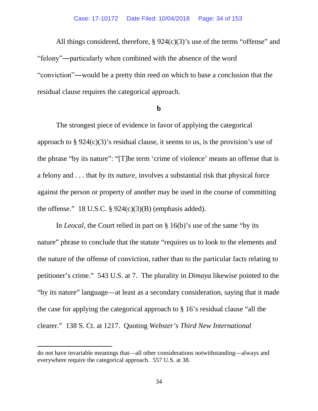All things considered, therefore, § 924(c)(3)'s use of the terms "offense" and "felony"―particularly when combined with the absence of the word "conviction"―would be a pretty thin reed on which to base a conclusion that the residual clause requires the categorical approach.

#### **b**

The strongest piece of evidence in favor of applying the categorical approach to  $\S 924(c)(3)$ 's residual clause, it seems to us, is the provision's use of the phrase "by its nature": "[T]he term 'crime of violence' means an offense that is a felony and . . . that *by its nature*, involves a substantial risk that physical force against the person or property of another may be used in the course of committing the offense." 18 U.S.C.  $\S 924(c)(3)(B)$  (emphasis added).

In *Leocal*, the Court relied in part on § 16(b)'s use of the same "by its nature" phrase to conclude that the statute "requires us to look to the elements and the nature of the offense of conviction, rather than to the particular facts relating to petitioner's crime." 543 U.S. at 7. The plurality in *Dimaya* likewise pointed to the "by its nature" language—at least as a secondary consideration, saying that it made the case for applying the categorical approach to § 16's residual clause "all the clearer." 138 S. Ct. at 1217. Quoting *Webster's Third New International* 

l

do not have invariable meanings that—all other considerations notwithstanding—always and everywhere require the categorical approach. 557 U.S. at 38.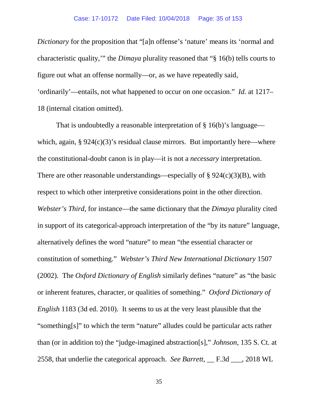*Dictionary* for the proposition that "[a]n offense's 'nature' means its 'normal and characteristic quality,'" the *Dimaya* plurality reasoned that "§ 16(b) tells courts to figure out what an offense normally—or, as we have repeatedly said, 'ordinarily'—entails, not what happened to occur on one occasion." *Id.* at 1217– 18 (internal citation omitted).

That is undoubtedly a reasonable interpretation of § 16(b)'s language which, again,  $\S 924(c)(3)$ 's residual clause mirrors. But importantly here—where the constitutional-doubt canon is in play—it is not a *necessary* interpretation. There are other reasonable understandings—especially of  $\S 924(c)(3)(B)$ , with respect to which other interpretive considerations point in the other direction. *Webster's Third*, for instance—the same dictionary that the *Dimaya* plurality cited in support of its categorical-approach interpretation of the "by its nature" language, alternatively defines the word "nature" to mean "the essential character or constitution of something." *Webster's Third New International Dictionary* 1507 (2002). The *Oxford Dictionary of English* similarly defines "nature" as "the basic or inherent features, character, or qualities of something." *Oxford Dictionary of English* 1183 (3d ed. 2010). It seems to us at the very least plausible that the "something[s]" to which the term "nature" alludes could be particular acts rather than (or in addition to) the "judge-imagined abstraction[s]," *Johnson*, 135 S. Ct. at 2558, that underlie the categorical approach. *See Barrett*, \_\_ F.3d \_\_\_, 2018 WL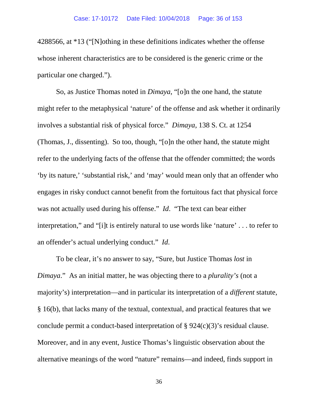4288566, at \*13 ("[N]othing in these definitions indicates whether the offense whose inherent characteristics are to be considered is the generic crime or the particular one charged.").

So, as Justice Thomas noted in *Dimaya*, "[o]n the one hand, the statute might refer to the metaphysical 'nature' of the offense and ask whether it ordinarily involves a substantial risk of physical force." *Dimaya*, 138 S. Ct. at 1254 (Thomas, J., dissenting). So too, though, "[o]n the other hand, the statute might refer to the underlying facts of the offense that the offender committed; the words 'by its nature,' 'substantial risk,' and 'may' would mean only that an offender who engages in risky conduct cannot benefit from the fortuitous fact that physical force was not actually used during his offense." *Id*. "The text can bear either interpretation," and "[i]t is entirely natural to use words like 'nature' . . . to refer to an offender's actual underlying conduct." *Id*.

To be clear, it's no answer to say, "Sure, but Justice Thomas *lost* in *Dimaya*." As an initial matter, he was objecting there to a *plurality's* (not a majority's) interpretation—and in particular its interpretation of a *different* statute, § 16(b), that lacks many of the textual, contextual, and practical features that we conclude permit a conduct-based interpretation of § 924(c)(3)'s residual clause. Moreover, and in any event, Justice Thomas's linguistic observation about the alternative meanings of the word "nature" remains—and indeed, finds support in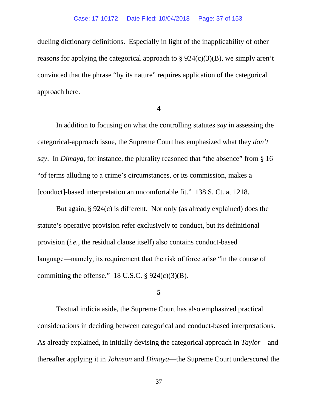dueling dictionary definitions. Especially in light of the inapplicability of other reasons for applying the categorical approach to § 924(c)(3)(B), we simply aren't convinced that the phrase "by its nature" requires application of the categorical approach here.

#### **4**

In addition to focusing on what the controlling statutes *say* in assessing the categorical-approach issue, the Supreme Court has emphasized what they *don't say*. In *Dimaya*, for instance, the plurality reasoned that "the absence" from § 16 "of terms alluding to a crime's circumstances, or its commission, makes a [conduct]-based interpretation an uncomfortable fit." 138 S. Ct. at 1218.

But again, § 924(c) is different. Not only (as already explained) does the statute's operative provision refer exclusively to conduct, but its definitional provision (*i.e.*, the residual clause itself) also contains conduct-based language―namely, its requirement that the risk of force arise "in the course of committing the offense."  $18$  U.S.C. § 924(c)(3)(B).

## **5**

Textual indicia aside, the Supreme Court has also emphasized practical considerations in deciding between categorical and conduct-based interpretations. As already explained, in initially devising the categorical approach in *Taylor*—and thereafter applying it in *Johnson* and *Dimaya*—the Supreme Court underscored the

37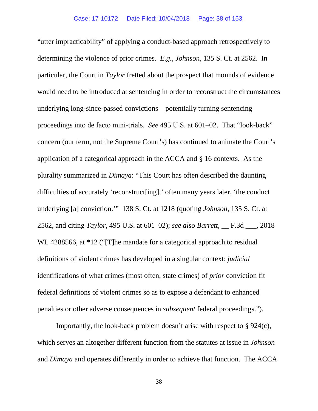"utter impracticability" of applying a conduct-based approach retrospectively to determining the violence of prior crimes. *E.g.*, *Johnson*, 135 S. Ct. at 2562. In particular, the Court in *Taylor* fretted about the prospect that mounds of evidence would need to be introduced at sentencing in order to reconstruct the circumstances underlying long-since-passed convictions—potentially turning sentencing proceedings into de facto mini-trials. *See* 495 U.S. at 601–02. That "look-back" concern (our term, not the Supreme Court's) has continued to animate the Court's application of a categorical approach in the ACCA and § 16 contexts. As the plurality summarized in *Dimaya*: "This Court has often described the daunting difficulties of accurately 'reconstruct[ing],' often many years later, 'the conduct underlying [a] conviction.'" 138 S. Ct. at 1218 (quoting *Johnson*, 135 S. Ct. at 2562, and citing *Taylor*, 495 U.S. at 601–02); *see also Barrett*, \_\_ F.3d \_\_\_, 2018 WL 4288566, at \*12 ("[T]he mandate for a categorical approach to residual definitions of violent crimes has developed in a singular context: *judicial* identifications of what crimes (most often, state crimes) of *prior* conviction fit federal definitions of violent crimes so as to expose a defendant to enhanced penalties or other adverse consequences in *subsequent* federal proceedings.").

Importantly, the look-back problem doesn't arise with respect to § 924(c), which serves an altogether different function from the statutes at issue in *Johnson* and *Dimaya* and operates differently in order to achieve that function. The ACCA

38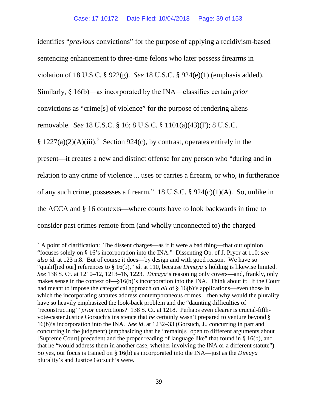identifies "*previous* convictions" for the purpose of applying a recidivism-based sentencing enhancement to three-time felons who later possess firearms in violation of 18 U.S.C. § 922(g). *See* 18 U.S.C. § 924(e)(1) (emphasis added). Similarly, § 16(b)―as incorporated by the INA―classifies certain *prior* convictions as "crime[s] of violence" for the purpose of rendering aliens removable. *See* 18 U.S.C. § 16; 8 U.S.C. § 1101(a)(43)(F); 8 U.S.C. § 122[7](#page-38-0)(a)(2)(A)(iii).<sup>7</sup> Section 924(c), by contrast, operates entirely in the present—it creates a new and distinct offense for any person who "during and in relation to any crime of violence ... uses or carries a firearm, or who, in furtherance of any such crime, possesses a firearm." 18 U.S.C. § 924(c)(1)(A). So, unlike in the ACCA and § 16 contexts—where courts have to look backwards in time to consider past crimes remote from (and wholly unconnected to) the charged

<span id="page-38-0"></span> $<sup>7</sup>$  A point of clarification: The dissent charges—as if it were a bad thing—that our opinion</sup> "focuses solely on § 16's incorporation into the INA." Dissenting Op. of J. Pryor at 110; *see also id.* at 123 n.8. But of course it does—by design and with good reason. We have so "qualif[ied our] references to § 16(b)," *id*. at 110, because *Dimaya*'s holding is likewise limited. *See* 138 S. Ct. at 1210–12, 1213–16, 1223. *Dimaya*'s reasoning only covers—and, frankly, only makes sense in the context of—§16(b)'s incorporation into the INA. Think about it: If the Court had meant to impose the categorical approach on *all* of § 16(b)'s applications—even those in which the incorporating statutes address contemporaneous crimes—then why would the plurality have so heavily emphasized the look-back problem and the "daunting difficulties of 'reconstructing'" *prior* convictions? 138 S. Ct. at 1218. Perhaps even clearer is crucial-fifthvote-caster Justice Gorsuch's insistence that *he* certainly wasn't prepared to venture beyond § 16(b)'s incorporation into the INA. *See id*. at 1232–33 (Gorsuch, J., concurring in part and concurring in the judgment) (emphasizing that he "remain[s] open to different arguments about [Supreme Court] precedent and the proper reading of language like" that found in § 16(b), and that he "would address them in another case, whether involving the INA or a different statute"). So yes, our focus is trained on § 16(b) as incorporated into the INA—just as the *Dimaya* plurality's and Justice Gorsuch's were.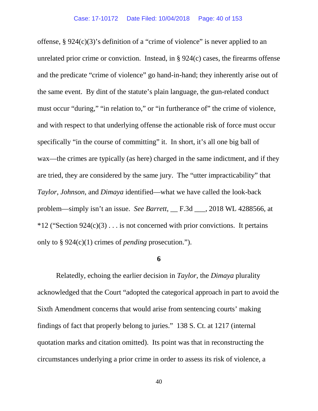offense, § 924(c)(3)'s definition of a "crime of violence" is never applied to an unrelated prior crime or conviction. Instead, in § 924(c) cases, the firearms offense and the predicate "crime of violence" go hand-in-hand; they inherently arise out of the same event. By dint of the statute's plain language, the gun-related conduct must occur "during," "in relation to," or "in furtherance of" the crime of violence, and with respect to that underlying offense the actionable risk of force must occur specifically "in the course of committing" it. In short, it's all one big ball of wax—the crimes are typically (as here) charged in the same indictment, and if they are tried, they are considered by the same jury. The "utter impracticability" that *Taylor*, *Johnson*, and *Dimaya* identified—what we have called the look-back problem—simply isn't an issue. *See Barrett*, \_\_ F.3d \_\_\_, 2018 WL 4288566, at  $*12$  ("Section 924(c)(3)... is not concerned with prior convictions. It pertains only to § 924(c)(1) crimes of *pending* prosecution.").

### **6**

Relatedly, echoing the earlier decision in *Taylor*, the *Dimaya* plurality acknowledged that the Court "adopted the categorical approach in part to avoid the Sixth Amendment concerns that would arise from sentencing courts' making findings of fact that properly belong to juries." 138 S. Ct. at 1217 (internal quotation marks and citation omitted). Its point was that in reconstructing the circumstances underlying a prior crime in order to assess its risk of violence, a

40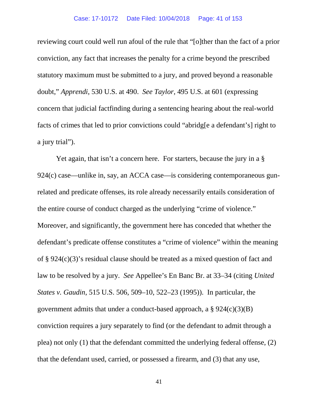#### Case: 17-10172 Date Filed: 10/04/2018 Page: 41 of 153

reviewing court could well run afoul of the rule that "[o]ther than the fact of a prior conviction, any fact that increases the penalty for a crime beyond the prescribed statutory maximum must be submitted to a jury, and proved beyond a reasonable doubt," *Apprendi*, 530 U.S. at 490. *See Taylor*, 495 U.S. at 601 (expressing concern that judicial factfinding during a sentencing hearing about the real-world facts of crimes that led to prior convictions could "abridg[e a defendant's] right to a jury trial").

Yet again, that isn't a concern here. For starters, because the jury in a  $\S$ 924(c) case—unlike in, say, an ACCA case—is considering contemporaneous gunrelated and predicate offenses, its role already necessarily entails consideration of the entire course of conduct charged as the underlying "crime of violence." Moreover, and significantly, the government here has conceded that whether the defendant's predicate offense constitutes a "crime of violence" within the meaning of § 924(c)(3)'s residual clause should be treated as a mixed question of fact and law to be resolved by a jury. *See* Appellee's En Banc Br. at 33–34 (citing *United States v. Gaudin*, 515 U.S. 506, 509–10, 522–23 (1995)). In particular, the government admits that under a conduct-based approach, a  $\S 924(c)(3)(B)$ conviction requires a jury separately to find (or the defendant to admit through a plea) not only (1) that the defendant committed the underlying federal offense, (2) that the defendant used, carried, or possessed a firearm, and (3) that any use,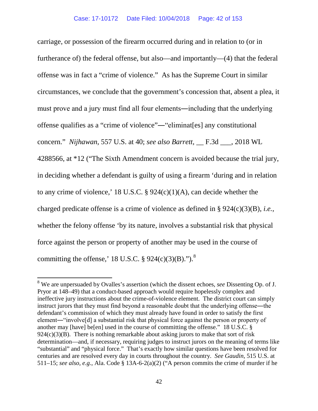carriage, or possession of the firearm occurred during and in relation to (or in furtherance of) the federal offense, but also—and importantly—(4) that the federal offense was in fact a "crime of violence." As has the Supreme Court in similar circumstances, we conclude that the government's concession that, absent a plea, it must prove and a jury must find all four elements―including that the underlying offense qualifies as a "crime of violence"―"eliminat[es] any constitutional concern." *Nijhawan*, 557 U.S. at 40; *see also Barrett*, \_\_ F.3d \_\_\_, 2018 WL 4288566, at \*12 ("The Sixth Amendment concern is avoided because the trial jury, in deciding whether a defendant is guilty of using a firearm 'during and in relation to any crime of violence,' 18 U.S.C.  $\S$  924(c)(1)(A), can decide whether the charged predicate offense is a crime of violence as defined in § 924(c)(3)(B), *i.e.*, whether the felony offense 'by its nature, involves a substantial risk that physical force against the person or property of another may be used in the course of committing the offense,' 1[8](#page-41-0) U.S.C.  $\S$  924(c)(3)(B).").<sup>8</sup>

<span id="page-41-0"></span><sup>8</sup> We are unpersuaded by Ovalles's assertion (which the dissent echoes, *see* Dissenting Op. of J. Pryor at 148–49) that a conduct-based approach would require hopelessly complex and ineffective jury instructions about the crime-of-violence element. The district court can simply instruct jurors that they must find beyond a reasonable doubt that the underlying offense―the defendant's commission of which they must already have found in order to satisfy the first element—"involve[d] a substantial risk that physical force against the person or property of another may [have] be[en] used in the course of committing the offense." 18 U.S.C. §  $924(c)(3)(B)$ . There is nothing remarkable about asking jurors to make that sort of risk determination—and, if necessary, requiring judges to instruct jurors on the meaning of terms like "substantial" and "physical force." That's exactly how similar questions have been resolved for centuries and are resolved every day in courts throughout the country. *See Gaudin*, 515 U.S. at 511–15; *see also, e.g.*, Ala. Code § 13A-6-2(a)(2) ("A person commits the crime of murder if he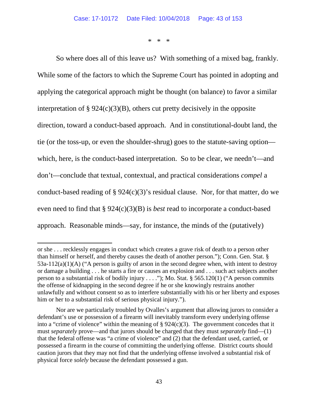\* \* \*

So where does all of this leave us? With something of a mixed bag, frankly. While some of the factors to which the Supreme Court has pointed in adopting and applying the categorical approach might be thought (on balance) to favor a similar interpretation of  $\S 924(c)(3)(B)$ , others cut pretty decisively in the opposite direction, toward a conduct-based approach. And in constitutional-doubt land, the tie (or the toss-up, or even the shoulder-shrug) goes to the statute-saving option which, here, is the conduct-based interpretation. So to be clear, we needn't—and don't—conclude that textual, contextual, and practical considerations *compel* a conduct-based reading of  $\S 924(c)(3)$ 's residual clause. Nor, for that matter, do we even need to find that § 924(c)(3)(B) is *best* read to incorporate a conduct-based approach. Reasonable minds—say, for instance, the minds of the (putatively)

l

or she . . . recklessly engages in conduct which creates a grave risk of death to a person other than himself or herself, and thereby causes the death of another person."); Conn. Gen. Stat. § 53a-112(a)(1)(A) ("A person is guilty of arson in the second degree when, with intent to destroy or damage a building . . . he starts a fire or causes an explosion and . . . such act subjects another person to a substantial risk of bodily injury . . . ."); Mo. Stat. § 565.120(1) ("A person commits the offense of kidnapping in the second degree if he or she knowingly restrains another unlawfully and without consent so as to interfere substantially with his or her liberty and exposes him or her to a substantial risk of serious physical injury.").

Nor are we particularly troubled by Ovalles's argument that allowing jurors to consider a defendant's use or possession of a firearm will inevitably transform every underlying offense into a "crime of violence" within the meaning of  $\S 924(c)(3)$ . The government concedes that it must *separately* prove—and that jurors should be charged that they must *separately* find—(1) that the federal offense was "a crime of violence" and (2) that the defendant used, carried, or possessed a firearm in the course of committing the underlying offense. District courts should caution jurors that they may not find that the underlying offense involved a substantial risk of physical force *solely* because the defendant possessed a gun.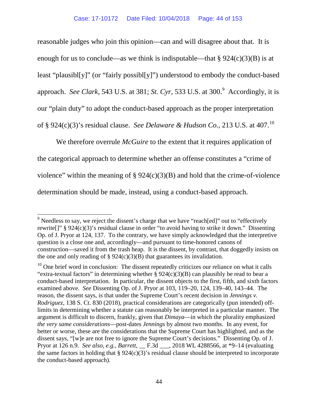reasonable judges who join this opinion—can and will disagree about that. It is enough for us to conclude—as we think is indisputable—that  $\S 924(c)(3)(B)$  is at least "plausibl[y]" (or "fairly possibl[y]") understood to embody the conduct-based approach. *See Clark*, 543 U.S. at 381; *St. Cyr*, 533 U.S. at 300.<sup>[9](#page-43-0)</sup> Accordingly, it is our "plain duty" to adopt the conduct-based approach as the proper interpretation of § 924(c)(3)'s residual clause. *See Delaware & Hudson Co.*, 213 U.S. at 407.[10](#page-43-1)

We therefore overrule *McGuire* to the extent that it requires application of the categorical approach to determine whether an offense constitutes a "crime of violence" within the meaning of  $\S 924(c)(3)(B)$  and hold that the crime-of-violence determination should be made, instead, using a conduct-based approach.

<span id="page-43-0"></span> $9$  Needless to say, we reject the dissent's charge that we have "reach[ed]" out to "effectively rewrite[]" § 924(c)(3)'s residual clause in order "to avoid having to strike it down." Dissenting Op. of J. Pryor at 124, 137. To the contrary, we have simply acknowledged that the interpretive question is a close one and, accordingly—and pursuant to time-honored canons of construction—saved it from the trash heap. It is the dissent, by contrast, that doggedly insists on the one and only reading of  $\S 924(c)(3)(B)$  that guarantees its invalidation.

<span id="page-43-1"></span> $10$  One brief word in conclusion: The dissent repeatedly criticizes our reliance on what it calls "extra-textual factors" in determining whether  $\S 924(c)(3)(B)$  can plausibly be read to bear a conduct-based interpretation. In particular, the dissent objects to the first, fifth, and sixth factors examined above. *See* Dissenting Op. of J. Pryor at 103, 119–20, 124, 139–40, 143–44. The reason, the dissent says, is that under the Supreme Court's recent decision in *Jennings v. Rodriguez*, 138 S. Ct. 830 (2018), practical considerations are categorically (pun intended) offlimits in determining whether a statute can reasonably be interpreted in a particular manner. The argument is difficult to discern, frankly, given that *Dimaya*—in which the plurality emphasized *the very same considerations*—post-dates *Jennings* by almost two months. In any event, for better or worse, these are the considerations that the Supreme Court has highlighted, and as the dissent says, "[w]e are not free to ignore the Supreme Court's decisions." Dissenting Op. of J. Pryor at 126 n.9. *See also, e.g.*, *Barrett*, \_\_ F.3d \_\_\_, 2018 WL 4288566, at \*9–14 (evaluating the same factors in holding that  $\S 924(c)(3)$ 's residual clause should be interpreted to incorporate the conduct-based approach).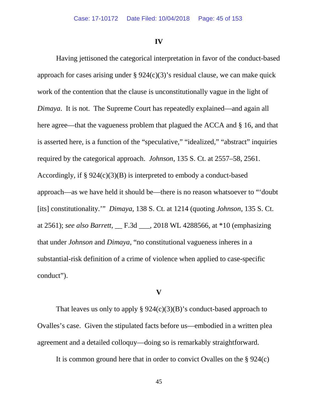**IV**

Having jettisoned the categorical interpretation in favor of the conduct-based approach for cases arising under  $\S 924(c)(3)$ 's residual clause, we can make quick work of the contention that the clause is unconstitutionally vague in the light of *Dimaya*. It is not. The Supreme Court has repeatedly explained—and again all here agree—that the vagueness problem that plagued the ACCA and § 16, and that is asserted here, is a function of the "speculative," "idealized," "abstract" inquiries required by the categorical approach. *Johnson*, 135 S. Ct. at 2557–58, 2561. Accordingly, if  $\S 924(c)(3)(B)$  is interpreted to embody a conduct-based approach—as we have held it should be—there is no reason whatsoever to "'doubt [its] constitutionality.'" *Dimaya*, 138 S. Ct. at 1214 (quoting *Johnson*, 135 S. Ct. at 2561); *see also Barrett*, \_\_ F.3d \_\_\_, 2018 WL 4288566, at \*10 (emphasizing that under *Johnson* and *Dimaya*, "no constitutional vagueness inheres in a substantial-risk definition of a crime of violence when applied to case-specific conduct").

## **V**

That leaves us only to apply  $\S 924(c)(3)(B)$ 's conduct-based approach to Ovalles's case. Given the stipulated facts before us—embodied in a written plea agreement and a detailed colloquy—doing so is remarkably straightforward.

It is common ground here that in order to convict Ovalles on the § 924(c)

45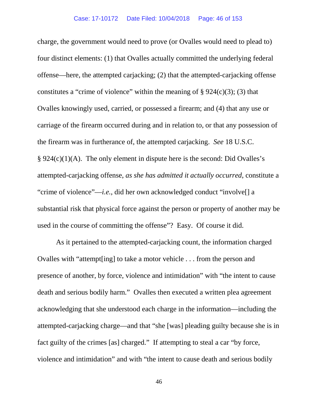charge, the government would need to prove (or Ovalles would need to plead to) four distinct elements: (1) that Ovalles actually committed the underlying federal offense—here, the attempted carjacking; (2) that the attempted-carjacking offense constitutes a "crime of violence" within the meaning of  $\S 924(c)(3)$ ; (3) that Ovalles knowingly used, carried, or possessed a firearm; and (4) that any use or carriage of the firearm occurred during and in relation to, or that any possession of the firearm was in furtherance of, the attempted carjacking. *See* 18 U.S.C. § 924(c)(1)(A). The only element in dispute here is the second: Did Ovalles's attempted-carjacking offense, *as she has admitted it actually occurred*, constitute a "crime of violence"—*i.e.*, did her own acknowledged conduct "involve[] a substantial risk that physical force against the person or property of another may be used in the course of committing the offense"? Easy. Of course it did.

As it pertained to the attempted-carjacking count, the information charged Ovalles with "attempt[ing] to take a motor vehicle . . . from the person and presence of another, by force, violence and intimidation" with "the intent to cause death and serious bodily harm." Ovalles then executed a written plea agreement acknowledging that she understood each charge in the information—including the attempted-carjacking charge—and that "she [was] pleading guilty because she is in fact guilty of the crimes [as] charged." If attempting to steal a car "by force, violence and intimidation" and with "the intent to cause death and serious bodily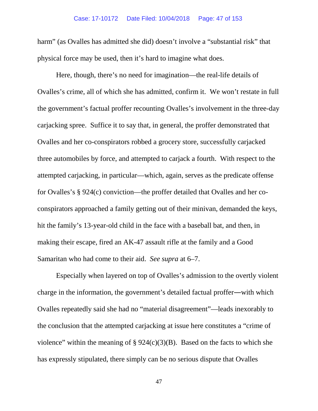#### Case: 17-10172 Date Filed: 10/04/2018 Page: 47 of 153

harm" (as Ovalles has admitted she did) doesn't involve a "substantial risk" that physical force may be used, then it's hard to imagine what does.

Here, though, there's no need for imagination—the real-life details of Ovalles's crime, all of which she has admitted, confirm it. We won't restate in full the government's factual proffer recounting Ovalles's involvement in the three-day carjacking spree. Suffice it to say that, in general, the proffer demonstrated that Ovalles and her co-conspirators robbed a grocery store, successfully carjacked three automobiles by force, and attempted to carjack a fourth. With respect to the attempted carjacking, in particular—which, again, serves as the predicate offense for Ovalles's § 924(c) conviction—the proffer detailed that Ovalles and her coconspirators approached a family getting out of their minivan, demanded the keys, hit the family's 13-year-old child in the face with a baseball bat, and then, in making their escape, fired an AK-47 assault rifle at the family and a Good Samaritan who had come to their aid. *See supra* at 6–7.

Especially when layered on top of Ovalles's admission to the overtly violent charge in the information, the government's detailed factual proffer―with which Ovalles repeatedly said she had no "material disagreement"—leads inexorably to the conclusion that the attempted carjacking at issue here constitutes a "crime of violence" within the meaning of  $\S 924(c)(3)(B)$ . Based on the facts to which she has expressly stipulated, there simply can be no serious dispute that Ovalles

47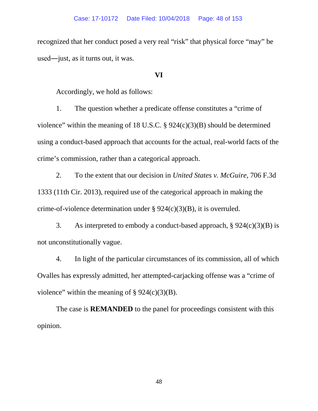recognized that her conduct posed a very real "risk" that physical force "may" be used―just, as it turns out, it was.

### **VI**

Accordingly, we hold as follows:

1. The question whether a predicate offense constitutes a "crime of violence" within the meaning of 18 U.S.C.  $\S$  924(c)(3)(B) should be determined using a conduct-based approach that accounts for the actual, real-world facts of the crime's commission, rather than a categorical approach.

2. To the extent that our decision in *United States v. McGuire*, 706 F.3d 1333 (11th Cir. 2013), required use of the categorical approach in making the crime-of-violence determination under § 924(c)(3)(B), it is overruled.

3. As interpreted to embody a conduct-based approach,  $\S 924(c)(3)(B)$  is not unconstitutionally vague.

4. In light of the particular circumstances of its commission, all of which Ovalles has expressly admitted, her attempted-carjacking offense was a "crime of violence" within the meaning of  $\S 924(c)(3)(B)$ .

The case is **REMANDED** to the panel for proceedings consistent with this opinion.

48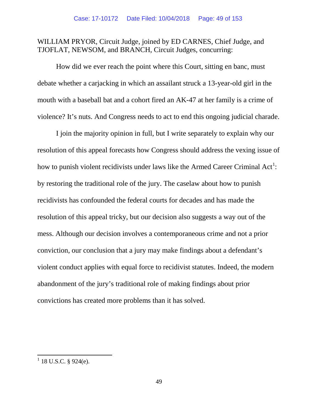# WILLIAM PRYOR, Circuit Judge, joined by ED CARNES, Chief Judge, and TJOFLAT, NEWSOM, and BRANCH, Circuit Judges, concurring:

How did we ever reach the point where this Court, sitting en banc, must debate whether a carjacking in which an assailant struck a 13-year-old girl in the mouth with a baseball bat and a cohort fired an AK-47 at her family is a crime of violence? It's nuts. And Congress needs to act to end this ongoing judicial charade.

I join the majority opinion in full, but I write separately to explain why our resolution of this appeal forecasts how Congress should address the vexing issue of how to punish violent recidivists under laws like the Armed Career Criminal Act<sup>[1](#page-48-0)</sup>: by restoring the traditional role of the jury. The caselaw about how to punish recidivists has confounded the federal courts for decades and has made the resolution of this appeal tricky, but our decision also suggests a way out of the mess. Although our decision involves a contemporaneous crime and not a prior conviction, our conclusion that a jury may make findings about a defendant's violent conduct applies with equal force to recidivist statutes. Indeed, the modern abandonment of the jury's traditional role of making findings about prior convictions has created more problems than it has solved.

<span id="page-48-0"></span> $1$  18 U.S.C. § 924(e).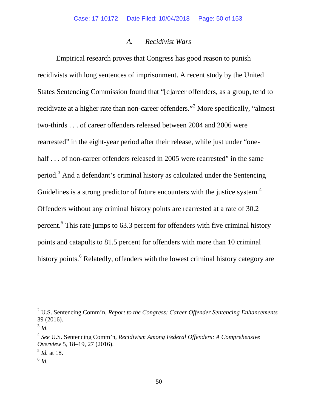## *A. Recidivist Wars*

Empirical research proves that Congress has good reason to punish recidivists with long sentences of imprisonment. A recent study by the United States Sentencing Commission found that "[c]areer offenders, as a group, tend to recidivate at a higher rate than non-career offenders."[2](#page-49-0) More specifically, "almost two-thirds . . . of career offenders released between 2004 and 2006 were rearrested" in the eight-year period after their release, while just under "onehalf . . . of non-career offenders released in 2005 were rearrested" in the same period. $3$  And a defendant's criminal history as calculated under the Sentencing Guidelines is a strong predictor of future encounters with the justice system.<sup>[4](#page-49-2)</sup> Offenders without any criminal history points are rearrested at a rate of 30.2 percent.[5](#page-49-3) This rate jumps to 63.3 percent for offenders with five criminal history points and catapults to 81.5 percent for offenders with more than 10 criminal history points.<sup>[6](#page-49-4)</sup> Relatedly, offenders with the lowest criminal history category are

<span id="page-49-0"></span><sup>2</sup> U.S. Sentencing Comm'n, *Report to the Congress: Career Offender Sentencing Enhancements* 39 (2016).

<span id="page-49-1"></span><sup>3</sup> *Id.*

<span id="page-49-2"></span><sup>4</sup> *See* U.S. Sentencing Comm'n, *Recidivism Among Federal Offenders: A Comprehensive Overview* 5, 18–19, 27 (2016).

<span id="page-49-3"></span><sup>5</sup> *Id.* at 18.

<span id="page-49-4"></span> $^6$  *Id.*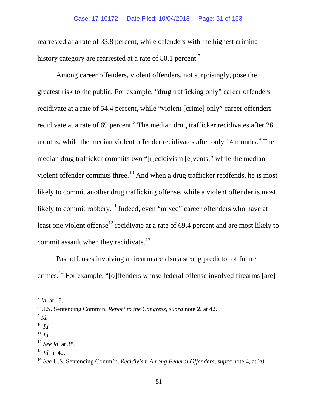rearrested at a rate of 33.8 percent, while offenders with the highest criminal history category are rearrested at a rate of 80.1 percent.<sup>[7](#page-50-0)</sup>

Among career offenders, violent offenders, not surprisingly, pose the greatest risk to the public. For example, "drug trafficking only" career offenders recidivate at a rate of 54.4 percent, while "violent [crime] only" career offenders recidivate at a rate of 69 percent.<sup>[8](#page-50-1)</sup> The median drug trafficker recidivates after 26 months, while the median violent offender recidivates after only 14 months.<sup>[9](#page-50-2)</sup> The median drug trafficker commits two "[r]ecidivism [e]vents," while the median violent offender commits three.<sup>[10](#page-50-3)</sup> And when a drug trafficker reoffends, he is most likely to commit another drug trafficking offense, while a violent offender is most likely to commit robbery.<sup>[11](#page-50-4)</sup> Indeed, even "mixed" career offenders who have at least one violent offense<sup>[12](#page-50-5)</sup> recidivate at a rate of 69.4 percent and are most likely to commit assault when they recidivate.<sup>[13](#page-50-6)</sup>

Past offenses involving a firearm are also a strong predictor of future crimes.[14](#page-50-7) For example, "[o]ffenders whose federal offense involved firearms [are]

<span id="page-50-0"></span> $^{7}$  *Id.* at 19.

<span id="page-50-1"></span><sup>8</sup> U.S. Sentencing Comm'n, *Report to the Congress*, *supra* note 2, at 42.

<span id="page-50-2"></span> $^{9}$  *Id.* 

<span id="page-50-3"></span><sup>10</sup> *Id.*

<span id="page-50-4"></span> $11$  *Id.* 

<span id="page-50-5"></span><sup>12</sup> *See id.* at 38.

<span id="page-50-6"></span><sup>13</sup> *Id.* at 42.

<span id="page-50-7"></span><sup>14</sup> *See* U.S. Sentencing Comm'n, *Recidivism Among Federal Offenders*, *supra* note 4, at 20.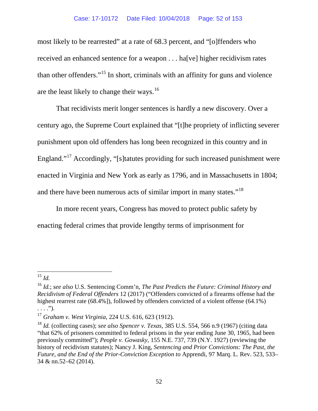### Case: 17-10172 Date Filed: 10/04/2018 Page: 52 of 153

most likely to be rearrested" at a rate of 68.3 percent, and "[o]ffenders who received an enhanced sentence for a weapon . . . ha[ve] higher recidivism rates than other offenders."[15](#page-51-0) In short, criminals with an affinity for guns and violence are the least likely to change their ways.<sup>[16](#page-51-1)</sup>

That recidivists merit longer sentences is hardly a new discovery. Over a century ago, the Supreme Court explained that "[t]he propriety of inflicting severer punishment upon old offenders has long been recognized in this country and in England."[17](#page-51-2) Accordingly, "[s]tatutes providing for such increased punishment were enacted in Virginia and New York as early as 1796, and in Massachusetts in 1804; and there have been numerous acts of similar import in many states."<sup>[18](#page-51-3)</sup>

In more recent years, Congress has moved to protect public safety by enacting federal crimes that provide lengthy terms of imprisonment for

<span id="page-51-0"></span>15 *Id.*

<span id="page-51-1"></span><sup>16</sup> *Id.*; *see also* U.S. Sentencing Comm'n, *The Past Predicts the Future: Criminal History and Recidivism of Federal Offenders* 12 (2017) ("Offenders convicted of a firearms offense had the highest rearrest rate (68.4%]), followed by offenders convicted of a violent offense (64.1%)  $\ldots$ .").

<span id="page-51-2"></span><sup>17</sup> *Graham v. West Virginia*, 224 U.S. 616, 623 (1912).

<span id="page-51-3"></span><sup>18</sup> *Id.* (collecting cases); *see also Spencer v. Texas*, 385 U.S. 554, 566 n.9 (1967) (citing data "that 62% of prisoners committed to federal prisons in the year ending June 30, 1965, had been previously committed"); *People v. Gowasky*, 155 N.E. 737, 739 (N.Y. 1927) (reviewing the history of recidivism statutes); Nancy J. King, *Sentencing and Prior Convictions: The Past, the Future, and the End of the Prior-Conviction Exception to* Apprendi, 97 Marq. L. Rev. 523, 533– 34 & nn.52–62 (2014).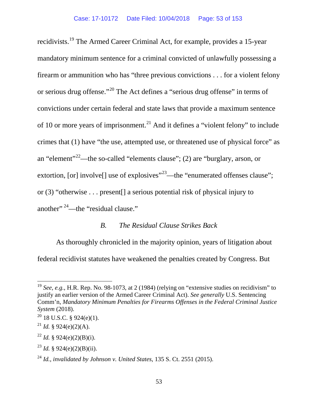recidivists.[19](#page-52-0) The Armed Career Criminal Act, for example, provides a 15-year mandatory minimum sentence for a criminal convicted of unlawfully possessing a firearm or ammunition who has "three previous convictions . . . for a violent felony or serious drug offense."<sup>[20](#page-52-1)</sup> The Act defines a "serious drug offense" in terms of convictions under certain federal and state laws that provide a maximum sentence of 10 or more years of imprisonment.<sup>[21](#page-52-2)</sup> And it defines a "violent felony" to include crimes that (1) have "the use, attempted use, or threatened use of physical force" as an "element"<sup>[22](#page-52-3)</sup>—the so-called "elements clause"; (2) are "burglary, arson, or extortion, [or] involve[] use of explosives $^{23}$  $^{23}$  $^{23}$ —the "enumerated offenses clause"; or (3) "otherwise . . . present[] a serious potential risk of physical injury to another" [24](#page-52-5)—the "residual clause."

# *B. The Residual Clause Strikes Back*

As thoroughly chronicled in the majority opinion, years of litigation about federal recidivist statutes have weakened the penalties created by Congress. But

<span id="page-52-0"></span><sup>&</sup>lt;sup>19</sup> *See, e.g.*, H.R. Rep. No. 98-1073, at 2 (1984) (relying on "extensive studies on recidivism" to justify an earlier version of the Armed Career Criminal Act). *See generally* U.S. Sentencing Comm'n, *Mandatory Minimum Penalties for Firearms Offenses in the Federal Criminal Justice System* (2018).

<span id="page-52-1"></span> $^{20}$  18 U.S.C. § 924(e)(1).

<span id="page-52-2"></span><sup>&</sup>lt;sup>21</sup> *Id.* § 924(e)(2)(A).

<span id="page-52-3"></span><sup>&</sup>lt;sup>22</sup> *Id.* § 924(e)(2)(B)(i).

<span id="page-52-4"></span><sup>&</sup>lt;sup>23</sup> *Id.* § 924(e)(2)(B)(ii).

<span id="page-52-5"></span><sup>24</sup> *Id.*, *invalidated by Johnson v. United States*, 135 S. Ct. 2551 (2015).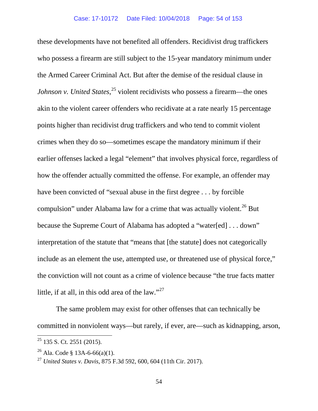these developments have not benefited all offenders. Recidivist drug traffickers who possess a firearm are still subject to the 15-year mandatory minimum under the Armed Career Criminal Act. But after the demise of the residual clause in *Johnson v. United States*,<sup>[25](#page-53-0)</sup> violent recidivists who possess a firearm—the ones akin to the violent career offenders who recidivate at a rate nearly 15 percentage points higher than recidivist drug traffickers and who tend to commit violent crimes when they do so—sometimes escape the mandatory minimum if their earlier offenses lacked a legal "element" that involves physical force, regardless of how the offender actually committed the offense. For example, an offender may have been convicted of "sexual abuse in the first degree . . . by forcible compulsion" under Alabama law for a crime that was actually violent.<sup>[26](#page-53-1)</sup> But because the Supreme Court of Alabama has adopted a "water[ed] . . . down" interpretation of the statute that "means that [the statute] does not categorically include as an element the use, attempted use, or threatened use of physical force," the conviction will not count as a crime of violence because "the true facts matter little, if at all, in this odd area of the law." $27$ 

The same problem may exist for other offenses that can technically be committed in nonviolent ways—but rarely, if ever, are—such as kidnapping, arson,

<span id="page-53-0"></span><sup>&</sup>lt;sup>25</sup> 135 S. Ct. 2551 (2015).

<span id="page-53-1"></span><sup>&</sup>lt;sup>26</sup> Ala. Code § 13A-6-66(a)(1).

<span id="page-53-2"></span><sup>27</sup> *United States v. Davis*, 875 F.3d 592, 600, 604 (11th Cir. 2017).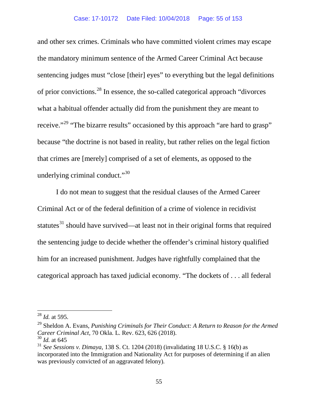and other sex crimes. Criminals who have committed violent crimes may escape the mandatory minimum sentence of the Armed Career Criminal Act because sentencing judges must "close [their] eyes" to everything but the legal definitions of prior convictions.[28](#page-54-0) In essence, the so-called categorical approach "divorces what a habitual offender actually did from the punishment they are meant to receive."[29](#page-54-1) "The bizarre results" occasioned by this approach "are hard to grasp" because "the doctrine is not based in reality, but rather relies on the legal fiction that crimes are [merely] comprised of a set of elements, as opposed to the underlying criminal conduct." $30$ 

I do not mean to suggest that the residual clauses of the Armed Career Criminal Act or of the federal definition of a crime of violence in recidivist statutes<sup>[31](#page-54-3)</sup> should have survived—at least not in their original forms that required the sentencing judge to decide whether the offender's criminal history qualified him for an increased punishment. Judges have rightfully complained that the categorical approach has taxed judicial economy. "The dockets of . . . all federal

<span id="page-54-0"></span><sup>28</sup> *Id.* at 595.

<span id="page-54-1"></span><sup>29</sup> Sheldon A. Evans, *Punishing Criminals for Their Conduct: A Return to Reason for the Armed Career Criminal Act*, 70 Okla. L. Rev. 623, 626 (2018). <sup>30</sup> *Id.* at 645

<span id="page-54-2"></span>

<span id="page-54-3"></span><sup>31</sup> *See Sessions v. Dimaya*, 138 S. Ct. 1204 (2018) (invalidating 18 U.S.C. § 16(b) as incorporated into the Immigration and Nationality Act for purposes of determining if an alien was previously convicted of an aggravated felony)*.*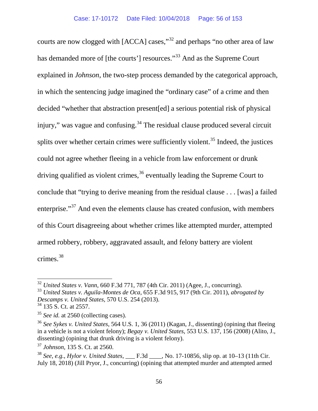courts are now clogged with [ACCA] cases,"[32](#page-55-0) and perhaps "no other area of law has demanded more of [the courts'] resources."<sup>[33](#page-55-1)</sup> And as the Supreme Court explained in *Johnson*, the two-step process demanded by the categorical approach, in which the sentencing judge imagined the "ordinary case" of a crime and then decided "whether that abstraction present[ed] a serious potential risk of physical injury," was vague and confusing.<sup>[34](#page-55-2)</sup> The residual clause produced several circuit splits over whether certain crimes were sufficiently violent.<sup>[35](#page-55-3)</sup> Indeed, the justices could not agree whether fleeing in a vehicle from law enforcement or drunk driving qualified as violent crimes,  $36$  eventually leading the Supreme Court to conclude that "trying to derive meaning from the residual clause . . . [was] a failed enterprise."<sup>[37](#page-55-5)</sup> And even the elements clause has created confusion, with members of this Court disagreeing about whether crimes like attempted murder, attempted armed robbery, robbery, aggravated assault, and felony battery are violent crimes.[38](#page-55-6)

<span id="page-55-1"></span><span id="page-55-0"></span><sup>32</sup> *United States v. Vann*, 660 F.3d 771, 787 (4th Cir. 2011) (Agee, J., concurring).

<span id="page-55-2"></span><sup>33</sup> *United States v. Aguila-Montes de Oca*, 655 F.3d 915, 917 (9th Cir. 2011), *abrogated by Descamps v. United States*, 570 U.S. 254 (2013).

<span id="page-55-3"></span> $34$  135 S. Ct. at 2557.

<span id="page-55-4"></span><sup>&</sup>lt;sup>35</sup> *See id.* at 2560 (collecting cases).

<span id="page-55-5"></span><sup>36</sup> *See Sykes v. United States*, 564 U.S. 1, 36 (2011) (Kagan, J., dissenting) (opining that fleeing in a vehicle is not a violent felony); *Begay v. United States*, 553 U.S. 137, 156 (2008) (Alito, J., dissenting) (opining that drunk driving is a violent felony).

<span id="page-55-6"></span><sup>37</sup> *Johnson*, 135 S. Ct. at 2560.

<sup>38</sup> *See, e.g.*, *Hylor v. United States*, \_\_\_ F.3d \_\_\_\_, No. 17-10856, slip op. at 10–13 (11th Cir. July 18, 2018) (Jill Pryor, J., concurring) (opining that attempted murder and attempted armed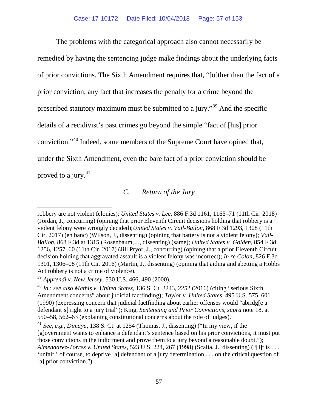The problems with the categorical approach also cannot necessarily be remedied by having the sentencing judge make findings about the underlying facts of prior convictions. The Sixth Amendment requires that, "[o]ther than the fact of a prior conviction, any fact that increases the penalty for a crime beyond the prescribed statutory maximum must be submitted to a jury."[39](#page-56-0) And the specific details of a recidivist's past crimes go beyond the simple "fact of [his] prior conviction."[40](#page-56-1) Indeed, some members of the Supreme Court have opined that, under the Sixth Amendment, even the bare fact of a prior conviction should be proved to a jury. $41$ 

# *C. Return of the Jury*

l

robbery are not violent felonies); *United States v. Lee*, 886 F.3d 1161, 1165–71 (11th Cir. 2018) (Jordan, J., concurring) (opining that prior Eleventh Circuit decisions holding that robbery is a violent felony were wrongly decided);*United States v. Vail-Bailon*, 868 F.3d 1293, 1308 (11th Cir. 2017) (en banc) (Wilson, J., dissenting) (opining that battery is not a violent felony); *Vail-Bailon*, 868 F.3d at 1315 (Rosenbaum, J., dissenting) (same); *United States v. Golden*, 854 F.3d 1256, 1257–60 (11th Cir. 2017) (Jill Pryor, J., concurring) (opining that a prior Eleventh Circuit decision holding that aggravated assault is a violent felony was incorrect); *In re Colon*, 826 F.3d 1301, 1306–08 (11th Cir. 2016) (Martin, J., dissenting) (opining that aiding and abetting a Hobbs Act robbery is not a crime of violence).

<span id="page-56-0"></span><sup>39</sup> *Apprendi v. New Jersey*, 530 U.S. 466, 490 (2000).

<span id="page-56-1"></span><sup>40</sup> *Id.*; *see also Mathis v. United States*, 136 S. Ct. 2243, 2252 (2016) (citing "serious Sixth Amendment concerns" about judicial factfinding); *Taylor v. United States*, 495 U.S. 575, 601 (1990) (expressing concern that judicial factfinding about earlier offenses would "abridg[e a defendant's] right to a jury trial"); King, *Sentencing and Prior Convictions*, *supra* note 18, at 550–58, 562–63 (explaining constitutional concerns about the role of judges).

<span id="page-56-2"></span><sup>41</sup> *See, e.g.*, *Dimaya*, 138 S. Ct. at 1254 (Thomas, J., dissenting) ("In my view, if the [g]overnment wants to enhance a defendant's sentence based on his prior convictions, it must put those convictions in the indictment and prove them to a jury beyond a reasonable doubt."); *Almendarez-Torres v. United States*, 523 U.S. 224, 267 (1998) (Scalia, J., dissenting) ("[I]t is . . . 'unfair,' of course, to deprive [a] defendant of a jury determination . . . on the critical question of [a] prior conviction.").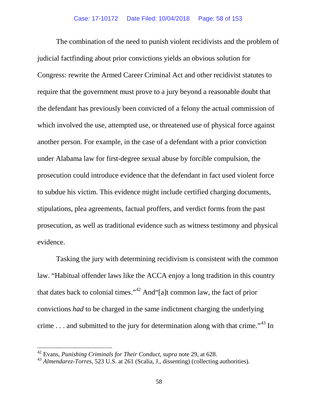The combination of the need to punish violent recidivists and the problem of judicial factfinding about prior convictions yields an obvious solution for Congress: rewrite the Armed Career Criminal Act and other recidivist statutes to require that the government must prove to a jury beyond a reasonable doubt that the defendant has previously been convicted of a felony the actual commission of which involved the use, attempted use, or threatened use of physical force against another person. For example, in the case of a defendant with a prior conviction under Alabama law for first-degree sexual abuse by forcible compulsion, the prosecution could introduce evidence that the defendant in fact used violent force to subdue his victim. This evidence might include certified charging documents, stipulations, plea agreements, factual proffers, and verdict forms from the past prosecution, as well as traditional evidence such as witness testimony and physical evidence.

Tasking the jury with determining recidivism is consistent with the common law. "Habitual offender laws like the ACCA enjoy a long tradition in this country that dates back to colonial times."[42](#page-57-0) And"[a]t common law, the fact of prior convictions *had* to be charged in the same indictment charging the underlying crime  $\dots$  and submitted to the jury for determination along with that crime.<sup> $143$  $143$ </sup> In

<span id="page-57-0"></span><sup>42</sup> Evans, *Punishing Criminals for Their Conduct*, *supra* note 29, at 628.

<span id="page-57-1"></span><sup>43</sup> *Almendarez-Torres*, 523 U.S. at 261 (Scalia, J., dissenting) (collecting authorities).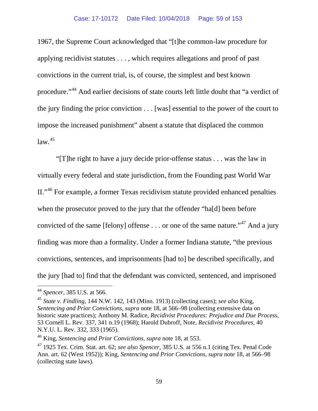1967, the Supreme Court acknowledged that "[t]he common-law procedure for applying recidivist statutes . . . , which requires allegations and proof of past convictions in the current trial, is, of course, the simplest and best known procedure."[44](#page-58-0) And earlier decisions of state courts left little doubt that "a verdict of the jury finding the prior conviction . . . [was] essential to the power of the court to impose the increased punishment" absent a statute that displaced the common  $law.<sup>45</sup>$  $law.<sup>45</sup>$  $law.<sup>45</sup>$ 

"[T]he right to have a jury decide prior-offense status . . . was the law in virtually every federal and state jurisdiction, from the Founding past World War II."[46](#page-58-2) For example, a former Texas recidivism statute provided enhanced penalties when the prosecutor proved to the jury that the offender "ha[d] been before convicted of the same [felony] offense  $\dots$  or one of the same nature."<sup>[47](#page-58-3)</sup> And a jury finding was more than a formality. Under a former Indiana statute, "the previous convictions, sentences, and imprisonments [had to] be described specifically, and the jury [had to] find that the defendant was convicted, sentenced, and imprisoned

<span id="page-58-0"></span><sup>44</sup> *Spencer*, 385 U.S. at 566.

<span id="page-58-1"></span><sup>45</sup> *State v. Findling*, 144 N.W. 142, 143 (Minn. 1913) (collecting cases); *see also* King, *Sentencing and Prior Convictions*, *supra* note 18, at 566–98 (collecting extensive data on historic state practices); Anthony M. Radice, *Recidivist Procedures: Prejudice and Due Process*, 53 Cornell L. Rev. 337, 341 n.19 (1968); Harold Dubroff, Note, *Recidivist Procedures*, 40 N.Y.U. L. Rev. 332, 333 (1965).

<span id="page-58-2"></span><sup>46</sup> King, *Sentencing and Prior Convictions*, *supra* note 18, at 553.

<span id="page-58-3"></span><sup>47</sup> 1925 Tex. Crim. Stat. art. 62; *see also Spencer*, 385 U.S. at 556 n.1 (citing Tex. Penal Code Ann. art. 62 (West 1952)); King, *Sentencing and Prior Convictions*, *supra* note 18, at 566–98 (collecting state laws).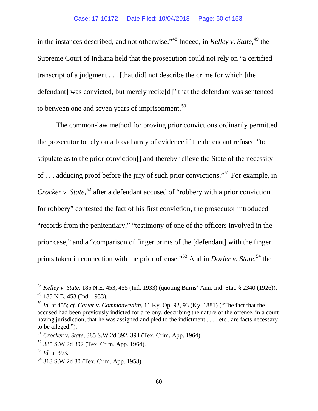in the instances described, and not otherwise."[48](#page-59-0) Indeed, in *Kelley v. State*, [49](#page-59-1) the Supreme Court of Indiana held that the prosecution could not rely on "a certified transcript of a judgment . . . [that did] not describe the crime for which [the defendant] was convicted, but merely recite[d]" that the defendant was sentenced to between one and seven years of imprisonment.<sup>[50](#page-59-2)</sup>

The common-law method for proving prior convictions ordinarily permitted the prosecutor to rely on a broad array of evidence if the defendant refused "to stipulate as to the prior conviction[] and thereby relieve the State of the necessity of  $\ldots$  adducing proof before the jury of such prior convictions.<sup>[51](#page-59-3)</sup> For example, in *Crocker v. State*,<sup>[52](#page-59-4)</sup> after a defendant accused of "robbery with a prior conviction for robbery" contested the fact of his first conviction, the prosecutor introduced "records from the penitentiary," "testimony of one of the officers involved in the prior case," and a "comparison of finger prints of the [defendant] with the finger prints taken in connection with the prior offense."<sup>[53](#page-59-5)</sup> And in *Dozier v. State*,<sup>[54](#page-59-6)</sup> the

<span id="page-59-0"></span><sup>48</sup> *Kelley v. State*, 185 N.E. 453, 455 (Ind. 1933) (quoting Burns' Ann. Ind. Stat. § 2340 (1926)). <sup>49</sup> 185 N.E. 453 (Ind. 1933).

<span id="page-59-2"></span><span id="page-59-1"></span><sup>50</sup> *Id.* at 455; *cf. Carter v. Commonwealth*, 11 Ky. Op. 92, 93 (Ky. 1881) ("The fact that the accused had been previously indicted for a felony, describing the nature of the offense, in a court having jurisdiction, that he was assigned and pled to the indictment . . . , etc., are facts necessary to be alleged.").

<span id="page-59-3"></span><sup>51</sup> *Crocker v. State*, 385 S.W.2d 392, 394 (Tex. Crim. App. 1964).

<span id="page-59-4"></span><sup>52</sup> 385 S.W.2d 392 (Tex. Crim. App. 1964).

<span id="page-59-5"></span><sup>53</sup> *Id.* at 393.

<span id="page-59-6"></span><sup>54</sup> 318 S.W.2d 80 (Tex. Crim. App. 1958).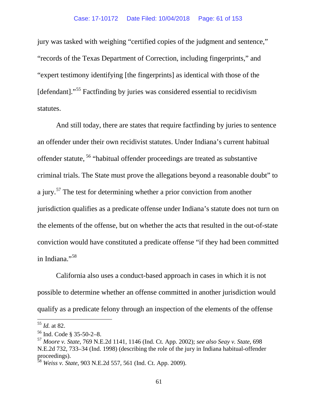jury was tasked with weighing "certified copies of the judgment and sentence," "records of the Texas Department of Correction, including fingerprints," and "expert testimony identifying [the fingerprints] as identical with those of the [defendant]."[55](#page-60-0) Factfinding by juries was considered essential to recidivism statutes.

And still today, there are states that require factfinding by juries to sentence an offender under their own recidivist statutes. Under Indiana's current habitual offender statute, [56](#page-60-1) "habitual offender proceedings are treated as substantive criminal trials. The State must prove the allegations beyond a reasonable doubt" to a jury.<sup>[57](#page-60-2)</sup> The test for determining whether a prior conviction from another jurisdiction qualifies as a predicate offense under Indiana's statute does not turn on the elements of the offense, but on whether the acts that resulted in the out-of-state conviction would have constituted a predicate offense "if they had been committed in Indiana."<sup>[58](#page-60-3)</sup>

California also uses a conduct-based approach in cases in which it is not possible to determine whether an offense committed in another jurisdiction would qualify as a predicate felony through an inspection of the elements of the offense

<span id="page-60-0"></span><sup>55</sup> *Id.* at 82.

<span id="page-60-1"></span> $56$  Ind. Code § 35-50-2-8.

<span id="page-60-2"></span><sup>57</sup> *Moore v. State*, 769 N.E.2d 1141, 1146 (Ind. Ct. App. 2002); *see also Seay v. State*, 698 N.E.2d 732, 733–34 (Ind. 1998) (describing the role of the jury in Indiana habitual-offender proceedings).

<span id="page-60-3"></span><sup>58</sup> *Weiss v. State*, 903 N.E.2d 557, 561 (Ind. Ct. App. 2009).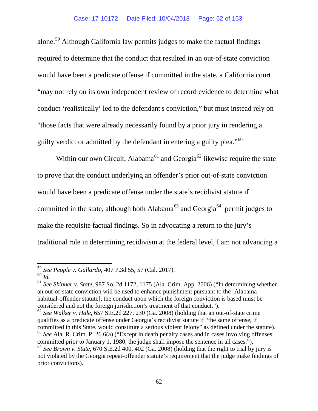alone.[59](#page-61-0) Although California law permits judges to make the factual findings required to determine that the conduct that resulted in an out-of-state conviction would have been a predicate offense if committed in the state, a California court "may not rely on its own independent review of record evidence to determine what conduct 'realistically' led to the defendant's conviction," but must instead rely on "those facts that were already necessarily found by a prior jury in rendering a guilty verdict or admitted by the defendant in entering a guilty plea."<sup>[60](#page-61-1)</sup>

Within our own Circuit, Alabama<sup>[61](#page-61-2)</sup> and Georgia<sup>[62](#page-61-3)</sup> likewise require the state to prove that the conduct underlying an offender's prior out-of-state conviction would have been a predicate offense under the state's recidivist statute if committed in the state, although both Alabama<sup>[63](#page-61-4)</sup> and Georgia<sup>[64](#page-61-5)</sup> permit judges to make the requisite factual findings. So in advocating a return to the jury's traditional role in determining recidivism at the federal level, I am not advancing a

<span id="page-61-0"></span><sup>59</sup> *See People v. Gallardo*, 407 P.3d 55, 57 (Cal. 2017).

<span id="page-61-1"></span><sup>60</sup> *Id.*

<span id="page-61-2"></span><sup>61</sup> *See Skinner v. State*, 987 So. 2d 1172, 1175 (Ala. Crim. App. 2006) ("In determining whether an out-of-state conviction will be used to enhance punishment pursuant to the [Alabama habitual-offender statute], the conduct upon which the foreign conviction is based must be considered and not the foreign jurisdiction's treatment of that conduct.").

<span id="page-61-3"></span><sup>62</sup> *See Walker v. Hale*, 657 S.E.2d 227, 230 (Ga. 2008) (holding that an out-of-state crime qualifies as a predicate offense under Georgia's recidivist statute if "the same offense, if committed in this State, would constitute a serious violent felony" as defined under the statute).

<span id="page-61-5"></span><span id="page-61-4"></span><sup>63</sup> *See* Ala. R. Crim. P. 26.6(a) ("Except in death penalty cases and in cases involving offenses committed prior to January 1, 1980, the judge shall impose the sentence in all cases."). <sup>64</sup> *See Brown v. State*, 670 S.E.2d 400, 402 (Ga. 2008) (holding that the right to trial by jury is not violated by the Georgia repeat-offender statute's requirement that the judge make findings of prior convictions).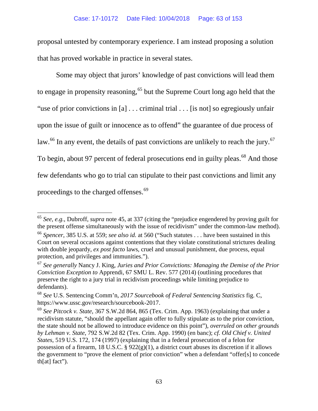### Case: 17-10172 Date Filed: 10/04/2018 Page: 63 of 153

proposal untested by contemporary experience. I am instead proposing a solution that has proved workable in practice in several states.

Some may object that jurors' knowledge of past convictions will lead them to engage in propensity reasoning,<sup>[65](#page-62-0)</sup> but the Supreme Court long ago held that the "use of prior convictions in [a] . . . criminal trial . . . [is not] so egregiously unfair upon the issue of guilt or innocence as to offend" the guarantee of due process of law.<sup>[66](#page-62-1)</sup> In any event, the details of past convictions are unlikely to reach the jury.<sup>[67](#page-62-2)</sup> To begin, about 97 percent of federal prosecutions end in guilty pleas.<sup>[68](#page-62-3)</sup> And those few defendants who go to trial can stipulate to their past convictions and limit any proceedings to the charged offenses.<sup>[69](#page-62-4)</sup>

<span id="page-62-0"></span><sup>65</sup> *See, e.g.*, Dubroff, *supra* note 45, at 337 (citing the "prejudice engendered by proving guilt for the present offense simultaneously with the issue of recidivism" under the common-law method).

<span id="page-62-1"></span><sup>66</sup> *Spencer*, 385 U.S. at 559; *see also id.* at 560 ("Such statutes . . . have been sustained in this Court on several occasions against contentions that they violate constitutional strictures dealing with double jeopardy, *ex post facto* laws, cruel and unusual punishment, due process, equal protection, and privileges and immunities.").

<span id="page-62-2"></span><sup>67</sup> *See generally* Nancy J. King, *Juries and Prior Convictions: Managing the Demise of the Prior Conviction Exception to* Apprendi, 67 SMU L. Rev. 577 (2014) (outlining procedures that preserve the right to a jury trial in recidivism proceedings while limiting prejudice to defendants).

<span id="page-62-3"></span><sup>68</sup> *See* U.S. Sentencing Comm'n, *2017 Sourcebook of Federal Sentencing Statistics* fig. C, https://www.ussc.gov/research/sourcebook-2017.

<span id="page-62-4"></span><sup>69</sup> *See Pitcock v. State*, 367 S.W.2d 864, 865 (Tex. Crim. App. 1963) (explaining that under a recidivism statute, "should the appellant again offer to fully stipulate as to the prior conviction, the state should not be allowed to introduce evidence on this point"), *overruled on other grounds by Lehman v. State*, 792 S.W.2d 82 (Tex. Crim. App. 1990) (en banc); *cf. Old Chief v. United States*, 519 U.S. 172, 174 (1997) (explaining that in a federal prosecution of a felon for possession of a firearm, 18 U.S.C. § 922(g)(1), a district court abuses its discretion if it allows the government to "prove the element of prior conviction" when a defendant "offer[s] to concede th[at] fact").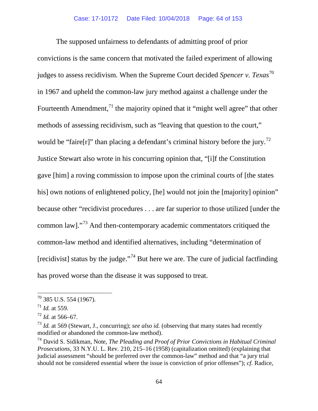The supposed unfairness to defendants of admitting proof of prior convictions is the same concern that motivated the failed experiment of allowing judges to assess recidivism. When the Supreme Court decided *Spencer v. Texas*[70](#page-63-0) in 1967 and upheld the common-law jury method against a challenge under the Fourteenth Amendment,<sup> $71$ </sup> the majority opined that it "might well agree" that other methods of assessing recidivism, such as "leaving that question to the court," would be "faire[r]" than placing a defendant's criminal history before the jury.<sup>[72](#page-63-2)</sup> Justice Stewart also wrote in his concurring opinion that, "[i]f the Constitution gave [him] a roving commission to impose upon the criminal courts of [the states his] own notions of enlightened policy, [he] would not join the [majority] opinion" because other "recidivist procedures . . . are far superior to those utilized [under the common law]."[73](#page-63-3) And then-contemporary academic commentators critiqued the common-law method and identified alternatives, including "determination of [recidivist] status by the judge."[74](#page-63-4) But here we are. The cure of judicial factfinding has proved worse than the disease it was supposed to treat.

<span id="page-63-0"></span> $70$  385 U.S. 554 (1967).

<span id="page-63-1"></span> $71$  *Id.* at 559.

<span id="page-63-2"></span><sup>72</sup> *Id.* at 566–67.

<span id="page-63-3"></span><sup>73</sup> *Id.* at 569 (Stewart, J., concurring); *see also id.* (observing that many states had recently modified or abandoned the common-law method).

<span id="page-63-4"></span><sup>74</sup> David S. Sidikman, Note, *The Pleading and Proof of Prior Convictions in Habitual Criminal Prosecutions*, 33 N.Y.U. L. Rev. 210, 215–16 (1958) (capitalization omitted) (explaining that judicial assessment "should be preferred over the common-law" method and that "a jury trial should not be considered essential where the issue is conviction of prior offenses"); *cf.* Radice,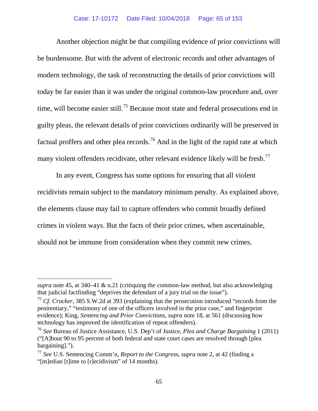Another objection might be that compiling evidence of prior convictions will be burdensome. But with the advent of electronic records and other advantages of modern technology, the task of reconstructing the details of prior convictions will today be far easier than it was under the original common-law procedure and, over time, will become easier still.<sup>[75](#page-64-0)</sup> Because most state and federal prosecutions end in guilty pleas, the relevant details of prior convictions ordinarily will be preserved in factual proffers and other plea records.<sup>[76](#page-64-1)</sup> And in the light of the rapid rate at which many violent offenders recidivate, other relevant evidence likely will be fresh.<sup>[77](#page-64-2)</sup>

In any event, Congress has some options for ensuring that all violent recidivists remain subject to the mandatory minimum penalty. As explained above, the elements clause may fail to capture offenders who commit broadly defined crimes in violent ways. But the facts of their prior crimes, when ascertainable, should not be immune from consideration when they commit new crimes.

l

*supra* note 45, at  $340-41 \& n.21$  (critiquing the common-law method, but also acknowledging that judicial factfinding "deprives the defendant of a jury trial on the issue").

<span id="page-64-0"></span><sup>&</sup>lt;sup>75</sup> *Cf. Crocker*, 385 S.W.2d at 393 (explaining that the prosecution introduced "records from the penitentiary," "testimony of one of the officers involved in the prior case," and fingerprint evidence); King, *Sentencing and Prior Convictions*, *supra* note 18, at 561 (discussing how technology has improved the identification of repeat offenders).

<span id="page-64-1"></span><sup>76</sup> *See* Bureau of Justice Assistance, U.S. Dep't of Justice, *Plea and Charge Bargaining* 1 (2011) ("[A]bout 90 to 95 percent of both federal and state court cases are resolved through [plea bargaining].").

<span id="page-64-2"></span><sup>77</sup> *See* U.S. Sentencing Comm'n, *Report to the Congress*, *supra* note 2, at 42 (finding a "[m]edian [t]ime to [r]ecidivism" of 14 months).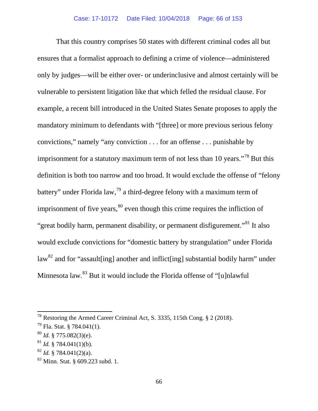That this country comprises 50 states with different criminal codes all but ensures that a formalist approach to defining a crime of violence—administered only by judges—will be either over- or underinclusive and almost certainly will be vulnerable to persistent litigation like that which felled the residual clause. For example, a recent bill introduced in the United States Senate proposes to apply the mandatory minimum to defendants with "[three] or more previous serious felony convictions," namely "any conviction . . . for an offense . . . punishable by imprisonment for a statutory maximum term of not less than 10 years."<sup>[78](#page-65-0)</sup> But this definition is both too narrow and too broad. It would exclude the offense of "felony battery" under Florida law,  $\frac{79}{9}$  $\frac{79}{9}$  $\frac{79}{9}$  a third-degree felony with a maximum term of imprisonment of five years,  $80$  even though this crime requires the infliction of "great bodily harm, permanent disability, or permanent disfigurement."[81](#page-65-3) It also would exclude convictions for "domestic battery by strangulation" under Florida law<sup>[82](#page-65-4)</sup> and for "assault [ing] another and inflict [ing] substantial bodily harm" under Minnesota law.[83](#page-65-5) But it would include the Florida offense of "[u]nlawful

<span id="page-65-0"></span><sup>78</sup> Restoring the Armed Career Criminal Act, S. 3335, 115th Cong. § 2 (2018).

<span id="page-65-1"></span> $79$  Fla. Stat. § 784.041(1).

<span id="page-65-2"></span><sup>80</sup> *Id.* § 775.082(3)(e).

<span id="page-65-3"></span> $^{81}$  *Id.* § 784.041(1)(b).

<span id="page-65-4"></span><sup>82</sup> *Id.* § 784.041(2)(a).

<span id="page-65-5"></span><sup>83</sup> Minn. Stat. § 609.223 subd. 1.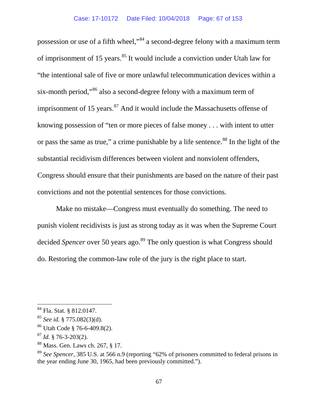possession or use of a fifth wheel,"[84](#page-66-0) a second-degree felony with a maximum term of imprisonment of 15 years.<sup>[85](#page-66-1)</sup> It would include a conviction under Utah law for "the intentional sale of five or more unlawful telecommunication devices within a six-month period,"[86](#page-66-2) also a second-degree felony with a maximum term of imprisonment of 15 years. $87$  And it would include the Massachusetts offense of knowing possession of "ten or more pieces of false money . . . with intent to utter or pass the same as true," a crime punishable by a life sentence.<sup>[88](#page-66-4)</sup> In the light of the substantial recidivism differences between violent and nonviolent offenders, Congress should ensure that their punishments are based on the nature of their past convictions and not the potential sentences for those convictions.

Make no mistake—Congress must eventually do something. The need to punish violent recidivists is just as strong today as it was when the Supreme Court decided *Spencer* over 50 years ago.<sup>[89](#page-66-5)</sup> The only question is what Congress should do. Restoring the common-law role of the jury is the right place to start.

<span id="page-66-4"></span><sup>88</sup> Mass. Gen. Laws ch. 267, § 17.

<span id="page-66-0"></span><sup>84</sup> Fla. Stat. § 812.0147.

<span id="page-66-1"></span><sup>85</sup> *See id.* § 775.082(3)(d).

<span id="page-66-2"></span><sup>86</sup> Utah Code § 76-6-409.8(2).

<span id="page-66-3"></span><sup>87</sup> *Id.* § 76-3-203(2).

<span id="page-66-5"></span><sup>89</sup> *See Spencer*, 385 U.S. at 566 n.9 (reporting "62% of prisoners committed to federal prisons in the year ending June 30, 1965, had been previously committed.").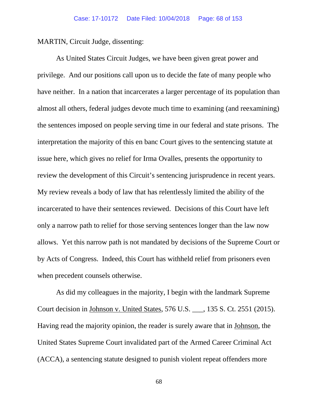MARTIN, Circuit Judge, dissenting:

As United States Circuit Judges, we have been given great power and privilege. And our positions call upon us to decide the fate of many people who have neither. In a nation that incarcerates a larger percentage of its population than almost all others, federal judges devote much time to examining (and reexamining) the sentences imposed on people serving time in our federal and state prisons. The interpretation the majority of this en banc Court gives to the sentencing statute at issue here, which gives no relief for Irma Ovalles, presents the opportunity to review the development of this Circuit's sentencing jurisprudence in recent years. My review reveals a body of law that has relentlessly limited the ability of the incarcerated to have their sentences reviewed. Decisions of this Court have left only a narrow path to relief for those serving sentences longer than the law now allows. Yet this narrow path is not mandated by decisions of the Supreme Court or by Acts of Congress. Indeed, this Court has withheld relief from prisoners even when precedent counsels otherwise.

As did my colleagues in the majority, I begin with the landmark Supreme Court decision in Johnson v. United States, 576 U.S. \_\_\_, 135 S. Ct. 2551 (2015). Having read the majority opinion, the reader is surely aware that in Johnson, the United States Supreme Court invalidated part of the Armed Career Criminal Act (ACCA), a sentencing statute designed to punish violent repeat offenders more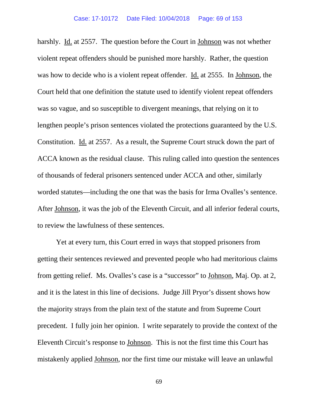harshly. Id. at 2557. The question before the Court in Johnson was not whether violent repeat offenders should be punished more harshly. Rather, the question was how to decide who is a violent repeat offender. Id. at 2555. In Johnson, the Court held that one definition the statute used to identify violent repeat offenders was so vague, and so susceptible to divergent meanings, that relying on it to lengthen people's prison sentences violated the protections guaranteed by the U.S. Constitution. Id. at 2557. As a result, the Supreme Court struck down the part of ACCA known as the residual clause. This ruling called into question the sentences of thousands of federal prisoners sentenced under ACCA and other, similarly worded statutes—including the one that was the basis for Irma Ovalles's sentence. After Johnson, it was the job of the Eleventh Circuit, and all inferior federal courts, to review the lawfulness of these sentences.

Yet at every turn, this Court erred in ways that stopped prisoners from getting their sentences reviewed and prevented people who had meritorious claims from getting relief. Ms. Ovalles's case is a "successor" to Johnson, Maj. Op. at 2, and it is the latest in this line of decisions. Judge Jill Pryor's dissent shows how the majority strays from the plain text of the statute and from Supreme Court precedent. I fully join her opinion. I write separately to provide the context of the Eleventh Circuit's response to Johnson. This is not the first time this Court has mistakenly applied Johnson, nor the first time our mistake will leave an unlawful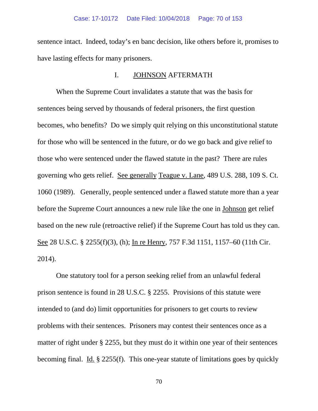sentence intact. Indeed, today's en banc decision, like others before it, promises to have lasting effects for many prisoners.

### I. JOHNSON AFTERMATH

When the Supreme Court invalidates a statute that was the basis for sentences being served by thousands of federal prisoners, the first question becomes, who benefits? Do we simply quit relying on this unconstitutional statute for those who will be sentenced in the future, or do we go back and give relief to those who were sentenced under the flawed statute in the past? There are rules governing who gets relief. See generally Teague v. Lane, 489 U.S. 288, 109 S. Ct. 1060 (1989). Generally, people sentenced under a flawed statute more than a year before the Supreme Court announces a new rule like the one in Johnson get relief based on the new rule (retroactive relief) if the Supreme Court has told us they can. See 28 U.S.C. § 2255(f)(3), (h); In re Henry, 757 F.3d 1151, 1157–60 (11th Cir. 2014).

One statutory tool for a person seeking relief from an unlawful federal prison sentence is found in 28 U.S.C. § 2255. Provisions of this statute were intended to (and do) limit opportunities for prisoners to get courts to review problems with their sentences. Prisoners may contest their sentences once as a matter of right under § 2255, but they must do it within one year of their sentences becoming final. Id. § 2255(f). This one-year statute of limitations goes by quickly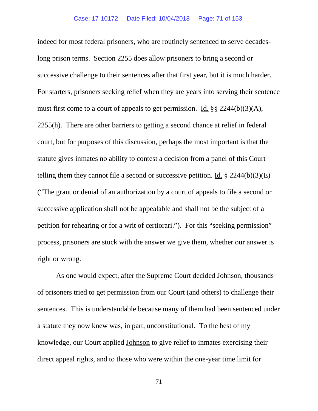indeed for most federal prisoners, who are routinely sentenced to serve decadeslong prison terms. Section 2255 does allow prisoners to bring a second or successive challenge to their sentences after that first year, but it is much harder. For starters, prisoners seeking relief when they are years into serving their sentence must first come to a court of appeals to get permission. Id. §§ 2244(b)(3)(A), 2255(h). There are other barriers to getting a second chance at relief in federal court, but for purposes of this discussion, perhaps the most important is that the statute gives inmates no ability to contest a decision from a panel of this Court telling them they cannot file a second or successive petition. Id.  $\S 2244(b)(3)(E)$ ("The grant or denial of an authorization by a court of appeals to file a second or successive application shall not be appealable and shall not be the subject of a petition for rehearing or for a writ of certiorari."). For this "seeking permission" process, prisoners are stuck with the answer we give them, whether our answer is right or wrong.

As one would expect, after the Supreme Court decided Johnson, thousands of prisoners tried to get permission from our Court (and others) to challenge their sentences. This is understandable because many of them had been sentenced under a statute they now knew was, in part, unconstitutional. To the best of my knowledge, our Court applied Johnson to give relief to inmates exercising their direct appeal rights, and to those who were within the one-year time limit for

71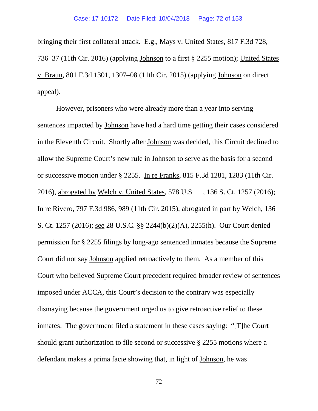bringing their first collateral attack. E.g., Mays v. United States, 817 F.3d 728, 736–37 (11th Cir. 2016) (applying Johnson to a first § 2255 motion); United States v. Braun, 801 F.3d 1301, 1307–08 (11th Cir. 2015) (applying Johnson on direct appeal).

However, prisoners who were already more than a year into serving sentences impacted by Johnson have had a hard time getting their cases considered in the Eleventh Circuit. Shortly after Johnson was decided, this Circuit declined to allow the Supreme Court's new rule in Johnson to serve as the basis for a second or successive motion under § 2255. In re Franks, 815 F.3d 1281, 1283 (11th Cir. 2016), abrogated by Welch v. United States, 578 U.S. \_\_, 136 S. Ct. 1257 (2016); In re Rivero, 797 F.3d 986, 989 (11th Cir. 2015), abrogated in part by Welch, 136 S. Ct. 1257 (2016); see 28 U.S.C. §§ 2244(b)(2)(A), 2255(h). Our Court denied permission for § 2255 filings by long-ago sentenced inmates because the Supreme Court did not say Johnson applied retroactively to them. As a member of this Court who believed Supreme Court precedent required broader review of sentences imposed under ACCA, this Court's decision to the contrary was especially dismaying because the government urged us to give retroactive relief to these inmates. The government filed a statement in these cases saying: "[T]he Court should grant authorization to file second or successive § 2255 motions where a defendant makes a prima facie showing that, in light of Johnson, he was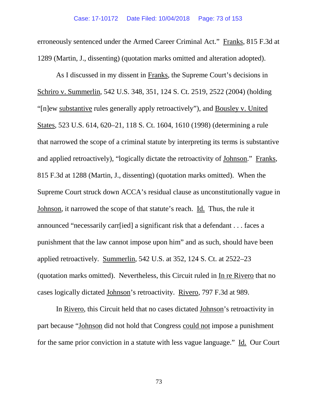erroneously sentenced under the Armed Career Criminal Act." Franks, 815 F.3d at 1289 (Martin, J., dissenting) (quotation marks omitted and alteration adopted).

As I discussed in my dissent in Franks, the Supreme Court's decisions in Schriro v. Summerlin, 542 U.S. 348, 351, 124 S. Ct. 2519, 2522 (2004) (holding "[n]ew substantive rules generally apply retroactively"), and Bousley v. United States, 523 U.S. 614, 620–21, 118 S. Ct. 1604, 1610 (1998) (determining a rule that narrowed the scope of a criminal statute by interpreting its terms is substantive and applied retroactively), "logically dictate the retroactivity of Johnson." Franks, 815 F.3d at 1288 (Martin, J., dissenting) (quotation marks omitted). When the Supreme Court struck down ACCA's residual clause as unconstitutionally vague in Johnson, it narrowed the scope of that statute's reach. Id. Thus, the rule it announced "necessarily carr[ied] a significant risk that a defendant . . . faces a punishment that the law cannot impose upon him" and as such, should have been applied retroactively. Summerlin, 542 U.S. at 352, 124 S. Ct. at 2522–23 (quotation marks omitted). Nevertheless, this Circuit ruled in In re Rivero that no cases logically dictated Johnson's retroactivity. Rivero, 797 F.3d at 989.

In Rivero, this Circuit held that no cases dictated Johnson's retroactivity in part because "Johnson did not hold that Congress could not impose a punishment for the same prior conviction in a statute with less vague language." Id. Our Court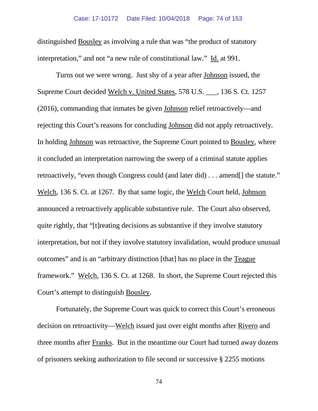distinguished Bousley as involving a rule that was "the product of statutory interpretation," and not "a new rule of constitutional law." Id. at 991.

Turns out we were wrong. Just shy of a year after Johnson issued, the Supreme Court decided Welch v. United States, 578 U.S. \_\_\_, 136 S. Ct. 1257 (2016), commanding that inmates be given Johnson relief retroactively—and rejecting this Court's reasons for concluding Johnson did not apply retroactively. In holding Johnson was retroactive, the Supreme Court pointed to Bousley, where it concluded an interpretation narrowing the sweep of a criminal statute applies retroactively, "even though Congress could (and later did) . . . amend[] the statute." Welch, 136 S. Ct. at 1267. By that same logic, the Welch Court held, Johnson announced a retroactively applicable substantive rule. The Court also observed, quite rightly, that "[t]reating decisions as substantive if they involve statutory interpretation, but not if they involve statutory invalidation, would produce unusual outcomes" and is an "arbitrary distinction [that] has no place in the Teague framework." Welch, 136 S. Ct. at 1268. In short, the Supreme Court rejected this Court's attempt to distinguish Bousley.

Fortunately, the Supreme Court was quick to correct this Court's erroneous decision on retroactivity—Welch issued just over eight months after Rivero and three months after Franks. But in the meantime our Court had turned away dozens of prisoners seeking authorization to file second or successive § 2255 motions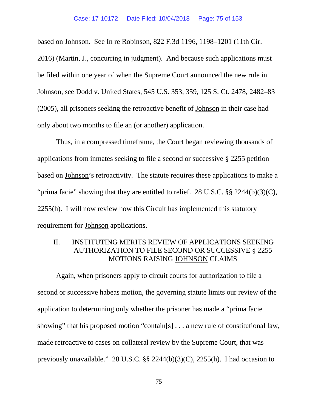based on Johnson. See In re Robinson, 822 F.3d 1196, 1198–1201 (11th Cir. 2016) (Martin, J., concurring in judgment). And because such applications must be filed within one year of when the Supreme Court announced the new rule in Johnson, see Dodd v. United States, 545 U.S. 353, 359, 125 S. Ct. 2478, 2482–83 (2005), all prisoners seeking the retroactive benefit of Johnson in their case had only about two months to file an (or another) application.

Thus, in a compressed timeframe, the Court began reviewing thousands of applications from inmates seeking to file a second or successive § 2255 petition based on Johnson's retroactivity. The statute requires these applications to make a "prima facie" showing that they are entitled to relief. 28 U.S.C. §§ 2244(b)(3)(C), 2255(h). I will now review how this Circuit has implemented this statutory requirement for Johnson applications.

# II. INSTITUTING MERITS REVIEW OF APPLICATIONS SEEKING AUTHORIZATION TO FILE SECOND OR SUCCESSIVE § 2255 MOTIONS RAISING JOHNSON CLAIMS

Again, when prisoners apply to circuit courts for authorization to file a second or successive habeas motion, the governing statute limits our review of the application to determining only whether the prisoner has made a "prima facie showing" that his proposed motion "contain[s] . . . a new rule of constitutional law, made retroactive to cases on collateral review by the Supreme Court, that was previously unavailable." 28 U.S.C. §§ 2244(b)(3)(C), 2255(h). I had occasion to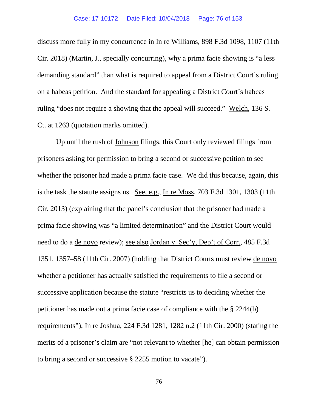discuss more fully in my concurrence in In re Williams, 898 F.3d 1098, 1107 (11th Cir. 2018) (Martin, J., specially concurring), why a prima facie showing is "a less demanding standard" than what is required to appeal from a District Court's ruling on a habeas petition. And the standard for appealing a District Court's habeas ruling "does not require a showing that the appeal will succeed." Welch, 136 S. Ct. at 1263 (quotation marks omitted).

Up until the rush of Johnson filings, this Court only reviewed filings from prisoners asking for permission to bring a second or successive petition to see whether the prisoner had made a prima facie case. We did this because, again, this is the task the statute assigns us. See, e.g., In re Moss, 703 F.3d 1301, 1303 (11th Cir. 2013) (explaining that the panel's conclusion that the prisoner had made a prima facie showing was "a limited determination" and the District Court would need to do a de novo review); see also Jordan v. Sec'y, Dep't of Corr., 485 F.3d 1351, 1357–58 (11th Cir. 2007) (holding that District Courts must review de novo whether a petitioner has actually satisfied the requirements to file a second or successive application because the statute "restricts us to deciding whether the petitioner has made out a prima facie case of compliance with the § 2244(b) requirements"); In re Joshua, 224 F.3d 1281, 1282 n.2 (11th Cir. 2000) (stating the merits of a prisoner's claim are "not relevant to whether [he] can obtain permission to bring a second or successive § 2255 motion to vacate").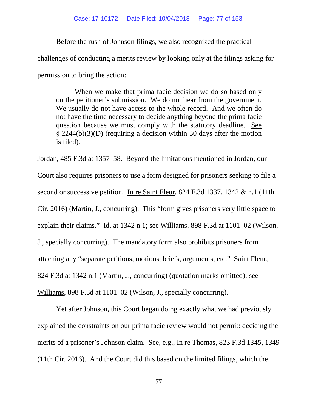Before the rush of Johnson filings, we also recognized the practical challenges of conducting a merits review by looking only at the filings asking for permission to bring the action:

When we make that prima facie decision we do so based only on the petitioner's submission. We do not hear from the government. We usually do not have access to the whole record. And we often do not have the time necessary to decide anything beyond the prima facie question because we must comply with the statutory deadline. See § 2244(b)(3)(D) (requiring a decision within 30 days after the motion is filed).

Jordan, 485 F.3d at 1357–58. Beyond the limitations mentioned in Jordan, our Court also requires prisoners to use a form designed for prisoners seeking to file a second or successive petition. In re Saint Fleur, 824 F.3d 1337, 1342 & n.1 (11th Cir. 2016) (Martin, J., concurring). This "form gives prisoners very little space to explain their claims." Id. at 1342 n.1; see Williams, 898 F.3d at 1101–02 (Wilson, J., specially concurring). The mandatory form also prohibits prisoners from attaching any "separate petitions, motions, briefs, arguments, etc." Saint Fleur, 824 F.3d at 1342 n.1 (Martin, J., concurring) (quotation marks omitted); see Williams, 898 F.3d at 1101–02 (Wilson, J., specially concurring).

Yet after Johnson, this Court began doing exactly what we had previously explained the constraints on our prima facie review would not permit: deciding the merits of a prisoner's Johnson claim. See, e.g., In re Thomas, 823 F.3d 1345, 1349 (11th Cir. 2016). And the Court did this based on the limited filings, which the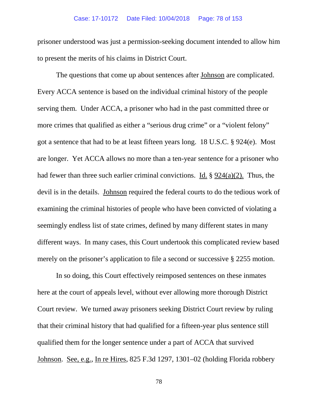prisoner understood was just a permission-seeking document intended to allow him to present the merits of his claims in District Court.

The questions that come up about sentences after Johnson are complicated. Every ACCA sentence is based on the individual criminal history of the people serving them. Under ACCA, a prisoner who had in the past committed three or more crimes that qualified as either a "serious drug crime" or a "violent felony" got a sentence that had to be at least fifteen years long. 18 U.S.C. § 924(e). Most are longer. Yet ACCA allows no more than a ten-year sentence for a prisoner who had fewer than three such earlier criminal convictions. Id. § 924(a)(2). Thus, the devil is in the details. Johnson required the federal courts to do the tedious work of examining the criminal histories of people who have been convicted of violating a seemingly endless list of state crimes, defined by many different states in many different ways. In many cases, this Court undertook this complicated review based merely on the prisoner's application to file a second or successive § 2255 motion.

In so doing, this Court effectively reimposed sentences on these inmates here at the court of appeals level, without ever allowing more thorough District Court review. We turned away prisoners seeking District Court review by ruling that their criminal history that had qualified for a fifteen-year plus sentence still qualified them for the longer sentence under a part of ACCA that survived Johnson. See, e.g., In re Hires, 825 F.3d 1297, 1301–02 (holding Florida robbery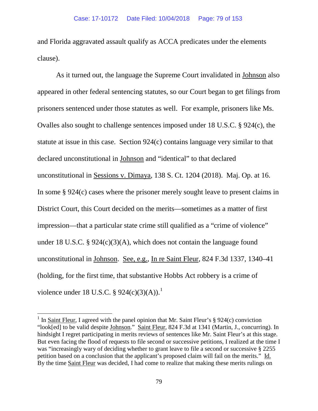and Florida aggravated assault qualify as ACCA predicates under the elements clause).

As it turned out, the language the Supreme Court invalidated in Johnson also appeared in other federal sentencing statutes, so our Court began to get filings from prisoners sentenced under those statutes as well. For example, prisoners like Ms. Ovalles also sought to challenge sentences imposed under 18 U.S.C. § 924(c), the statute at issue in this case. Section 924(c) contains language very similar to that declared unconstitutional in Johnson and "identical" to that declared unconstitutional in Sessions v. Dimaya, 138 S. Ct. 1204 (2018). Maj. Op. at 16. In some § 924(c) cases where the prisoner merely sought leave to present claims in District Court, this Court decided on the merits—sometimes as a matter of first impression—that a particular state crime still qualified as a "crime of violence" under 18 U.S.C. § 924(c)(3)(A), which does not contain the language found unconstitutional in Johnson. See, e.g., In re Saint Fleur, 824 F.3d 1337, 1340–41 (holding, for the first time, that substantive Hobbs Act robbery is a crime of violence under [1](#page-78-0)8 U.S.C. § 924(c)(3)(A)).<sup>1</sup>

<span id="page-78-0"></span><sup>&</sup>lt;sup>1</sup> In Saint Fleur, I agreed with the panel opinion that Mr. Saint Fleur's  $\S 924(c)$  conviction "look[ed] to be valid despite Johnson." Saint Fleur, 824 F.3d at 1341 (Martin, J., concurring). In hindsight I regret participating in merits reviews of sentences like Mr. Saint Fleur's at this stage. But even facing the flood of requests to file second or successive petitions, I realized at the time I was "increasingly wary of deciding whether to grant leave to file a second or successive § 2255 petition based on a conclusion that the applicant's proposed claim will fail on the merits." Id. By the time Saint Fleur was decided, I had come to realize that making these merits rulings on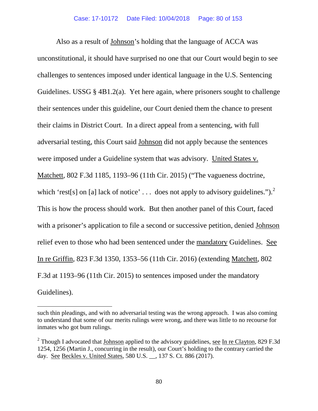Also as a result of Johnson's holding that the language of ACCA was unconstitutional, it should have surprised no one that our Court would begin to see challenges to sentences imposed under identical language in the U.S. Sentencing Guidelines. USSG  $\S$  4B1.2(a). Yet here again, where prisoners sought to challenge their sentences under this guideline, our Court denied them the chance to present their claims in District Court. In a direct appeal from a sentencing, with full adversarial testing, this Court said Johnson did not apply because the sentences were imposed under a Guideline system that was advisory. United States v. Matchett, 802 F.3d 1185, 1193–96 (11th Cir. 2015) ("The vagueness doctrine, which 'rest[s] on [a] lack of notice' ... does not apply to advisory guidelines.").<sup>[2](#page-79-0)</sup> This is how the process should work. But then another panel of this Court, faced with a prisoner's application to file a second or successive petition, denied Johnson relief even to those who had been sentenced under the mandatory Guidelines. See In re Griffin, 823 F.3d 1350, 1353–56 (11th Cir. 2016) (extending Matchett, 802 F.3d at 1193–96 (11th Cir. 2015) to sentences imposed under the mandatory Guidelines).

 $\overline{\phantom{a}}$ 

such thin pleadings, and with no adversarial testing was the wrong approach. I was also coming to understand that some of our merits rulings were wrong, and there was little to no recourse for inmates who got bum rulings.

<span id="page-79-0"></span><sup>&</sup>lt;sup>2</sup> Though I advocated that Johnson applied to the advisory guidelines, see In re Clayton, 829 F.3d 1254, 1256 (Martin J., concurring in the result), our Court's holding to the contrary carried the day. See Beckles v. United States, 580 U.S. \_\_, 137 S. Ct. 886 (2017).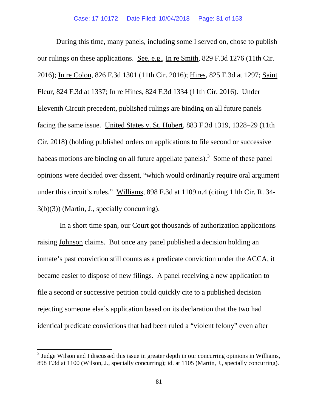During this time, many panels, including some I served on, chose to publish our rulings on these applications. See, e.g., In re Smith, 829 F.3d 1276 (11th Cir. 2016); In re Colon, 826 F.3d 1301 (11th Cir. 2016); Hires, 825 F.3d at 1297; Saint Fleur, 824 F.3d at 1337; In re Hines, 824 F.3d 1334 (11th Cir. 2016). Under Eleventh Circuit precedent, published rulings are binding on all future panels facing the same issue. United States v. St. Hubert, 883 F.3d 1319, 1328–29 (11th Cir. 2018) (holding published orders on applications to file second or successive habeas motions are binding on all future appellate panels).<sup>[3](#page-80-0)</sup> Some of these panel opinions were decided over dissent, "which would ordinarily require oral argument under this circuit's rules." Williams, 898 F.3d at 1109 n.4 (citing 11th Cir. R. 34- 3(b)(3)) (Martin, J., specially concurring).

 In a short time span, our Court got thousands of authorization applications raising Johnson claims. But once any panel published a decision holding an inmate's past conviction still counts as a predicate conviction under the ACCA, it became easier to dispose of new filings. A panel receiving a new application to file a second or successive petition could quickly cite to a published decision rejecting someone else's application based on its declaration that the two had identical predicate convictions that had been ruled a "violent felony" even after

<span id="page-80-0"></span> $3$  Judge Wilson and I discussed this issue in greater depth in our concurring opinions in Williams, 898 F.3d at 1100 (Wilson, J., specially concurring); id. at 1105 (Martin, J., specially concurring).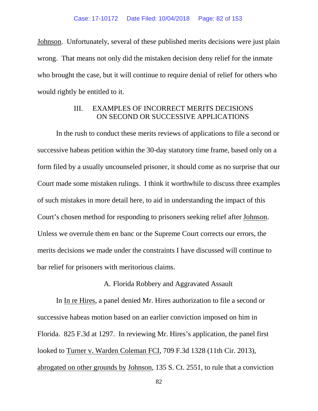Johnson. Unfortunately, several of these published merits decisions were just plain wrong. That means not only did the mistaken decision deny relief for the inmate who brought the case, but it will continue to require denial of relief for others who would rightly be entitled to it.

# III. EXAMPLES OF INCORRECT MERITS DECISIONS ON SECOND OR SUCCESSIVE APPLICATIONS

In the rush to conduct these merits reviews of applications to file a second or successive habeas petition within the 30-day statutory time frame, based only on a form filed by a usually uncounseled prisoner, it should come as no surprise that our Court made some mistaken rulings. I think it worthwhile to discuss three examples of such mistakes in more detail here, to aid in understanding the impact of this Court's chosen method for responding to prisoners seeking relief after Johnson. Unless we overrule them en banc or the Supreme Court corrects our errors, the merits decisions we made under the constraints I have discussed will continue to bar relief for prisoners with meritorious claims.

### A. Florida Robbery and Aggravated Assault

In In re Hires, a panel denied Mr. Hires authorization to file a second or successive habeas motion based on an earlier conviction imposed on him in Florida. 825 F.3d at 1297. In reviewing Mr. Hires's application, the panel first looked to Turner v. Warden Coleman FCI, 709 F.3d 1328 (11th Cir. 2013), abrogated on other grounds by Johnson, 135 S. Ct. 2551, to rule that a conviction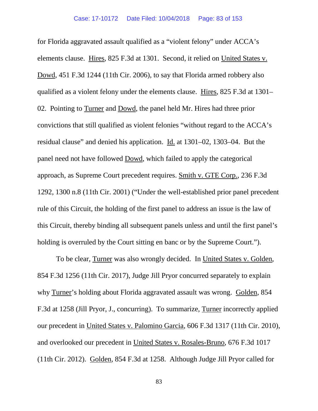for Florida aggravated assault qualified as a "violent felony" under ACCA's elements clause. Hires, 825 F.3d at 1301. Second, it relied on United States v. Dowd, 451 F.3d 1244 (11th Cir. 2006), to say that Florida armed robbery also qualified as a violent felony under the elements clause. Hires, 825 F.3d at 1301– 02. Pointing to Turner and Dowd, the panel held Mr. Hires had three prior convictions that still qualified as violent felonies "without regard to the ACCA's residual clause" and denied his application. Id. at 1301–02, 1303–04. But the panel need not have followed Dowd, which failed to apply the categorical approach, as Supreme Court precedent requires. Smith v. GTE Corp., 236 F.3d 1292, 1300 n.8 (11th Cir. 2001) ("Under the well-established prior panel precedent rule of this Circuit, the holding of the first panel to address an issue is the law of this Circuit, thereby binding all subsequent panels unless and until the first panel's holding is overruled by the Court sitting en banc or by the Supreme Court.").

To be clear, Turner was also wrongly decided. In United States v. Golden, 854 F.3d 1256 (11th Cir. 2017), Judge Jill Pryor concurred separately to explain why Turner's holding about Florida aggravated assault was wrong. Golden, 854 F.3d at 1258 (Jill Pryor, J., concurring). To summarize, Turner incorrectly applied our precedent in United States v. Palomino Garcia, 606 F.3d 1317 (11th Cir. 2010), and overlooked our precedent in United States v. Rosales-Bruno, 676 F.3d 1017 (11th Cir. 2012). Golden, 854 F.3d at 1258. Although Judge Jill Pryor called for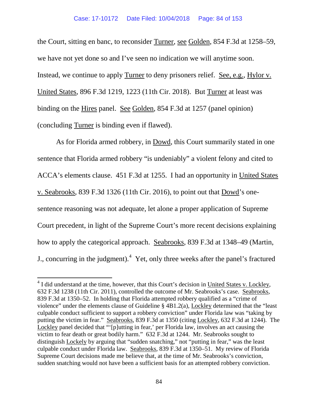#### Case: 17-10172 Date Filed: 10/04/2018 Page: 84 of 153

the Court, sitting en banc, to reconsider Turner, see Golden, 854 F.3d at 1258–59, we have not yet done so and I've seen no indication we will anytime soon. Instead, we continue to apply Turner to deny prisoners relief. See, e.g., Hylor v. United States, 896 F.3d 1219, 1223 (11th Cir. 2018). But Turner at least was binding on the Hires panel. See Golden, 854 F.3d at 1257 (panel opinion) (concluding Turner is binding even if flawed).

As for Florida armed robbery, in Dowd, this Court summarily stated in one sentence that Florida armed robbery "is undeniably" a violent felony and cited to ACCA's elements clause. 451 F.3d at 1255. I had an opportunity in United States v. Seabrooks, 839 F.3d 1326 (11th Cir. 2016), to point out that Dowd's onesentence reasoning was not adequate, let alone a proper application of Supreme Court precedent, in light of the Supreme Court's more recent decisions explaining how to apply the categorical approach. Seabrooks, 839 F.3d at 1348–49 (Martin, J., concurring in the judgment).  $4$  Yet, only three weeks after the panel's fractured

<span id="page-83-0"></span><sup>&</sup>lt;sup>4</sup> I did understand at the time, however, that this Court's decision in United States v. Lockley, 632 F.3d 1238 (11th Cir. 2011), controlled the outcome of Mr. Seabrooks's case. Seabrooks, 839 F.3d at 1350–52. In holding that Florida attempted robbery qualified as a "crime of violence" under the elements clause of Guideline § 4B1.2(a), Lockley determined that the "least culpable conduct sufficient to support a robbery conviction" under Florida law was "taking by putting the victim in fear." Seabrooks, 839 F.3d at 1350 (citing Lockley, 632 F.3d at 1244). The Lockley panel decided that "'[p]utting in fear,' per Florida law, involves an act causing the victim to fear death or great bodily harm." 632 F.3d at 1244. Mr. Seabrooks sought to distinguish Lockely by arguing that "sudden snatching," not "putting in fear," was the least culpable conduct under Florida law. Seabrooks, 839 F.3d at 1350–51. My review of Florida Supreme Court decisions made me believe that, at the time of Mr. Seabrooks's conviction, sudden snatching would not have been a sufficient basis for an attempted robbery conviction.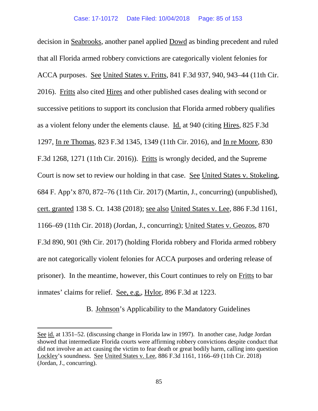decision in Seabrooks, another panel applied Dowd as binding precedent and ruled that all Florida armed robbery convictions are categorically violent felonies for ACCA purposes. See United States v. Fritts, 841 F.3d 937, 940, 943–44 (11th Cir. 2016). Fritts also cited Hires and other published cases dealing with second or successive petitions to support its conclusion that Florida armed robbery qualifies as a violent felony under the elements clause. Id. at 940 (citing Hires, 825 F.3d 1297, In re Thomas, 823 F.3d 1345, 1349 (11th Cir. 2016), and In re Moore, 830 F.3d 1268, 1271 (11th Cir. 2016)). Fritts is wrongly decided, and the Supreme Court is now set to review our holding in that case. See United States v. Stokeling, 684 F. App'x 870, 872–76 (11th Cir. 2017) (Martin, J., concurring) (unpublished), cert. granted 138 S. Ct. 1438 (2018); see also United States v. Lee, 886 F.3d 1161, 1166–69 (11th Cir. 2018) (Jordan, J., concurring); United States v. Geozos, 870 F.3d 890, 901 (9th Cir. 2017) (holding Florida robbery and Florida armed robbery are not categorically violent felonies for ACCA purposes and ordering release of prisoner). In the meantime, however, this Court continues to rely on Fritts to bar inmates' claims for relief. See, e.g., Hylor, 896 F.3d at 1223.

## B. Johnson's Applicability to the Mandatory Guidelines

 $\overline{\phantom{a}}$ 

See id. at 1351–52. (discussing change in Florida law in 1997). In another case, Judge Jordan showed that intermediate Florida courts were affirming robbery convictions despite conduct that did not involve an act causing the victim to fear death or great bodily harm, calling into question Lockley's soundness. See United States v. Lee, 886 F.3d 1161, 1166–69 (11th Cir. 2018) (Jordan, J., concurring).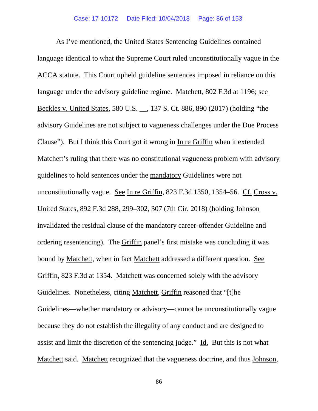As I've mentioned, the United States Sentencing Guidelines contained language identical to what the Supreme Court ruled unconstitutionally vague in the ACCA statute. This Court upheld guideline sentences imposed in reliance on this language under the advisory guideline regime. Matchett, 802 F.3d at 1196; see Beckles v. United States, 580 U.S. \_\_, 137 S. Ct. 886, 890 (2017) (holding "the advisory Guidelines are not subject to vagueness challenges under the Due Process Clause"). But I think this Court got it wrong in In re Griffin when it extended Matchett's ruling that there was no constitutional vagueness problem with advisory guidelines to hold sentences under the mandatory Guidelines were not unconstitutionally vague. See In re Griffin, 823 F.3d 1350, 1354–56. Cf. Cross v. United States, 892 F.3d 288, 299–302, 307 (7th Cir. 2018) (holding Johnson invalidated the residual clause of the mandatory career-offender Guideline and ordering resentencing). The Griffin panel's first mistake was concluding it was bound by Matchett, when in fact Matchett addressed a different question. See Griffin, 823 F.3d at 1354. Matchett was concerned solely with the advisory Guidelines. Nonetheless, citing Matchett, Griffin reasoned that "[t]he Guidelines—whether mandatory or advisory—cannot be unconstitutionally vague because they do not establish the illegality of any conduct and are designed to assist and limit the discretion of the sentencing judge." Id. But this is not what Matchett said. Matchett recognized that the vagueness doctrine, and thus Johnson,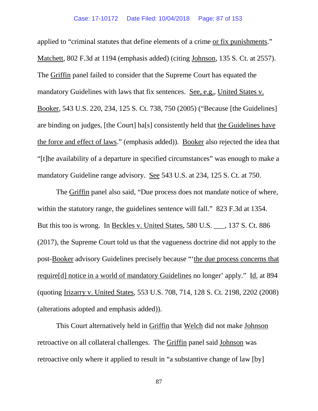applied to "criminal statutes that define elements of a crime or fix punishments." Matchett, 802 F.3d at 1194 (emphasis added) (citing Johnson, 135 S. Ct. at 2557). The Griffin panel failed to consider that the Supreme Court has equated the mandatory Guidelines with laws that fix sentences. See, e.g., United States v. Booker, 543 U.S. 220, 234, 125 S. Ct. 738, 750 (2005) ("Because [the Guidelines] are binding on judges, [the Court] ha[s] consistently held that the Guidelines have the force and effect of laws." (emphasis added)). Booker also rejected the idea that "[t]he availability of a departure in specified circumstances" was enough to make a mandatory Guideline range advisory. See 543 U.S. at 234, 125 S. Ct. at 750.

The Griffin panel also said, "Due process does not mandate notice of where, within the statutory range, the guidelines sentence will fall." 823 F.3d at 1354. But this too is wrong. In Beckles v. United States, 580 U.S.  $\qquad$ , 137 S. Ct. 886 (2017), the Supreme Court told us that the vagueness doctrine did not apply to the post-Booker advisory Guidelines precisely because "'the due process concerns that require[d] notice in a world of mandatory Guidelines no longer' apply." Id. at 894 (quoting Irizarry v. United States, 553 U.S. 708, 714, 128 S. Ct. 2198, 2202 (2008) (alterations adopted and emphasis added)).

This Court alternatively held in Griffin that Welch did not make Johnson retroactive on all collateral challenges. The Griffin panel said Johnson was retroactive only where it applied to result in "a substantive change of law [by]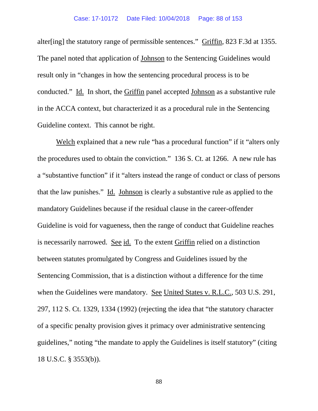alter[ing] the statutory range of permissible sentences." Griffin, 823 F.3d at 1355. The panel noted that application of Johnson to the Sentencing Guidelines would result only in "changes in how the sentencing procedural process is to be conducted." Id. In short, the Griffin panel accepted Johnson as a substantive rule in the ACCA context, but characterized it as a procedural rule in the Sentencing Guideline context. This cannot be right.

Welch explained that a new rule "has a procedural function" if it "alters only the procedures used to obtain the conviction." 136 S. Ct. at 1266. A new rule has a "substantive function" if it "alters instead the range of conduct or class of persons that the law punishes." Id. Johnson is clearly a substantive rule as applied to the mandatory Guidelines because if the residual clause in the career-offender Guideline is void for vagueness, then the range of conduct that Guideline reaches is necessarily narrowed. See id. To the extent Griffin relied on a distinction between statutes promulgated by Congress and Guidelines issued by the Sentencing Commission, that is a distinction without a difference for the time when the Guidelines were mandatory. See United States v. R.L.C., 503 U.S. 291, 297, 112 S. Ct. 1329, 1334 (1992) (rejecting the idea that "the statutory character of a specific penalty provision gives it primacy over administrative sentencing guidelines," noting "the mandate to apply the Guidelines is itself statutory" (citing 18 U.S.C. § 3553(b)).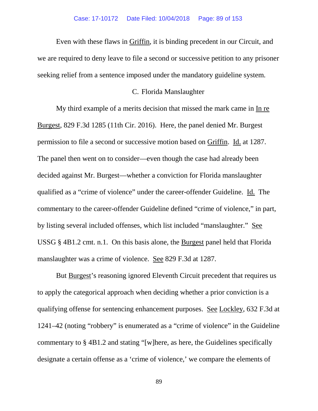Even with these flaws in Griffin, it is binding precedent in our Circuit, and we are required to deny leave to file a second or successive petition to any prisoner seeking relief from a sentence imposed under the mandatory guideline system.

## C. Florida Manslaughter

My third example of a merits decision that missed the mark came in In re Burgest, 829 F.3d 1285 (11th Cir. 2016). Here, the panel denied Mr. Burgest permission to file a second or successive motion based on Griffin. Id. at 1287. The panel then went on to consider—even though the case had already been decided against Mr. Burgest—whether a conviction for Florida manslaughter qualified as a "crime of violence" under the career-offender Guideline. Id. The commentary to the career-offender Guideline defined "crime of violence," in part, by listing several included offenses, which list included "manslaughter." See USSG § 4B1.2 cmt. n.1. On this basis alone, the Burgest panel held that Florida manslaughter was a crime of violence. See 829 F.3d at 1287.

But Burgest's reasoning ignored Eleventh Circuit precedent that requires us to apply the categorical approach when deciding whether a prior conviction is a qualifying offense for sentencing enhancement purposes. See Lockley, 632 F.3d at 1241–42 (noting "robbery" is enumerated as a "crime of violence" in the Guideline commentary to § 4B1.2 and stating "[w]here, as here, the Guidelines specifically designate a certain offense as a 'crime of violence,' we compare the elements of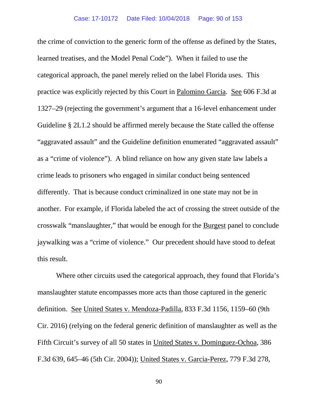the crime of conviction to the generic form of the offense as defined by the States, learned treatises, and the Model Penal Code"). When it failed to use the categorical approach, the panel merely relied on the label Florida uses. This practice was explicitly rejected by this Court in Palomino Garcia. See 606 F.3d at 1327–29 (rejecting the government's argument that a 16-level enhancement under Guideline § 2L1.2 should be affirmed merely because the State called the offense "aggravated assault" and the Guideline definition enumerated "aggravated assault" as a "crime of violence"). A blind reliance on how any given state law labels a crime leads to prisoners who engaged in similar conduct being sentenced differently. That is because conduct criminalized in one state may not be in another. For example, if Florida labeled the act of crossing the street outside of the crosswalk "manslaughter," that would be enough for the Burgest panel to conclude jaywalking was a "crime of violence." Our precedent should have stood to defeat this result.

Where other circuits used the categorical approach, they found that Florida's manslaughter statute encompasses more acts than those captured in the generic definition. See United States v. Mendoza-Padilla, 833 F.3d 1156, 1159–60 (9th Cir. 2016) (relying on the federal generic definition of manslaughter as well as the Fifth Circuit's survey of all 50 states in United States v. Dominguez-Ochoa, 386 F.3d 639, 645–46 (5th Cir. 2004)); United States v. Garcia-Perez, 779 F.3d 278,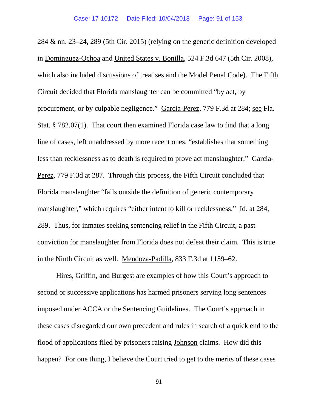284 & nn. 23–24, 289 (5th Cir. 2015) (relying on the generic definition developed in Dominguez-Ochoa and United States v. Bonilla, 524 F.3d 647 (5th Cir. 2008), which also included discussions of treatises and the Model Penal Code). The Fifth Circuit decided that Florida manslaughter can be committed "by act, by procurement, or by culpable negligence." Garcia-Perez, 779 F.3d at 284; see Fla. Stat. § 782.07(1). That court then examined Florida case law to find that a long line of cases, left unaddressed by more recent ones, "establishes that something less than recklessness as to death is required to prove act manslaughter." Garcia-Perez, 779 F.3d at 287. Through this process, the Fifth Circuit concluded that Florida manslaughter "falls outside the definition of generic contemporary manslaughter," which requires "either intent to kill or recklessness." Id. at 284, 289. Thus, for inmates seeking sentencing relief in the Fifth Circuit, a past conviction for manslaughter from Florida does not defeat their claim. This is true in the Ninth Circuit as well. Mendoza-Padilla, 833 F.3d at 1159–62.

Hires, Griffin, and Burgest are examples of how this Court's approach to second or successive applications has harmed prisoners serving long sentences imposed under ACCA or the Sentencing Guidelines. The Court's approach in these cases disregarded our own precedent and rules in search of a quick end to the flood of applications filed by prisoners raising Johnson claims. How did this happen? For one thing, I believe the Court tried to get to the merits of these cases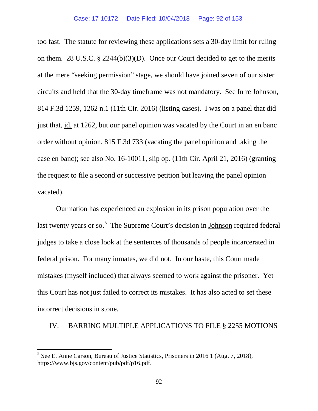too fast. The statute for reviewing these applications sets a 30-day limit for ruling on them. 28 U.S.C. § 2244(b)(3)(D). Once our Court decided to get to the merits at the mere "seeking permission" stage, we should have joined seven of our sister circuits and held that the 30-day timeframe was not mandatory. See In re Johnson, 814 F.3d 1259, 1262 n.1 (11th Cir. 2016) (listing cases). I was on a panel that did just that, <u>id.</u> at 1262, but our panel opinion was vacated by the Court in an en banc order without opinion. 815 F.3d 733 (vacating the panel opinion and taking the case en banc); see also No. 16-10011, slip op. (11th Cir. April 21, 2016) (granting the request to file a second or successive petition but leaving the panel opinion vacated).

Our nation has experienced an explosion in its prison population over the last twenty years or so.<sup>[5](#page-91-0)</sup> The Supreme Court's decision in Johnson required federal judges to take a close look at the sentences of thousands of people incarcerated in federal prison. For many inmates, we did not. In our haste, this Court made mistakes (myself included) that always seemed to work against the prisoner. Yet this Court has not just failed to correct its mistakes. It has also acted to set these incorrect decisions in stone.

### IV. BARRING MULTIPLE APPLICATIONS TO FILE § 2255 MOTIONS

<span id="page-91-0"></span> $<sup>5</sup>$  See E. Anne Carson, Bureau of Justice Statistics, Prisoners in 2016 1 (Aug. 7, 2018),</sup> https://www.bjs.gov/content/pub/pdf/p16.pdf.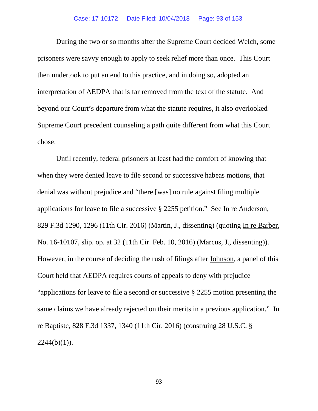### Case: 17-10172 Date Filed: 10/04/2018 Page: 93 of 153

During the two or so months after the Supreme Court decided Welch, some prisoners were savvy enough to apply to seek relief more than once. This Court then undertook to put an end to this practice, and in doing so, adopted an interpretation of AEDPA that is far removed from the text of the statute. And beyond our Court's departure from what the statute requires, it also overlooked Supreme Court precedent counseling a path quite different from what this Court chose.

Until recently, federal prisoners at least had the comfort of knowing that when they were denied leave to file second or successive habeas motions, that denial was without prejudice and "there [was] no rule against filing multiple applications for leave to file a successive § 2255 petition." See In re Anderson, 829 F.3d 1290, 1296 (11th Cir. 2016) (Martin, J., dissenting) (quoting In re Barber, No. 16-10107, slip. op. at 32 (11th Cir. Feb. 10, 2016) (Marcus, J., dissenting)). However, in the course of deciding the rush of filings after Johnson, a panel of this Court held that AEDPA requires courts of appeals to deny with prejudice "applications for leave to file a second or successive § 2255 motion presenting the same claims we have already rejected on their merits in a previous application." In re Baptiste, 828 F.3d 1337, 1340 (11th Cir. 2016) (construing 28 U.S.C. §  $2244(b)(1)$ ).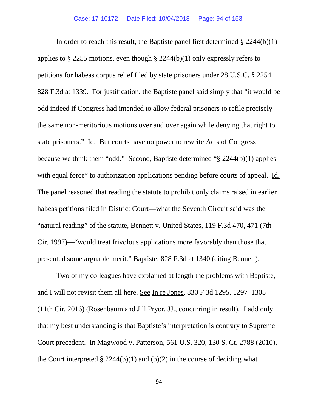In order to reach this result, the Baptiste panel first determined  $\S 2244(b)(1)$ applies to  $\S$  2255 motions, even though  $\S$  2244(b)(1) only expressly refers to petitions for habeas corpus relief filed by state prisoners under 28 U.S.C. § 2254. 828 F.3d at 1339. For justification, the Baptiste panel said simply that "it would be odd indeed if Congress had intended to allow federal prisoners to refile precisely the same non-meritorious motions over and over again while denying that right to state prisoners." Id. But courts have no power to rewrite Acts of Congress because we think them "odd." Second, Baptiste determined "§ 2244(b)(1) applies with equal force" to authorization applications pending before courts of appeal. Id. The panel reasoned that reading the statute to prohibit only claims raised in earlier habeas petitions filed in District Court—what the Seventh Circuit said was the "natural reading" of the statute, Bennett v. United States, 119 F.3d 470, 471 (7th Cir. 1997)—"would treat frivolous applications more favorably than those that presented some arguable merit." Baptiste, 828 F.3d at 1340 (citing Bennett).

Two of my colleagues have explained at length the problems with Baptiste, and I will not revisit them all here. See In re Jones, 830 F.3d 1295, 1297–1305 (11th Cir. 2016) (Rosenbaum and Jill Pryor, JJ., concurring in result). I add only that my best understanding is that Baptiste's interpretation is contrary to Supreme Court precedent. In Magwood v. Patterson, 561 U.S. 320, 130 S. Ct. 2788 (2010), the Court interpreted  $\S 2244(b)(1)$  and (b)(2) in the course of deciding what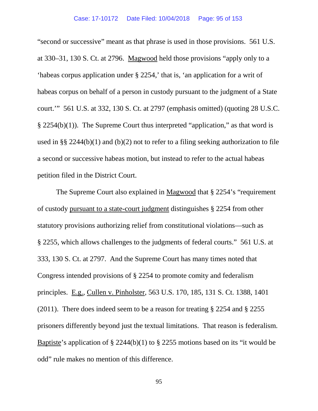"second or successive" meant as that phrase is used in those provisions. 561 U.S. at 330–31, 130 S. Ct. at 2796. Magwood held those provisions "apply only to a 'habeas corpus application under § 2254,' that is, 'an application for a writ of habeas corpus on behalf of a person in custody pursuant to the judgment of a State court.'" 561 U.S. at 332, 130 S. Ct. at 2797 (emphasis omitted) (quoting 28 U.S.C. § 2254(b)(1)). The Supreme Court thus interpreted "application," as that word is used in §§ 2244(b)(1) and (b)(2) not to refer to a filing seeking authorization to file a second or successive habeas motion, but instead to refer to the actual habeas petition filed in the District Court.

The Supreme Court also explained in Magwood that § 2254's "requirement of custody pursuant to a state-court judgment distinguishes § 2254 from other statutory provisions authorizing relief from constitutional violations—such as § 2255, which allows challenges to the judgments of federal courts." 561 U.S. at 333, 130 S. Ct. at 2797. And the Supreme Court has many times noted that Congress intended provisions of § 2254 to promote comity and federalism principles. E.g., Cullen v. Pinholster, 563 U.S. 170, 185, 131 S. Ct. 1388, 1401 (2011). There does indeed seem to be a reason for treating § 2254 and § 2255 prisoners differently beyond just the textual limitations. That reason is federalism. Baptiste's application of § 2244(b)(1) to § 2255 motions based on its "it would be odd" rule makes no mention of this difference.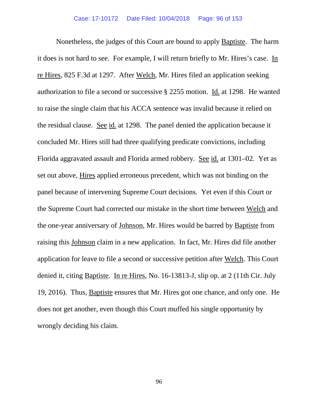Nonetheless, the judges of this Court are bound to apply Baptiste. The harm it does is not hard to see. For example, I will return briefly to Mr. Hires's case. In re Hires, 825 F.3d at 1297. After Welch, Mr. Hires filed an application seeking authorization to file a second or successive § 2255 motion. Id. at 1298. He wanted to raise the single claim that his ACCA sentence was invalid because it relied on the residual clause. See id. at 1298. The panel denied the application because it concluded Mr. Hires still had three qualifying predicate convictions, including Florida aggravated assault and Florida armed robbery. See id. at 1301–02. Yet as set out above, Hires applied erroneous precedent, which was not binding on the panel because of intervening Supreme Court decisions. Yet even if this Court or the Supreme Court had corrected our mistake in the short time between Welch and the one-year anniversary of Johnson, Mr. Hires would be barred by Baptiste from raising this Johnson claim in a new application. In fact, Mr. Hires did file another application for leave to file a second or successive petition after Welch. This Court denied it, citing Baptiste. In re Hires, No. 16-13813-J, slip op. at 2 (11th Cir. July 19, 2016). Thus, Baptiste ensures that Mr. Hires got one chance, and only one. He does not get another, even though this Court muffed his single opportunity by wrongly deciding his claim.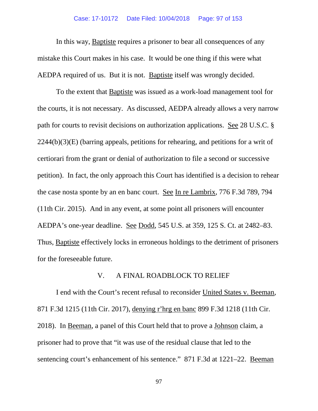In this way, Baptiste requires a prisoner to bear all consequences of any mistake this Court makes in his case. It would be one thing if this were what AEDPA required of us. But it is not. Baptiste itself was wrongly decided.

To the extent that Baptiste was issued as a work-load management tool for the courts, it is not necessary. As discussed, AEDPA already allows a very narrow path for courts to revisit decisions on authorization applications. See 28 U.S.C. §  $2244(b)(3)(E)$  (barring appeals, petitions for rehearing, and petitions for a writ of certiorari from the grant or denial of authorization to file a second or successive petition). In fact, the only approach this Court has identified is a decision to rehear the case nosta sponte by an en banc court. See In re Lambrix, 776 F.3d 789, 794 (11th Cir. 2015). And in any event, at some point all prisoners will encounter AEDPA's one-year deadline. See Dodd, 545 U.S. at 359, 125 S. Ct. at 2482–83. Thus, Baptiste effectively locks in erroneous holdings to the detriment of prisoners for the foreseeable future.

## V. A FINAL ROADBLOCK TO RELIEF

I end with the Court's recent refusal to reconsider United States v. Beeman, 871 F.3d 1215 (11th Cir. 2017), denying r'hrg en banc 899 F.3d 1218 (11th Cir. 2018). In Beeman, a panel of this Court held that to prove a Johnson claim, a prisoner had to prove that "it was use of the residual clause that led to the sentencing court's enhancement of his sentence." 871 F.3d at 1221–22. <u>Beeman</u>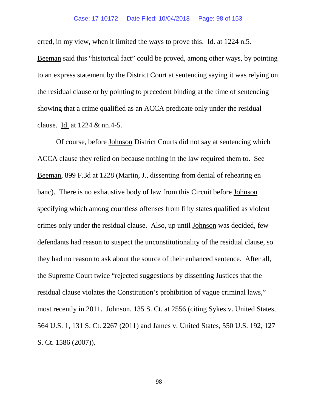#### Case: 17-10172 Date Filed: 10/04/2018 Page: 98 of 153

erred, in my view, when it limited the ways to prove this. Id. at 1224 n.5.

Beeman said this "historical fact" could be proved, among other ways, by pointing to an express statement by the District Court at sentencing saying it was relying on the residual clause or by pointing to precedent binding at the time of sentencing showing that a crime qualified as an ACCA predicate only under the residual clause. Id. at 1224 & nn.4-5.

Of course, before Johnson District Courts did not say at sentencing which ACCA clause they relied on because nothing in the law required them to. See Beeman, 899 F.3d at 1228 (Martin, J., dissenting from denial of rehearing en banc). There is no exhaustive body of law from this Circuit before Johnson specifying which among countless offenses from fifty states qualified as violent crimes only under the residual clause. Also, up until Johnson was decided, few defendants had reason to suspect the unconstitutionality of the residual clause, so they had no reason to ask about the source of their enhanced sentence. After all, the Supreme Court twice "rejected suggestions by dissenting Justices that the residual clause violates the Constitution's prohibition of vague criminal laws," most recently in 2011. Johnson, 135 S. Ct. at 2556 (citing Sykes v. United States, 564 U.S. 1, 131 S. Ct. 2267 (2011) and James v. United States, 550 U.S. 192, 127 S. Ct. 1586 (2007)).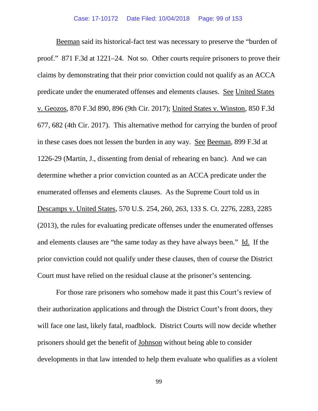Beeman said its historical-fact test was necessary to preserve the "burden of proof." 871 F.3d at 1221–24. Not so. Other courts require prisoners to prove their claims by demonstrating that their prior conviction could not qualify as an ACCA predicate under the enumerated offenses and elements clauses. See United States v. Geozos, 870 F.3d 890, 896 (9th Cir. 2017); United States v. Winston, 850 F.3d 677, 682 (4th Cir. 2017). This alternative method for carrying the burden of proof in these cases does not lessen the burden in any way. See Beeman, 899 F.3d at 1226-29 (Martin, J., dissenting from denial of rehearing en banc). And we can determine whether a prior conviction counted as an ACCA predicate under the enumerated offenses and elements clauses. As the Supreme Court told us in Descamps v. United States, 570 U.S. 254, 260, 263, 133 S. Ct. 2276, 2283, 2285 (2013), the rules for evaluating predicate offenses under the enumerated offenses and elements clauses are "the same today as they have always been." Id. If the prior conviction could not qualify under these clauses, then of course the District Court must have relied on the residual clause at the prisoner's sentencing.

For those rare prisoners who somehow made it past this Court's review of their authorization applications and through the District Court's front doors, they will face one last, likely fatal, roadblock. District Courts will now decide whether prisoners should get the benefit of Johnson without being able to consider developments in that law intended to help them evaluate who qualifies as a violent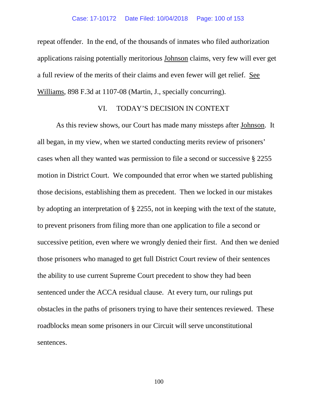repeat offender. In the end, of the thousands of inmates who filed authorization applications raising potentially meritorious Johnson claims, very few will ever get a full review of the merits of their claims and even fewer will get relief. See Williams, 898 F.3d at 1107-08 (Martin, J., specially concurring).

## VI. TODAY'S DECISION IN CONTEXT

As this review shows, our Court has made many missteps after Johnson. It all began, in my view, when we started conducting merits review of prisoners' cases when all they wanted was permission to file a second or successive § 2255 motion in District Court. We compounded that error when we started publishing those decisions, establishing them as precedent. Then we locked in our mistakes by adopting an interpretation of § 2255, not in keeping with the text of the statute, to prevent prisoners from filing more than one application to file a second or successive petition, even where we wrongly denied their first. And then we denied those prisoners who managed to get full District Court review of their sentences the ability to use current Supreme Court precedent to show they had been sentenced under the ACCA residual clause. At every turn, our rulings put obstacles in the paths of prisoners trying to have their sentences reviewed. These roadblocks mean some prisoners in our Circuit will serve unconstitutional sentences.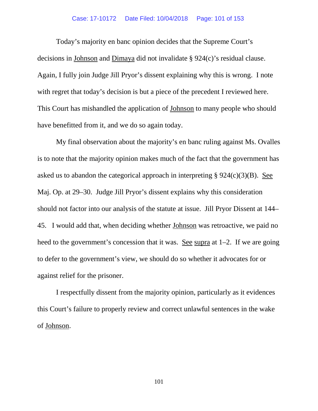#### Case: 17-10172 Date Filed: 10/04/2018 Page: 101 of 153

Today's majority en banc opinion decides that the Supreme Court's decisions in Johnson and Dimaya did not invalidate § 924(c)'s residual clause. Again, I fully join Judge Jill Pryor's dissent explaining why this is wrong. I note with regret that today's decision is but a piece of the precedent I reviewed here. This Court has mishandled the application of Johnson to many people who should have benefitted from it, and we do so again today.

My final observation about the majority's en banc ruling against Ms. Ovalles is to note that the majority opinion makes much of the fact that the government has asked us to abandon the categorical approach in interpreting  $\S 924(c)(3)(B)$ . See Maj. Op. at 29–30. Judge Jill Pryor's dissent explains why this consideration should not factor into our analysis of the statute at issue. Jill Pryor Dissent at 144– 45. I would add that, when deciding whether Johnson was retroactive, we paid no heed to the government's concession that it was. See supra at 1–2. If we are going to defer to the government's view, we should do so whether it advocates for or against relief for the prisoner.

I respectfully dissent from the majority opinion, particularly as it evidences this Court's failure to properly review and correct unlawful sentences in the wake of Johnson.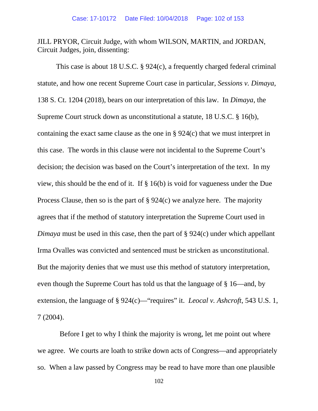JILL PRYOR, Circuit Judge, with whom WILSON, MARTIN, and JORDAN, Circuit Judges, join, dissenting:

This case is about 18 U.S.C. § 924(c), a frequently charged federal criminal statute, and how one recent Supreme Court case in particular, *Sessions v. Dimaya*, 138 S. Ct. 1204 (2018), bears on our interpretation of this law. In *Dimaya*, the Supreme Court struck down as unconstitutional a statute, 18 U.S.C. § 16(b), containing the exact same clause as the one in § 924(c) that we must interpret in this case. The words in this clause were not incidental to the Supreme Court's decision; the decision was based on the Court's interpretation of the text. In my view, this should be the end of it. If § 16(b) is void for vagueness under the Due Process Clause, then so is the part of § 924(c) we analyze here. The majority agrees that if the method of statutory interpretation the Supreme Court used in *Dimaya* must be used in this case, then the part of § 924(c) under which appellant Irma Ovalles was convicted and sentenced must be stricken as unconstitutional. But the majority denies that we must use this method of statutory interpretation, even though the Supreme Court has told us that the language of § 16—and, by extension, the language of § 924(c)—"requires" it. *Leocal v. Ashcroft*, 543 U.S. 1, 7 (2004).

 Before I get to why I think the majority is wrong, let me point out where we agree. We courts are loath to strike down acts of Congress—and appropriately so. When a law passed by Congress may be read to have more than one plausible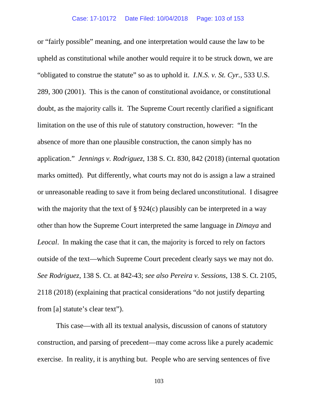or "fairly possible" meaning, and one interpretation would cause the law to be upheld as constitutional while another would require it to be struck down, we are "obligated to construe the statute" so as to uphold it. *I.N.S. v. St. Cyr.*, 533 U.S. 289, 300 (2001). This is the canon of constitutional avoidance, or constitutional doubt, as the majority calls it. The Supreme Court recently clarified a significant limitation on the use of this rule of statutory construction, however: "In the absence of more than one plausible construction, the canon simply has no application." *Jennings v. Rodriguez*, 138 S. Ct. 830, 842 (2018) (internal quotation marks omitted). Put differently, what courts may not do is assign a law a strained or unreasonable reading to save it from being declared unconstitutional. I disagree with the majority that the text of § 924(c) plausibly can be interpreted in a way other than how the Supreme Court interpreted the same language in *Dimaya* and *Leocal*. In making the case that it can, the majority is forced to rely on factors outside of the text—which Supreme Court precedent clearly says we may not do. *See Rodriguez*, 138 S. Ct. at 842-43; *see also Pereira v. Sessions*, 138 S. Ct. 2105, 2118 (2018) (explaining that practical considerations "do not justify departing from [a] statute's clear text").

This case—with all its textual analysis, discussion of canons of statutory construction, and parsing of precedent—may come across like a purely academic exercise. In reality, it is anything but. People who are serving sentences of five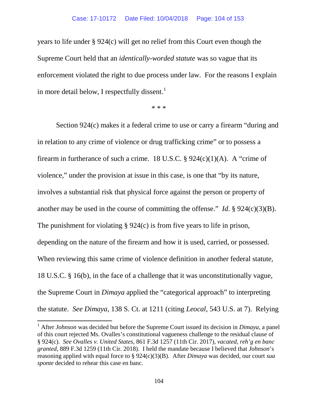years to life under § 924(c) will get no relief from this Court even though the Supreme Court held that an *identically-worded statute* was so vague that its enforcement violated the right to due process under law. For the reasons I explain in more detail below, I respectfully dissent.<sup>[1](#page-103-0)</sup>

\* \* \*

Section 924(c) makes it a federal crime to use or carry a firearm "during and in relation to any crime of violence or drug trafficking crime" or to possess a firearm in furtherance of such a crime. 18 U.S.C.  $\S 924(c)(1)(A)$ . A "crime of violence," under the provision at issue in this case, is one that "by its nature, involves a substantial risk that physical force against the person or property of another may be used in the course of committing the offense." *Id*. § 924(c)(3)(B). The punishment for violating § 924(c) is from five years to life in prison, depending on the nature of the firearm and how it is used, carried, or possessed. When reviewing this same crime of violence definition in another federal statute, 18 U.S.C. § 16(b), in the face of a challenge that it was unconstitutionally vague, the Supreme Court in *Dimaya* applied the "categorical approach" to interpreting the statute. *See Dimaya*, 138 S. Ct. at 1211 (citing *Leocal*, 543 U.S. at 7). Relying

<span id="page-103-0"></span><sup>1</sup> After *Johnson* was decided but before the Supreme Court issued its decision in *Dimaya*, a panel of this court rejected Ms. Ovalles's constitutional vagueness challenge to the residual clause of § 924(c). *See Ovalles v. United States*, 861 F.3d 1257 (11th Cir. 2017), *vacated, reh'g en banc granted*, 889 F.3d 1259 (11th Cir. 2018). I held the mandate because I believed that *Johnson*'s reasoning applied with equal force to § 924(c)(3)(B). After *Dimaya* was decided, our court *sua sponte* decided to rehear this case en banc.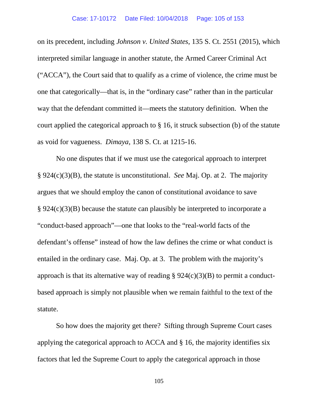on its precedent, including *Johnson v. United States*, 135 S. Ct. 2551 (2015), which interpreted similar language in another statute, the Armed Career Criminal Act ("ACCA"), the Court said that to qualify as a crime of violence, the crime must be one that categorically—that is, in the "ordinary case" rather than in the particular way that the defendant committed it—meets the statutory definition. When the court applied the categorical approach to § 16, it struck subsection (b) of the statute as void for vagueness. *Dimaya*, 138 S. Ct. at 1215-16.

No one disputes that if we must use the categorical approach to interpret § 924(c)(3)(B), the statute is unconstitutional. *See* Maj. Op. at 2. The majority argues that we should employ the canon of constitutional avoidance to save § 924(c)(3)(B) because the statute can plausibly be interpreted to incorporate a "conduct-based approach"—one that looks to the "real-world facts of the defendant's offense" instead of how the law defines the crime or what conduct is entailed in the ordinary case. Maj. Op. at 3. The problem with the majority's approach is that its alternative way of reading  $\S 924(c)(3)(B)$  to permit a conductbased approach is simply not plausible when we remain faithful to the text of the statute.

So how does the majority get there? Sifting through Supreme Court cases applying the categorical approach to ACCA and § 16, the majority identifies six factors that led the Supreme Court to apply the categorical approach in those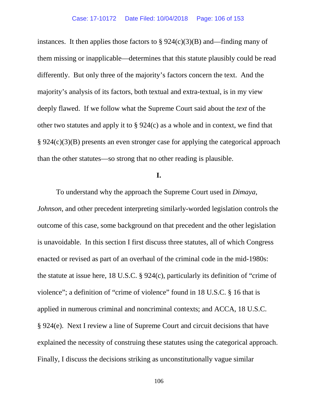instances. It then applies those factors to  $\S 924(c)(3)(B)$  and—finding many of them missing or inapplicable—determines that this statute plausibly could be read differently. But only three of the majority's factors concern the text. And the majority's analysis of its factors, both textual and extra-textual, is in my view deeply flawed. If we follow what the Supreme Court said about the *text* of the other two statutes and apply it to § 924(c) as a whole and in context, we find that § 924(c)(3)(B) presents an even stronger case for applying the categorical approach than the other statutes—so strong that no other reading is plausible.

## **I.**

To understand why the approach the Supreme Court used in *Dimaya*, *Johnson*, and other precedent interpreting similarly-worded legislation controls the outcome of this case, some background on that precedent and the other legislation is unavoidable. In this section I first discuss three statutes, all of which Congress enacted or revised as part of an overhaul of the criminal code in the mid-1980s: the statute at issue here, 18 U.S.C. § 924(c), particularly its definition of "crime of violence"; a definition of "crime of violence" found in 18 U.S.C. § 16 that is applied in numerous criminal and noncriminal contexts; and ACCA, 18 U.S.C. § 924(e). Next I review a line of Supreme Court and circuit decisions that have explained the necessity of construing these statutes using the categorical approach. Finally, I discuss the decisions striking as unconstitutionally vague similar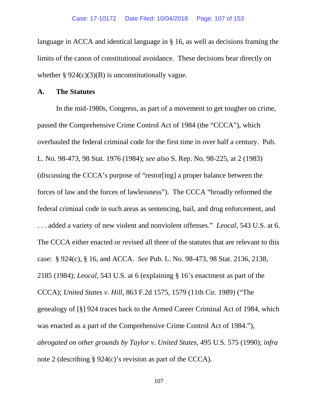language in ACCA and identical language in § 16, as well as decisions framing the limits of the canon of constitutional avoidance. These decisions bear directly on whether  $\S 924(c)(3)(B)$  is unconstitutionally vague.

## **A. The Statutes**

In the mid-1980s, Congress, as part of a movement to get tougher on crime, passed the Comprehensive Crime Control Act of 1984 (the "CCCA"), which overhauled the federal criminal code for the first time in over half a century. Pub. L. No. 98-473, 98 Stat. 1976 (1984); *see also* S. Rep. No. 98-225, at 2 (1983) (discussing the CCCA's purpose of "restor[ing] a proper balance between the forces of law and the forces of lawlessness"). The CCCA "broadly reformed the federal criminal code in such areas as sentencing, bail, and drug enforcement, and . . . added a variety of new violent and nonviolent offenses." *Leocal*, 543 U.S. at 6. The CCCA either enacted or revised all three of the statutes that are relevant to this case: § 924(c), § 16, and ACCA. *See* Pub. L. No. 98-473, 98 Stat. 2136, 2138, 2185 (1984); *Leocal*, 543 U.S. at 6 (explaining § 16's enactment as part of the CCCA); *United States v. Hill*, 863 F.2d 1575, 1579 (11th Cir. 1989) ("The genealogy of [§] 924 traces back to the Armed Career Criminal Act of 1984, which was enacted as a part of the Comprehensive Crime Control Act of 1984."), *abrogated on other grounds by Taylor v. United States*, 495 U.S. 575 (1990); *infra* note 2 (describing § 924(c)'s revision as part of the CCCA).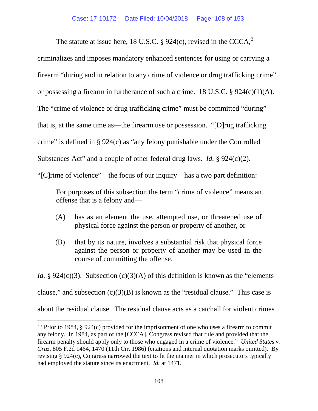The statute at issue here, 18 U.S.C.  $\S$  9[2](#page-107-0)4(c), revised in the CCCA,<sup>2</sup>

criminalizes and imposes mandatory enhanced sentences for using or carrying a firearm "during and in relation to any crime of violence or drug trafficking crime" or possessing a firearm in furtherance of such a crime. 18 U.S.C. § 924(c)(1)(A). The "crime of violence or drug trafficking crime" must be committed "during" that is, at the same time as—the firearm use or possession. "[D]rug trafficking crime" is defined in § 924(c) as "any felony punishable under the Controlled Substances Act" and a couple of other federal drug laws. *Id.* § 924(c)(2). "[C]rime of violence"—the focus of our inquiry—has a two part definition:

For purposes of this subsection the term "crime of violence" means an offense that is a felony and—

- (A) has as an element the use, attempted use, or threatened use of physical force against the person or property of another, or
- (B) that by its nature, involves a substantial risk that physical force against the person or property of another may be used in the course of committing the offense.

*Id.* § 924(c)(3). Subsection (c)(3)(A) of this definition is known as the "elements clause," and subsection  $(c)(3)(B)$  is known as the "residual clause." This case is about the residual clause. The residual clause acts as a catchall for violent crimes

<span id="page-107-0"></span><sup>&</sup>lt;sup>2</sup> "Prior to 1984, § 924(c) provided for the imprisonment of one who uses a firearm to commit any felony. In 1984, as part of the [CCCA], Congress revised that rule and provided that the firearm penalty should apply only to those who engaged in a crime of violence." *United States v. Cruz*, 805 F.2d 1464, 1470 (11th Cir. 1986) (citations and internal quotation marks omitted). By revising § 924(c), Congress narrowed the text to fit the manner in which prosecutors typically had employed the statute since its enactment. *Id.* at 1471.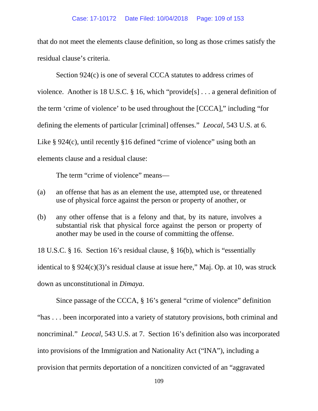### Case: 17-10172 Date Filed: 10/04/2018 Page: 109 of 153

that do not meet the elements clause definition, so long as those crimes satisfy the residual clause's criteria.

Section 924(c) is one of several CCCA statutes to address crimes of violence. Another is 18 U.S.C. § 16, which "provide[s] . . . a general definition of the term 'crime of violence' to be used throughout the [CCCA]," including "for defining the elements of particular [criminal] offenses." *Leocal*, 543 U.S. at 6. Like § 924(c), until recently §16 defined "crime of violence" using both an elements clause and a residual clause:

The term "crime of violence" means—

- (a) an offense that has as an element the use, attempted use, or threatened use of physical force against the person or property of another, or
- (b) any other offense that is a felony and that, by its nature, involves a substantial risk that physical force against the person or property of another may be used in the course of committing the offense.

18 U.S.C. § 16. Section 16's residual clause, § 16(b), which is "essentially identical to § 924(c)(3)'s residual clause at issue here," Maj. Op. at 10, was struck down as unconstitutional in *Dimaya*.

Since passage of the CCCA, § 16's general "crime of violence" definition "has . . . been incorporated into a variety of statutory provisions, both criminal and noncriminal." *Leocal*, 543 U.S. at 7. Section 16's definition also was incorporated into provisions of the Immigration and Nationality Act ("INA"), including a provision that permits deportation of a noncitizen convicted of an "aggravated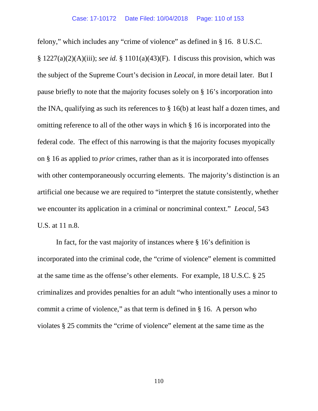felony," which includes any "crime of violence" as defined in § 16. 8 U.S.C. § 1227(a)(2)(A)(iii); *see id.* § 1101(a)(43)(F). I discuss this provision, which was the subject of the Supreme Court's decision in *Leocal*, in more detail later. But I pause briefly to note that the majority focuses solely on § 16's incorporation into the INA, qualifying as such its references to § 16(b) at least half a dozen times, and omitting reference to all of the other ways in which § 16 is incorporated into the federal code. The effect of this narrowing is that the majority focuses myopically on § 16 as applied to *prior* crimes, rather than as it is incorporated into offenses with other contemporaneously occurring elements. The majority's distinction is an artificial one because we are required to "interpret the statute consistently, whether we encounter its application in a criminal or noncriminal context." *Leocal*, 543 U.S. at 11 n.8.

In fact, for the vast majority of instances where § 16's definition is incorporated into the criminal code, the "crime of violence" element is committed at the same time as the offense's other elements. For example, 18 U.S.C. § 25 criminalizes and provides penalties for an adult "who intentionally uses a minor to commit a crime of violence," as that term is defined in § 16. A person who violates § 25 commits the "crime of violence" element at the same time as the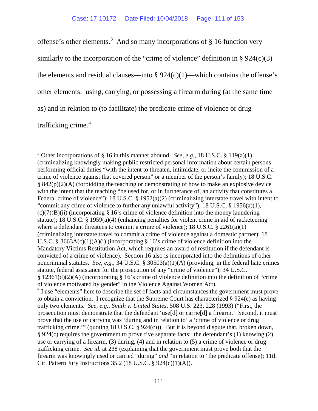offense's other elements.<sup>[3](#page-110-0)</sup> And so many incorporations of  $\S$  16 function very similarly to the incorporation of the "crime of violence" definition in  $\S 924(c)(3)$  the elements and residual clauses—into  $\S 924(c)(1)$ —which contains the offense's other elements: using, carrying, or possessing a firearm during (at the same time as) and in relation to (to facilitate) the predicate crime of violence or drug trafficking crime.<sup>[4](#page-110-1)</sup>

<span id="page-110-1"></span><span id="page-110-0"></span><sup>&</sup>lt;sup>3</sup> Other incorporations of § 16 in this manner abound. *See, e.g.*, 18 U.S.C. § 119(a)(1) (criminalizing knowingly making public restricted personal information about certain persons performing official duties "with the intent to threaten, intimidate, or incite the commission of a crime of violence against that covered person" or a member of the person's family); 18 U.S.C.  $\S 842(p)(2)(A)$  (forbidding the teaching or demonstrating of how to make an explosive device with the intent that the teaching "be used for, or in furtherance of, an activity that constitutes a Federal crime of violence"); 18 U.S.C. § 1952(a)(2) (criminalizing interstate travel with intent to "commit any crime of violence to further any unlawful activity"); 18 U.S.C. § 1956(a)(1),  $(c)(7)(B)(ii)$  (incorporating § 16's crime of violence definition into the money laundering statute); 18 U.S.C. § 1959(a)(4) (enhancing penalties for violent crime in aid of racketeering where a defendant threatens to commit a crime of violence); 18 U.S.C. § 2261(a)(1) (criminalizing interstate travel to commit a crime of violence against a domestic partner); 18 U.S.C. § 3663A(c)(1)(A)(i) (incorporating § 16's crime of violence definition into the Mandatory Victims Restitution Act, which requires an award of restitution if the defendant is convicted of a crime of violence). Section 16 also is incorporated into the definitions of other noncriminal statutes. *See, e.g.*, 34 U.S.C. § 30503(a)(1)(A) (providing, in the federal hate crimes statute, federal assistance for the prosecution of any "crime of violence"); 34 U.S.C. § 12361(d)(2)(A) (incorporating § 16's crime of violence definition into the definition of "crime of violence motivated by gender" in the Violence Against Women Act).  $4$  I use "elements" here to describe the set of facts and circumstances the government must prove to obtain a conviction. I recognize that the Supreme Court has characterized § 924(c) as having only two elements. *See, e.g.*, *Smith v. United States*, 508 U.S. 223, 228 (1993) ("First, the prosecution must demonstrate that the defendant 'use[d] or carrie[d] a firearm.' Second, it must prove that the use or carrying was 'during and in relation to' a 'crime of violence or drug trafficking crime."" (quoting 18 U.S.C. § 924(c))). But it is beyond dispute that, broken down, § 924(c) requires the government to prove five separate facts: the defendant's (1) knowing (2) use or carrying of a firearm, (3) during, (4) and in relation to (5) a crime of violence or drug trafficking crime. *See id.* at 238 (explaining that the government must prove both that the firearm was knowingly used or carried "during" *and* "in relation to" the predicate offense); 11th Cir. Pattern Jury Instructions 35.2 (18 U.S.C.  $\S$  924(c)(1)(A)).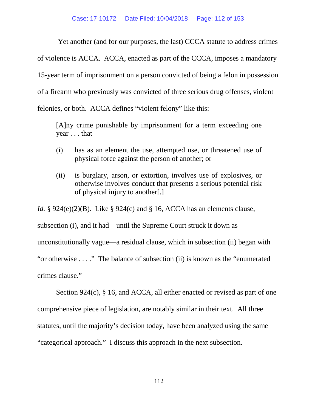Yet another (and for our purposes, the last) CCCA statute to address crimes

of violence is ACCA. ACCA, enacted as part of the CCCA, imposes a mandatory

15-year term of imprisonment on a person convicted of being a felon in possession

of a firearm who previously was convicted of three serious drug offenses, violent

felonies, or both. ACCA defines "violent felony" like this:

[A]ny crime punishable by imprisonment for a term exceeding one year . . . that—

- (i) has as an element the use, attempted use, or threatened use of physical force against the person of another; or
- (ii) is burglary, arson, or extortion, involves use of explosives, or otherwise involves conduct that presents a serious potential risk of physical injury to another[.]

*Id.* § 924(e)(2)(B). Like § 924(c) and § 16, ACCA has an elements clause,

subsection (i), and it had—until the Supreme Court struck it down as unconstitutionally vague—a residual clause, which in subsection (ii) began with "or otherwise . . . ." The balance of subsection (ii) is known as the "enumerated crimes clause."

Section 924(c), § 16, and ACCA, all either enacted or revised as part of one comprehensive piece of legislation, are notably similar in their text. All three statutes, until the majority's decision today, have been analyzed using the same "categorical approach." I discuss this approach in the next subsection.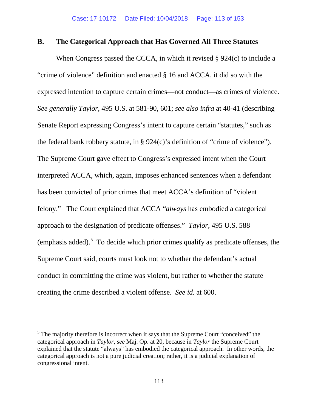### **B. The Categorical Approach that Has Governed All Three Statutes**

When Congress passed the CCCA, in which it revised § 924(c) to include a "crime of violence" definition and enacted § 16 and ACCA, it did so with the expressed intention to capture certain crimes—not conduct—as crimes of violence. *See generally Taylor*, 495 U.S. at 581-90, 601; *see also infra* at 40-41 (describing Senate Report expressing Congress's intent to capture certain "statutes," such as the federal bank robbery statute, in  $\S 924(c)$ 's definition of "crime of violence"). The Supreme Court gave effect to Congress's expressed intent when the Court interpreted ACCA, which, again, imposes enhanced sentences when a defendant has been convicted of prior crimes that meet ACCA's definition of "violent felony." The Court explained that ACCA "*always* has embodied a categorical approach to the designation of predicate offenses." *Taylor*, 495 U.S. 588 (emphasis added). $5$  To decide which prior crimes qualify as predicate offenses, the Supreme Court said, courts must look not to whether the defendant's actual conduct in committing the crime was violent, but rather to whether the statute creating the crime described a violent offense. *See id.* at 600.

<span id="page-112-0"></span> $<sup>5</sup>$  The majority therefore is incorrect when it says that the Supreme Court "conceived" the</sup> categorical approach in *Taylor*, *see* Maj. Op. at 20, because in *Taylor* the Supreme Court explained that the statute "always" has embodied the categorical approach. In other words, the categorical approach is not a pure judicial creation; rather, it is a judicial explanation of congressional intent.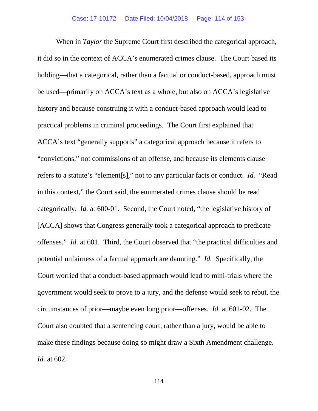When in *Taylor* the Supreme Court first described the categorical approach, it did so in the context of ACCA's enumerated crimes clause. The Court based its holding—that a categorical, rather than a factual or conduct-based, approach must be used—primarily on ACCA's text as a whole, but also on ACCA's legislative history and because construing it with a conduct-based approach would lead to practical problems in criminal proceedings. The Court first explained that ACCA's text "generally supports" a categorical approach because it refers to "convictions," not commissions of an offense, and because its elements clause refers to a statute's "element[s]," not to any particular facts or conduct. *Id.* "Read in this context," the Court said, the enumerated crimes clause should be read categorically. *Id.* at 600-01. Second, the Court noted, "the legislative history of [ACCA] shows that Congress generally took a categorical approach to predicate offenses." *Id.* at 601. Third, the Court observed that "the practical difficulties and potential unfairness of a factual approach are daunting." *Id.* Specifically, the Court worried that a conduct-based approach would lead to mini-trials where the government would seek to prove to a jury, and the defense would seek to rebut, the circumstances of prior—maybe even long prior—offenses. *Id.* at 601-02. The Court also doubted that a sentencing court, rather than a jury, would be able to make these findings because doing so might draw a Sixth Amendment challenge. *Id.* at 602.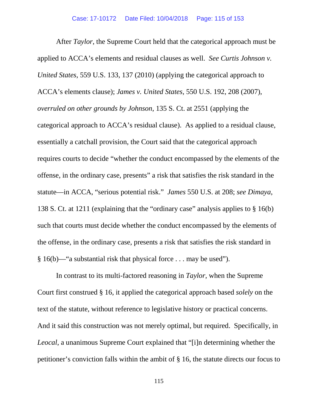After *Taylor*, the Supreme Court held that the categorical approach must be applied to ACCA's elements and residual clauses as well. *See Curtis Johnson v. United States*, 559 U.S. 133, 137 (2010) (applying the categorical approach to ACCA's elements clause); *James v. United States*, 550 U.S. 192, 208 (2007), *overruled on other grounds by Johnson*, 135 S. Ct. at 2551 (applying the categorical approach to ACCA's residual clause). As applied to a residual clause, essentially a catchall provision, the Court said that the categorical approach requires courts to decide "whether the conduct encompassed by the elements of the offense, in the ordinary case, presents" a risk that satisfies the risk standard in the statute—in ACCA, "serious potential risk." *James* 550 U.S. at 208; *see Dimaya*, 138 S. Ct. at 1211 (explaining that the "ordinary case" analysis applies to § 16(b) such that courts must decide whether the conduct encompassed by the elements of the offense, in the ordinary case, presents a risk that satisfies the risk standard in § 16(b)—"a substantial risk that physical force . . . may be used").

In contrast to its multi-factored reasoning in *Taylor*, when the Supreme Court first construed § 16, it applied the categorical approach based *solely* on the text of the statute, without reference to legislative history or practical concerns. And it said this construction was not merely optimal, but required. Specifically, in *Leocal*, a unanimous Supreme Court explained that "[i]n determining whether the petitioner's conviction falls within the ambit of § 16, the statute directs our focus to

115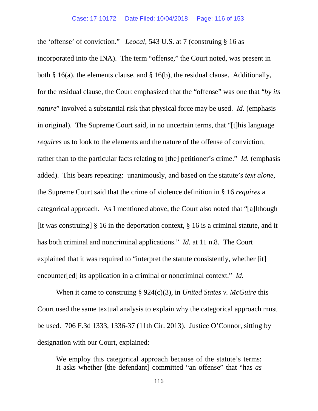the 'offense' of conviction." *Leocal*, 543 U.S. at 7 (construing § 16 as incorporated into the INA). The term "offense," the Court noted, was present in both § 16(a), the elements clause, and § 16(b), the residual clause. Additionally, for the residual clause, the Court emphasized that the "offense" was one that "*by its nature*" involved a substantial risk that physical force may be used. *Id.* (emphasis in original). The Supreme Court said, in no uncertain terms, that "[t]his language *requires* us to look to the elements and the nature of the offense of conviction, rather than to the particular facts relating to [the] petitioner's crime." *Id.* (emphasis added). This bears repeating: unanimously, and based on the statute's *text alone*, the Supreme Court said that the crime of violence definition in § 16 *requires* a categorical approach. As I mentioned above, the Court also noted that "[a]lthough [it was construing]  $\S$  16 in the deportation context,  $\S$  16 is a criminal statute, and it has both criminal and noncriminal applications." *Id.* at 11 n.8. The Court explained that it was required to "interpret the statute consistently, whether [it] encounter[ed] its application in a criminal or noncriminal context." *Id.* 

When it came to construing § 924(c)(3), in *United States v. McGuire* this Court used the same textual analysis to explain why the categorical approach must be used. 706 F.3d 1333, 1336-37 (11th Cir. 2013). Justice O'Connor, sitting by designation with our Court, explained:

We employ this categorical approach because of the statute's terms: It asks whether [the defendant] committed "an offense" that "has *as*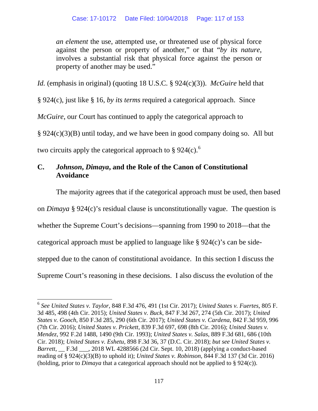*an element* the use, attempted use, or threatened use of physical force against the person or property of another," or that "*by its nature*, involves a substantial risk that physical force against the person or property of another may be used."

*Id.* (emphasis in original) (quoting 18 U.S.C. § 924(c)(3)). *McGuire* held that

§ 924(c), just like § 16, *by its terms* required a categorical approach. Since

*McGuire*, our Court has continued to apply the categorical approach to

§ 924(c)(3)(B) until today, and we have been in good company doing so. All but

two circuits apply the categorical approach to  $\S 924(c)$ .<sup>[6](#page-116-0)</sup>

# **C.** *Johnson***,** *Dimaya***, and the Role of the Canon of Constitutional Avoidance**

The majority agrees that if the categorical approach must be used, then based

on *Dimaya* § 924(c)'s residual clause is unconstitutionally vague. The question is whether the Supreme Court's decisions—spanning from 1990 to 2018—that the categorical approach must be applied to language like § 924(c)'s can be sidestepped due to the canon of constitutional avoidance. In this section I discuss the Supreme Court's reasoning in these decisions. I also discuss the evolution of the

<span id="page-116-0"></span><sup>6</sup> *See United States v. Taylor*, 848 F.3d 476, 491 (1st Cir. 2017); *United States v. Fuertes*, 805 F. 3d 485, 498 (4th Cir. 2015); *United States v. Buck*, 847 F.3d 267, 274 (5th Cir. 2017); *United States v. Gooch*, 850 F.3d 285, 290 (6th Cir. 2017); *United States v. Cardena*, 842 F.3d 959, 996 (7th Cir. 2016); *United States v. Prickett*, 839 F.3d 697, 698 (8th Cir. 2016); *United States v. Mendez*, 992 F.2d 1488, 1490 (9th Cir. 1993); *United States v. Salas*, 889 F.3d 681, 686 (10th Cir. 2018); *United States v. Eshetu*, 898 F.3d 36, 37 (D.C. Cir. 2018); *but see United States v. Barrett*, F.3d . 2018 WL 4288566 (2d Cir. Sept. 10, 2018) (applying a conduct-based reading of § 924(c)(3)(B) to uphold it); *United States v. Robinson*, 844 F.3d 137 (3d Cir. 2016) (holding, prior to *Dimaya* that a categorical approach should not be applied to § 924(c)).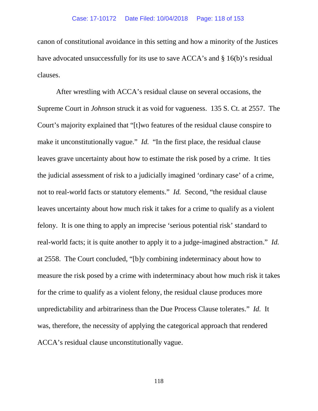canon of constitutional avoidance in this setting and how a minority of the Justices have advocated unsuccessfully for its use to save ACCA's and § 16(b)'s residual clauses.

After wrestling with ACCA's residual clause on several occasions, the Supreme Court in *Johnson* struck it as void for vagueness. 135 S. Ct. at 2557. The Court's majority explained that "[t]wo features of the residual clause conspire to make it unconstitutionally vague." *Id.* "In the first place, the residual clause leaves grave uncertainty about how to estimate the risk posed by a crime. It ties the judicial assessment of risk to a judicially imagined 'ordinary case' of a crime, not to real-world facts or statutory elements." *Id.* Second, "the residual clause leaves uncertainty about how much risk it takes for a crime to qualify as a violent felony. It is one thing to apply an imprecise 'serious potential risk' standard to real-world facts; it is quite another to apply it to a judge-imagined abstraction." *Id.* at 2558. The Court concluded, "[b]y combining indeterminacy about how to measure the risk posed by a crime with indeterminacy about how much risk it takes for the crime to qualify as a violent felony, the residual clause produces more unpredictability and arbitrariness than the Due Process Clause tolerates." *Id.* It was, therefore, the necessity of applying the categorical approach that rendered ACCA's residual clause unconstitutionally vague.

118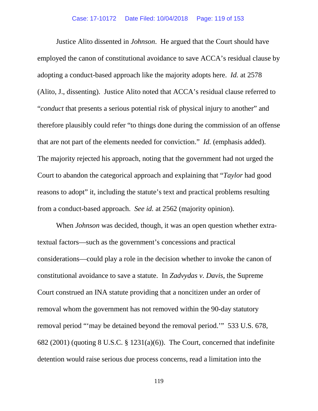Justice Alito dissented in *Johnson*. He argued that the Court should have employed the canon of constitutional avoidance to save ACCA's residual clause by adopting a conduct-based approach like the majority adopts here. *Id.* at 2578 (Alito, J., dissenting). Justice Alito noted that ACCA's residual clause referred to "*conduct* that presents a serious potential risk of physical injury to another" and therefore plausibly could refer "to things done during the commission of an offense that are not part of the elements needed for conviction." *Id.* (emphasis added). The majority rejected his approach, noting that the government had not urged the Court to abandon the categorical approach and explaining that "*Taylor* had good reasons to adopt" it, including the statute's text and practical problems resulting from a conduct-based approach. *See id.* at 2562 (majority opinion).

When *Johnson* was decided, though, it was an open question whether extratextual factors—such as the government's concessions and practical considerations—could play a role in the decision whether to invoke the canon of constitutional avoidance to save a statute. In *Zadvydas v. Davis*, the Supreme Court construed an INA statute providing that a noncitizen under an order of removal whom the government has not removed within the 90-day statutory removal period "'may be detained beyond the removal period.'" 533 U.S. 678, 682 (2001) (quoting 8 U.S.C. § 1231(a)(6)). The Court, concerned that indefinite detention would raise serious due process concerns, read a limitation into the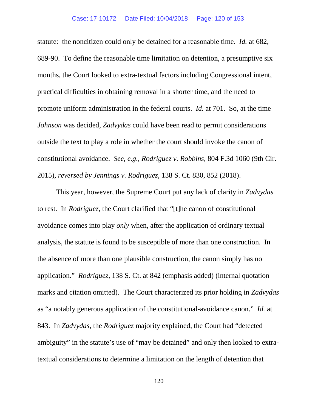#### Case: 17-10172 Date Filed: 10/04/2018 Page: 120 of 153

statute: the noncitizen could only be detained for a reasonable time. *Id.* at 682, 689-90. To define the reasonable time limitation on detention, a presumptive six months, the Court looked to extra-textual factors including Congressional intent, practical difficulties in obtaining removal in a shorter time, and the need to promote uniform administration in the federal courts. *Id.* at 701. So, at the time *Johnson* was decided, *Zadvydas* could have been read to permit considerations outside the text to play a role in whether the court should invoke the canon of constitutional avoidance. *See, e.g.*, *Rodriguez v. Robbins*, 804 F.3d 1060 (9th Cir. 2015), *reversed by Jennings v. Rodriguez*, 138 S. Ct. 830, 852 (2018).

This year, however, the Supreme Court put any lack of clarity in *Zadvydas* to rest. In *Rodriguez*, the Court clarified that "[t]he canon of constitutional avoidance comes into play *only* when, after the application of ordinary textual analysis, the statute is found to be susceptible of more than one construction. In the absence of more than one plausible construction, the canon simply has no application." *Rodriguez*, 138 S. Ct. at 842 (emphasis added) (internal quotation marks and citation omitted). The Court characterized its prior holding in *Zadvydas* as "a notably generous application of the constitutional-avoidance canon." *Id.* at 843. In *Zadvydas*, the *Rodriguez* majority explained, the Court had "detected ambiguity" in the statute's use of "may be detained" and only then looked to extratextual considerations to determine a limitation on the length of detention that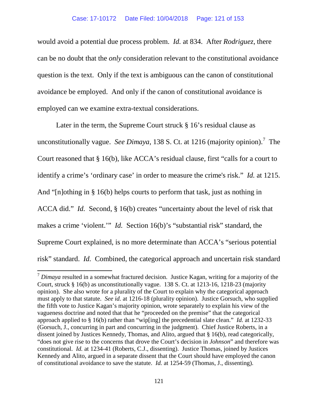would avoid a potential due process problem. *Id.* at 834. After *Rodriguez*, there can be no doubt that the *only* consideration relevant to the constitutional avoidance question is the text. Only if the text is ambiguous can the canon of constitutional avoidance be employed. And only if the canon of constitutional avoidance is employed can we examine extra-textual considerations.

Later in the term, the Supreme Court struck  $\S 16$ 's residual clause as unconstitutionally vague. *See Dimaya*, 138 S. Ct. at 1216 (majority opinion).<sup>[7](#page-120-0)</sup> The Court reasoned that § 16(b), like ACCA's residual clause, first "calls for a court to identify a crime's 'ordinary case' in order to measure the crime's risk." *Id.* at 1215. And "[n]othing in § 16(b) helps courts to perform that task, just as nothing in ACCA did." *Id.* Second, § 16(b) creates "uncertainty about the level of risk that makes a crime 'violent.'" *Id.* Section 16(b)'s "substantial risk" standard, the Supreme Court explained, is no more determinate than ACCA's "serious potential risk" standard. *Id.* Combined, the categorical approach and uncertain risk standard

<span id="page-120-0"></span><sup>7</sup> *Dimaya* resulted in a somewhat fractured decision. Justice Kagan, writing for a majority of the Court, struck § 16(b) as unconstitutionally vague. 138 S. Ct. at 1213-16, 1218-23 (majority opinion). She also wrote for a plurality of the Court to explain why the categorical approach must apply to that statute. *See id.* at 1216-18 (plurality opinion). Justice Gorsuch, who supplied the fifth vote to Justice Kagan's majority opinion, wrote separately to explain his view of the vagueness doctrine and noted that that he "proceeded on the premise" that the categorical approach applied to § 16(b) rather than "wip[ing] the precedential slate clean." *Id.* at 1232-33 (Gorsuch, J., concurring in part and concurring in the judgment). Chief Justice Roberts, in a dissent joined by Justices Kennedy, Thomas, and Alito, argued that § 16(b), read categorically, "does not give rise to the concerns that drove the Court's decision in *Johnson*" and therefore was constitutional. *Id.* at 1234-41 (Roberts, C.J., dissenting). Justice Thomas, joined by Justices Kennedy and Alito, argued in a separate dissent that the Court should have employed the canon of constitutional avoidance to save the statute. *Id.* at 1254-59 (Thomas, J., dissenting).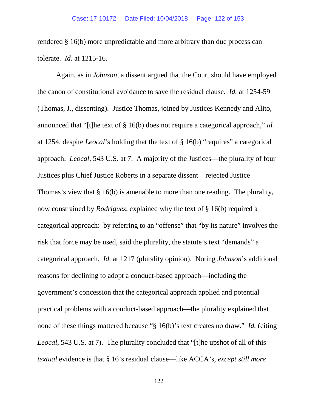rendered § 16(b) more unpredictable and more arbitrary than due process can tolerate. *Id.* at 1215-16.

Again, as in *Johnson*, a dissent argued that the Court should have employed the canon of constitutional avoidance to save the residual clause. *Id.* at 1254-59 (Thomas, J., dissenting). Justice Thomas, joined by Justices Kennedy and Alito, announced that "[t]he text of § 16(b) does not require a categorical approach," *id.* at 1254, despite *Leocal*'s holding that the text of § 16(b) "requires" a categorical approach. *Leocal*, 543 U.S. at 7. A majority of the Justices—the plurality of four Justices plus Chief Justice Roberts in a separate dissent—rejected Justice Thomas's view that § 16(b) is amenable to more than one reading. The plurality, now constrained by *Rodriguez*, explained why the text of § 16(b) required a categorical approach: by referring to an "offense" that "by its nature" involves the risk that force may be used, said the plurality, the statute's text "demands" a categorical approach. *Id.* at 1217 (plurality opinion). Noting *Johnson*'s additional reasons for declining to adopt a conduct-based approach—including the government's concession that the categorical approach applied and potential practical problems with a conduct-based approach—the plurality explained that none of these things mattered because "§ 16(b)'s text creates no draw." *Id.* (citing *Leocal*, 543 U.S. at 7). The plurality concluded that "[t]he upshot of all of this *textual* evidence is that § 16's residual clause—like ACCA's, *except still more*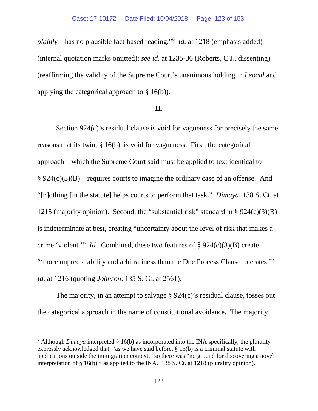*plainly*—has no plausible fact-based reading."[8](#page-122-0) *Id.* at 1218 (emphasis added) (internal quotation marks omitted); *see id.* at 1235-36 (Roberts, C.J., dissenting) (reaffirming the validity of the Supreme Court's unanimous holding in *Leocal* and applying the categorical approach to § 16(b)).

### **II.**

Section 924(c)'s residual clause is void for vagueness for precisely the same reasons that its twin, § 16(b), is void for vagueness. First, the categorical approach—which the Supreme Court said must be applied to text identical to § 924(c)(3)(B)—requires courts to imagine the ordinary case of an offense. And "[n]othing [in the statute] helps courts to perform that task." *Dimaya*, 138 S. Ct. at 1215 (majority opinion). Second, the "substantial risk" standard in § 924(c)(3)(B) is indeterminate at best, creating "uncertainty about the level of risk that makes a crime 'violent.'" *Id.* Combined, these two features of § 924(c)(3)(B) create "'more unpredictability and arbitrariness than the Due Process Clause tolerates.'" *Id.* at 1216 (quoting *Johnson*, 135 S. Ct. at 2561).

The majority, in an attempt to salvage § 924(c)'s residual clause, tosses out the categorical approach in the name of constitutional avoidance. The majority

<span id="page-122-0"></span><sup>&</sup>lt;sup>8</sup> Although *Dimaya* interpreted  $\S$  16(b) as incorporated into the INA specifically, the plurality expressly acknowledged that, "as we have said before, § 16(b) is a criminal statute with applications outside the immigration context," so there was "no ground for discovering a novel interpretation of § 16(b)," as applied to the INA. 138 S. Ct. at 1218 (plurality opinion).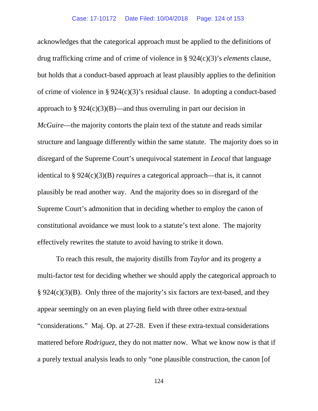acknowledges that the categorical approach must be applied to the definitions of drug trafficking crime and of crime of violence in § 924(c)(3)'s *elements* clause, but holds that a conduct-based approach at least plausibly applies to the definition of crime of violence in § 924(c)(3)'s residual clause. In adopting a conduct-based approach to  $\S 924(c)(3)(B)$ —and thus overruling in part our decision in *McGuire*—the majority contorts the plain text of the statute and reads similar structure and language differently within the same statute. The majority does so in disregard of the Supreme Court's unequivocal statement in *Leocal* that language identical to § 924(c)(3)(B) *requires* a categorical approach—that is, it cannot plausibly be read another way. And the majority does so in disregard of the Supreme Court's admonition that in deciding whether to employ the canon of constitutional avoidance we must look to a statute's text alone. The majority effectively rewrites the statute to avoid having to strike it down.

To reach this result, the majority distills from *Taylor* and its progeny a multi-factor test for deciding whether we should apply the categorical approach to § 924(c)(3)(B). Only three of the majority's six factors are text-based, and they appear seemingly on an even playing field with three other extra-textual "considerations." Maj. Op. at 27-28. Even if these extra-textual considerations mattered before *Rodriguez*, they do not matter now. What we know now is that if a purely textual analysis leads to only "one plausible construction, the canon [of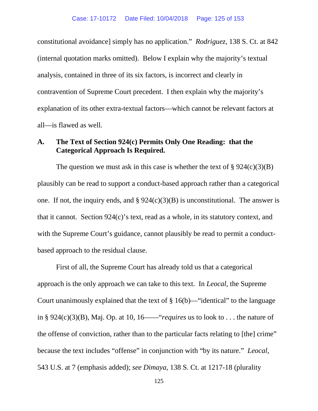constitutional avoidance] simply has no application." *Rodriguez*, 138 S. Ct. at 842 (internal quotation marks omitted). Below I explain why the majority's textual analysis, contained in three of its six factors, is incorrect and clearly in contravention of Supreme Court precedent. I then explain why the majority's explanation of its other extra-textual factors—which cannot be relevant factors at all—is flawed as well.

## **A. The Text of Section 924(c) Permits Only One Reading: that the Categorical Approach Is Required.**

The question we must ask in this case is whether the text of  $\S 924(c)(3)(B)$ plausibly can be read to support a conduct-based approach rather than a categorical one. If not, the inquiry ends, and  $\S 924(c)(3)(B)$  is unconstitutional. The answer is that it cannot. Section 924(c)'s text, read as a whole, in its statutory context, and with the Supreme Court's guidance, cannot plausibly be read to permit a conductbased approach to the residual clause.

First of all, the Supreme Court has already told us that a categorical approach is the only approach we can take to this text. In *Leocal*, the Supreme Court unanimously explained that the text of  $\S 16(b)$ —"identical" to the language in § 924(c)(3)(B), Maj. Op. at 10, 16——"*requires* us to look to . . . the nature of the offense of conviction, rather than to the particular facts relating to [the] crime" because the text includes "offense" in conjunction with "by its nature." *Leocal*, 543 U.S. at 7 (emphasis added); *see Dimaya*, 138 S. Ct. at 1217-18 (plurality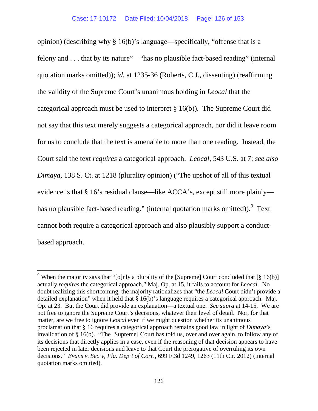opinion) (describing why § 16(b)'s language—specifically, "offense that is a felony and . . . that by its nature"—"has no plausible fact-based reading" (internal quotation marks omitted)); *id.* at 1235-36 (Roberts, C.J., dissenting) (reaffirming the validity of the Supreme Court's unanimous holding in *Leocal* that the categorical approach must be used to interpret § 16(b)). The Supreme Court did not say that this text merely suggests a categorical approach, nor did it leave room for us to conclude that the text is amenable to more than one reading. Instead, the Court said the text *requires* a categorical approach. *Leocal*, 543 U.S. at 7; *see also Dimaya*, 138 S. Ct. at 1218 (plurality opinion) ("The upshot of all of this textual evidence is that § 16's residual clause—like ACCA's, except still more plainly has no plausible fact-based reading." (internal quotation marks omitted)). Text cannot both require a categorical approach and also plausibly support a conductbased approach.

<span id="page-125-0"></span><sup>&</sup>lt;sup>9</sup> When the majority says that "[o]nly a plurality of the [Supreme] Court concluded that [§ 16(b)] actually *requires* the categorical approach," Maj. Op. at 15, it fails to account for *Leocal*. No doubt realizing this shortcoming, the majority rationalizes that "the *Leocal* Court didn't provide a detailed explanation" when it held that § 16(b)'s language requires a categorical approach. Maj. Op. at 23. But the Court did provide an explanation—a textual one. *See supra* at 14-15. We are not free to ignore the Supreme Court's decisions, whatever their level of detail. Nor, for that matter, are we free to ignore *Leocal* even if we might question whether its unanimous proclamation that § 16 requires a categorical approach remains good law in light of *Dimaya*'s invalidation of § 16(b). "The [Supreme] Court has told us, over and over again, to follow any of its decisions that directly applies in a case, even if the reasoning of that decision appears to have been rejected in later decisions and leave to that Court the prerogative of overruling its own decisions." *Evans v. Sec'y, Fla. Dep't of Corr.*, 699 F.3d 1249, 1263 (11th Cir. 2012) (internal quotation marks omitted).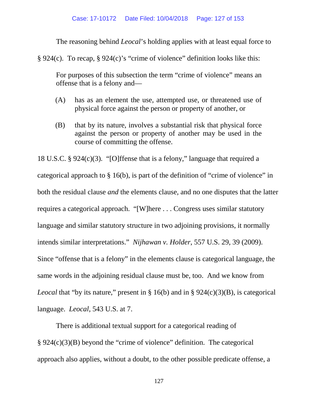The reasoning behind *Leocal*'s holding applies with at least equal force to

§ 924(c). To recap, § 924(c)'s "crime of violence" definition looks like this:

For purposes of this subsection the term "crime of violence" means an offense that is a felony and—

- (A) has as an element the use, attempted use, or threatened use of physical force against the person or property of another, or
- (B) that by its nature, involves a substantial risk that physical force against the person or property of another may be used in the course of committing the offense.

18 U.S.C. § 924(c)(3). "[O]ffense that is a felony," language that required a categorical approach to § 16(b), is part of the definition of "crime of violence" in both the residual clause *and* the elements clause, and no one disputes that the latter requires a categorical approach. "[W]here . . . Congress uses similar statutory language and similar statutory structure in two adjoining provisions, it normally intends similar interpretations." *Nijhawan v. Holder*, 557 U.S. 29, 39 (2009). Since "offense that is a felony" in the elements clause is categorical language, the same words in the adjoining residual clause must be, too. And we know from *Leocal* that "by its nature," present in § 16(b) and in § 924(c)(3)(B), is categorical language. *Leocal*, 543 U.S. at 7.

There is additional textual support for a categorical reading of § 924(c)(3)(B) beyond the "crime of violence" definition. The categorical approach also applies, without a doubt, to the other possible predicate offense, a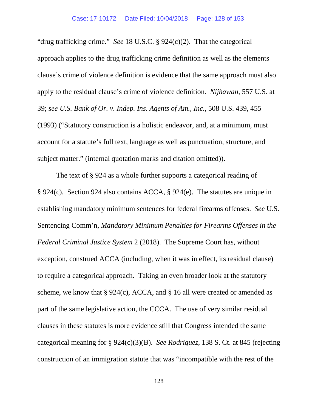"drug trafficking crime." *See* 18 U.S.C. § 924(c)(2). That the categorical approach applies to the drug trafficking crime definition as well as the elements clause's crime of violence definition is evidence that the same approach must also apply to the residual clause's crime of violence definition. *Nijhawan*, 557 U.S. at 39; *see U.S. Bank of Or. v. Indep. Ins. Agents of Am., Inc.*, 508 U.S. 439, 455 (1993) ("Statutory construction is a holistic endeavor, and, at a minimum, must account for a statute's full text, language as well as punctuation, structure, and subject matter." (internal quotation marks and citation omitted)).

The text of § 924 as a whole further supports a categorical reading of § 924(c). Section 924 also contains ACCA, § 924(e). The statutes are unique in establishing mandatory minimum sentences for federal firearms offenses. *See* U.S. Sentencing Comm'n, *Mandatory Minimum Penalties for Firearms Offenses in the Federal Criminal Justice System* 2 (2018). The Supreme Court has, without exception, construed ACCA (including, when it was in effect, its residual clause) to require a categorical approach. Taking an even broader look at the statutory scheme, we know that  $\S 924(c)$ , ACCA, and  $\S 16$  all were created or amended as part of the same legislative action, the CCCA. The use of very similar residual clauses in these statutes is more evidence still that Congress intended the same categorical meaning for § 924(c)(3)(B). *See Rodriguez*, 138 S. Ct. at 845 (rejecting construction of an immigration statute that was "incompatible with the rest of the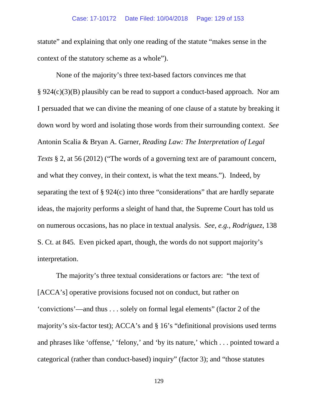### Case: 17-10172 Date Filed: 10/04/2018 Page: 129 of 153

statute" and explaining that only one reading of the statute "makes sense in the context of the statutory scheme as a whole").

None of the majority's three text-based factors convinces me that § 924(c)(3)(B) plausibly can be read to support a conduct-based approach. Nor am I persuaded that we can divine the meaning of one clause of a statute by breaking it down word by word and isolating those words from their surrounding context. *See*  Antonin Scalia & Bryan A. Garner, *Reading Law: The Interpretation of Legal Texts* § 2, at 56 (2012) ("The words of a governing text are of paramount concern, and what they convey, in their context, is what the text means."). Indeed, by separating the text of § 924(c) into three "considerations" that are hardly separate ideas, the majority performs a sleight of hand that, the Supreme Court has told us on numerous occasions, has no place in textual analysis. *See, e.g.*, *Rodriguez*, 138 S. Ct. at 845*.* Even picked apart, though, the words do not support majority's interpretation.

The majority's three textual considerations or factors are: "the text of [ACCA's] operative provisions focused not on conduct, but rather on 'convictions'—and thus . . . solely on formal legal elements" (factor 2 of the majority's six-factor test); ACCA's and § 16's "definitional provisions used terms and phrases like 'offense,' 'felony,' and 'by its nature,' which . . . pointed toward a categorical (rather than conduct-based) inquiry" (factor 3); and "those statutes

129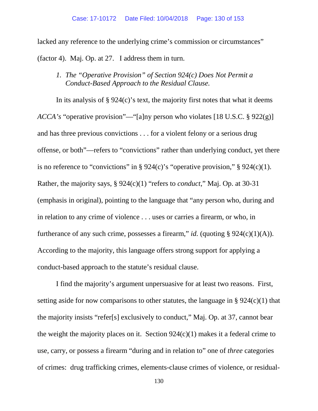lacked any reference to the underlying crime's commission or circumstances" (factor 4). Maj. Op. at 27. I address them in turn.

*1. The "Operative Provision" of Section 924(c) Does Not Permit a Conduct-Based Approach to the Residual Clause.*

In its analysis of  $\S 924(c)$ 's text, the majority first notes that what it deems *ACCA's* "operative provision"—"[a]ny person who violates [18 U.S.C. § 922(g)] and has three previous convictions . . . for a violent felony or a serious drug offense, or both"—refers to "convictions" rather than underlying conduct, yet there is no reference to "convictions" in § 924(c)'s "operative provision," § 924(c)(1). Rather, the majority says, § 924(c)(1) "refers to *conduct*," Maj. Op. at 30-31 (emphasis in original), pointing to the language that "any person who, during and in relation to any crime of violence . . . uses or carries a firearm, or who, in furtherance of any such crime, possesses a firearm," *id.* (quoting  $\S$  924(c)(1)(A)). According to the majority, this language offers strong support for applying a conduct-based approach to the statute's residual clause.

I find the majority's argument unpersuasive for at least two reasons. First, setting aside for now comparisons to other statutes, the language in  $\S 924(c)(1)$  that the majority insists "refer[s] exclusively to conduct," Maj. Op. at 37, cannot bear the weight the majority places on it. Section  $924(c)(1)$  makes it a federal crime to use, carry, or possess a firearm "during and in relation to" one of *three* categories of crimes: drug trafficking crimes, elements-clause crimes of violence, or residual-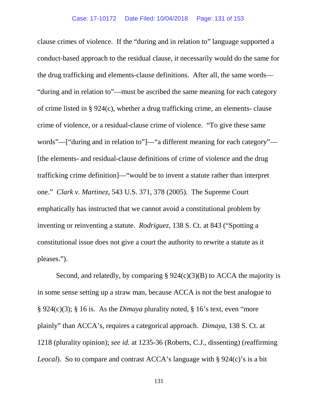clause crimes of violence. If the "during and in relation to" language supported a conduct-based approach to the residual clause, it necessarily would do the same for the drug trafficking and elements-clause definitions. After all, the same words— "during and in relation to"—must be ascribed the same meaning for each category of crime listed in § 924(c), whether a drug trafficking crime, an elements- clause crime of violence, or a residual-clause crime of violence. "To give these same words"—["during and in relation to"]—"a different meaning for each category"— [the elements- and residual-clause definitions of crime of violence and the drug trafficking crime definition]—"would be to invent a statute rather than interpret one." *Clark v. Martinez*, 543 U.S. 371, 378 (2005). The Supreme Court emphatically has instructed that we cannot avoid a constitutional problem by inventing or reinventing a statute. *Rodriguez*, 138 S. Ct. at 843 ("Spotting a constitutional issue does not give a court the authority to rewrite a statute as it pleases.").

Second, and relatedly, by comparing  $\S 924(c)(3)(B)$  to ACCA the majority is in some sense setting up a straw man, because ACCA is not the best analogue to § 924(c)(3); § 16 is. As the *Dimaya* plurality noted, § 16's text, even "more plainly" than ACCA's, requires a categorical approach. *Dimaya*, 138 S. Ct. at 1218 (plurality opinion); *see id.* at 1235-36 (Roberts, C.J., dissenting) (reaffirming *Leocal*). So to compare and contrast ACCA's language with § 924(c)'s is a bit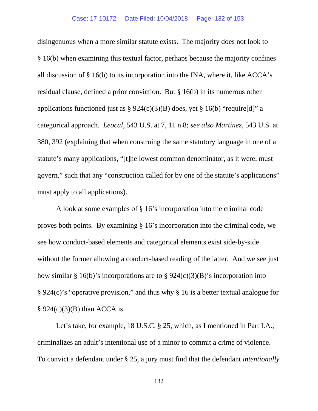disingenuous when a more similar statute exists. The majority does not look to § 16(b) when examining this textual factor, perhaps because the majority confines all discussion of § 16(b) to its incorporation into the INA, where it, like ACCA's residual clause, defined a prior conviction. But § 16(b) in its numerous other applications functioned just as  $\S 924(c)(3)(B)$  does, yet  $\S 16(b)$  "require[d]" a categorical approach. *Leocal*, 543 U.S. at 7, 11 n.8; *see also Martinez*, 543 U.S. at 380, 392 (explaining that when construing the same statutory language in one of a statute's many applications, "[t]he lowest common denominator, as it were, must govern," such that any "construction called for by one of the statute's applications" must apply to all applications).

A look at some examples of § 16's incorporation into the criminal code proves both points. By examining § 16's incorporation into the criminal code, we see how conduct-based elements and categorical elements exist side-by-side without the former allowing a conduct-based reading of the latter. And we see just how similar § 16(b)'s incorporations are to § 924(c)(3)(B)'s incorporation into § 924(c)'s "operative provision," and thus why § 16 is a better textual analogue for  $§$  924(c)(3)(B) than ACCA is.

Let's take, for example, 18 U.S.C. § 25, which, as I mentioned in Part I.A., criminalizes an adult's intentional use of a minor to commit a crime of violence. To convict a defendant under § 25, a jury must find that the defendant *intentionally*

132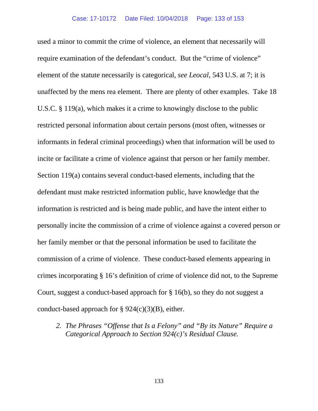used a minor to commit the crime of violence, an element that necessarily will require examination of the defendant's conduct. But the "crime of violence" element of the statute necessarily is categorical, *see Leocal*, 543 U.S. at 7; it is unaffected by the mens rea element. There are plenty of other examples. Take 18 U.S.C. § 119(a), which makes it a crime to knowingly disclose to the public restricted personal information about certain persons (most often, witnesses or informants in federal criminal proceedings) when that information will be used to incite or facilitate a crime of violence against that person or her family member. Section 119(a) contains several conduct-based elements, including that the defendant must make restricted information public, have knowledge that the information is restricted and is being made public, and have the intent either to personally incite the commission of a crime of violence against a covered person or her family member or that the personal information be used to facilitate the commission of a crime of violence. These conduct-based elements appearing in crimes incorporating § 16's definition of crime of violence did not, to the Supreme Court, suggest a conduct-based approach for § 16(b), so they do not suggest a conduct-based approach for  $\S 924(c)(3)(B)$ , either.

*2. The Phrases "Offense that Is a Felony" and "By its Nature" Require a Categorical Approach to Section 924(c)'s Residual Clause.*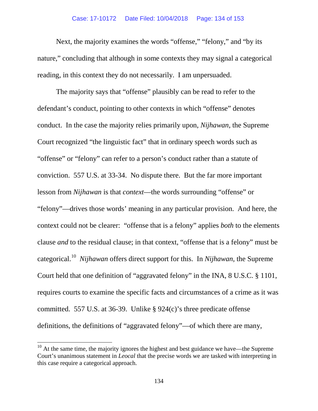#### Case: 17-10172 Date Filed: 10/04/2018 Page: 134 of 153

Next, the majority examines the words "offense," "felony," and "by its nature," concluding that although in some contexts they may signal a categorical reading, in this context they do not necessarily. I am unpersuaded.

The majority says that "offense" plausibly can be read to refer to the defendant's conduct, pointing to other contexts in which "offense" denotes conduct. In the case the majority relies primarily upon, *Nijhawan*, the Supreme Court recognized "the linguistic fact" that in ordinary speech words such as "offense" or "felony" can refer to a person's conduct rather than a statute of conviction. 557 U.S. at 33-34. No dispute there. But the far more important lesson from *Nijhawan* is that *context*—the words surrounding "offense" or "felony"—drives those words' meaning in any particular provision. And here, the context could not be clearer: "offense that is a felony" applies *both* to the elements clause *and* to the residual clause; in that context, "offense that is a felony" must be categorical.[10](#page-133-0) *Nijhawan* offers direct support for this. In *Nijhawan*, the Supreme Court held that one definition of "aggravated felony" in the INA, 8 U.S.C. § 1101, requires courts to examine the specific facts and circumstances of a crime as it was committed. 557 U.S. at 36-39. Unlike § 924(c)'s three predicate offense definitions, the definitions of "aggravated felony"—of which there are many,

<span id="page-133-0"></span> $10<sup>10</sup>$  At the same time, the majority ignores the highest and best guidance we have—the Supreme Court's unanimous statement in *Leocal* that the precise words we are tasked with interpreting in this case require a categorical approach.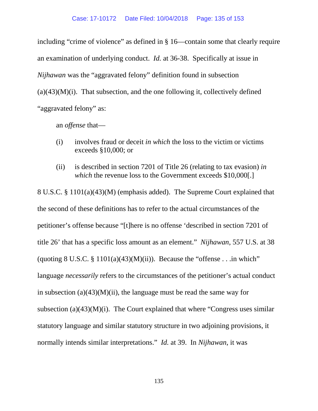including "crime of violence" as defined in § 16—contain some that clearly require an examination of underlying conduct. *Id.* at 36-38. Specifically at issue in *Nijhawan* was the "aggravated felony" definition found in subsection  $(a)(43)(M)(i)$ . That subsection, and the one following it, collectively defined "aggravated felony" as:

an *offense* that—

- (i) involves fraud or deceit *in which* the loss to the victim or victims exceeds §10,000; or
- (ii) is described in section 7201 of Title 26 (relating to tax evasion) *in which* the revenue loss to the Government exceeds \$10,000[.]

8 U.S.C. § 1101(a)(43)(M) (emphasis added). The Supreme Court explained that the second of these definitions has to refer to the actual circumstances of the petitioner's offense because "[t]here is no offense 'described in section 7201 of title 26' that has a specific loss amount as an element." *Nijhawan*, 557 U.S. at 38 (quoting  $8 \text{ U.S.C. } \frac{8}{3} \frac{1101(a)(43)(M)(ii)}{2}$ ). Because the "offense . . .in which" language *necessarily* refers to the circumstances of the petitioner's actual conduct in subsection  $(a)(43)(M)(ii)$ , the language must be read the same way for subsection (a) $(43)(M)(i)$ . The Court explained that where "Congress uses similar statutory language and similar statutory structure in two adjoining provisions, it normally intends similar interpretations." *Id.* at 39. In *Nijhawan*, it was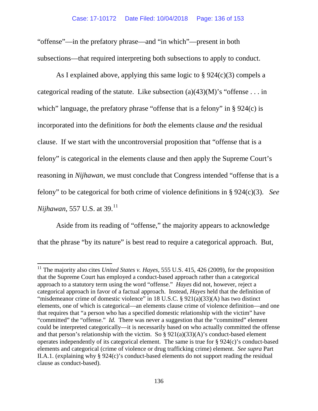"offense"—in the prefatory phrase—and "in which"—present in both subsections—that required interpreting both subsections to apply to conduct.

As I explained above, applying this same logic to § 924(c)(3) compels a categorical reading of the statute. Like subsection (a)(43)(M)'s "offense . . . in which" language, the prefatory phrase "offense that is a felony" in § 924(c) is incorporated into the definitions for *both* the elements clause *and* the residual clause. If we start with the uncontroversial proposition that "offense that is a felony" is categorical in the elements clause and then apply the Supreme Court's reasoning in *Nijhawan*, we must conclude that Congress intended "offense that is a felony" to be categorical for both crime of violence definitions in § 924(c)(3). *See Nijhawan*, 557 U.S. at 39.<sup>[11](#page-135-0)</sup>

Aside from its reading of "offense," the majority appears to acknowledge that the phrase "by its nature" is best read to require a categorical approach. But,

<span id="page-135-0"></span><sup>&</sup>lt;sup>11</sup> The majority also cites *United States v. Hayes*, 555 U.S. 415, 426 (2009), for the proposition that the Supreme Court has employed a conduct-based approach rather than a categorical approach to a statutory term using the word "offense." *Hayes* did not, however, reject a categorical approach in favor of a factual approach. Instead, *Hayes* held that the definition of "misdemeanor crime of domestic violence" in 18 U.S.C. § 921(a)(33)(A) has two distinct elements, one of which is categorical—an elements clause crime of violence definition—and one that requires that "a person who has a specified domestic relationship with the victim" have "committed" the "offense." *Id.* There was never a suggestion that the "committed" element could be interpreted categorically—it is necessarily based on who actually committed the offense and that person's relationship with the victim. So  $\S 921(a)(33)(A)$ 's conduct-based element operates independently of its categorical element. The same is true for § 924(c)'s conduct-based elements and categorical (crime of violence or drug trafficking crime) element. *See supra* Part II.A.1. (explaining why § 924(c)'s conduct-based elements do not support reading the residual clause as conduct-based).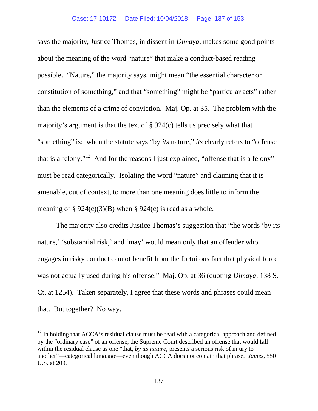says the majority, Justice Thomas, in dissent in *Dimaya*, makes some good points about the meaning of the word "nature" that make a conduct-based reading possible. "Nature," the majority says, might mean "the essential character or constitution of something," and that "something" might be "particular acts" rather than the elements of a crime of conviction. Maj. Op. at 35. The problem with the majority's argument is that the text of § 924(c) tells us precisely what that "something" is: when the statute says "by *its* nature," *its* clearly refers to "offense" that is a felony."<sup>[12](#page-136-0)</sup> And for the reasons I just explained, "offense that is a felony" must be read categorically. Isolating the word "nature" and claiming that it is amenable, out of context, to more than one meaning does little to inform the meaning of  $\S 924(c)(3)(B)$  when  $\S 924(c)$  is read as a whole.

The majority also credits Justice Thomas's suggestion that "the words 'by its nature,' 'substantial risk,' and 'may' would mean only that an offender who engages in risky conduct cannot benefit from the fortuitous fact that physical force was not actually used during his offense." Maj. Op. at 36 (quoting *Dimaya*, 138 S. Ct. at 1254). Taken separately, I agree that these words and phrases could mean that. But together? No way.

<span id="page-136-0"></span> $12$  In holding that ACCA's residual clause must be read with a categorical approach and defined by the "ordinary case" of an offense, the Supreme Court described an offense that would fall within the residual clause as one "that, *by its nature*, presents a serious risk of injury to another"—categorical language—even though ACCA does not contain that phrase. *James*, 550 U.S. at 209.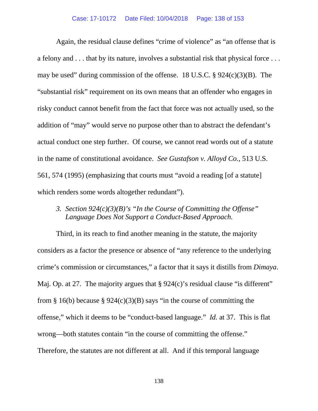Again, the residual clause defines "crime of violence" as "an offense that is a felony and . . . that by its nature, involves a substantial risk that physical force . . . may be used" during commission of the offense. 18 U.S.C. § 924(c)(3)(B). The "substantial risk" requirement on its own means that an offender who engages in risky conduct cannot benefit from the fact that force was not actually used, so the addition of "may" would serve no purpose other than to abstract the defendant's actual conduct one step further. Of course, we cannot read words out of a statute in the name of constitutional avoidance. *See Gustafson v. Alloyd Co.*, 513 U.S. 561, 574 (1995) (emphasizing that courts must "avoid a reading [of a statute] which renders some words altogether redundant".

*3. Section 924(c)(3)(B)'s "In the Course of Committing the Offense" Language Does Not Support a Conduct-Based Approach.*

Third, in its reach to find another meaning in the statute, the majority considers as a factor the presence or absence of "any reference to the underlying crime's commission or circumstances," a factor that it says it distills from *Dimaya*. Maj. Op. at 27. The majority argues that  $\S 924(c)$ 's residual clause "is different" from § 16(b) because § 924(c)(3)(B) says "in the course of committing the offense," which it deems to be "conduct-based language." *Id.* at 37. This is flat wrong—both statutes contain "in the course of committing the offense." Therefore, the statutes are not different at all. And if this temporal language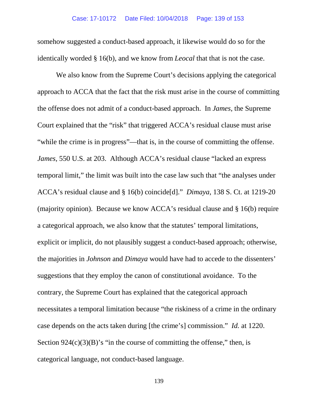somehow suggested a conduct-based approach, it likewise would do so for the identically worded § 16(b), and we know from *Leocal* that that is not the case.

We also know from the Supreme Court's decisions applying the categorical approach to ACCA that the fact that the risk must arise in the course of committing the offense does not admit of a conduct-based approach. In *James*, the Supreme Court explained that the "risk" that triggered ACCA's residual clause must arise "while the crime is in progress"—that is, in the course of committing the offense. *James*, 550 U.S. at 203. Although ACCA's residual clause "lacked an express temporal limit," the limit was built into the case law such that "the analyses under ACCA's residual clause and § 16(b) coincide[d]." *Dimaya*, 138 S. Ct. at 1219-20 (majority opinion). Because we know ACCA's residual clause and § 16(b) require a categorical approach, we also know that the statutes' temporal limitations, explicit or implicit, do not plausibly suggest a conduct-based approach; otherwise, the majorities in *Johnson* and *Dimaya* would have had to accede to the dissenters' suggestions that they employ the canon of constitutional avoidance. To the contrary, the Supreme Court has explained that the categorical approach necessitates a temporal limitation because "the riskiness of a crime in the ordinary case depends on the acts taken during [the crime's] commission." *Id.* at 1220. Section  $924(c)(3)(B)$ 's "in the course of committing the offense," then, is categorical language, not conduct-based language.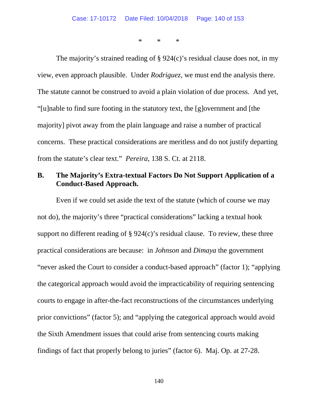\* \* \*

The majority's strained reading of § 924(c)'s residual clause does not, in my view, even approach plausible. Under *Rodriguez*, we must end the analysis there. The statute cannot be construed to avoid a plain violation of due process. And yet, "[u]nable to find sure footing in the statutory text, the [g]overnment and [the majority] pivot away from the plain language and raise a number of practical concerns. These practical considerations are meritless and do not justify departing from the statute's clear text." *Pereira*, 138 S. Ct. at 2118.

## **B. The Majority's Extra-textual Factors Do Not Support Application of a Conduct-Based Approach.**

Even if we could set aside the text of the statute (which of course we may not do), the majority's three "practical considerations" lacking a textual hook support no different reading of  $\S 924(c)$ 's residual clause. To review, these three practical considerations are because: in *Johnson* and *Dimaya* the government "never asked the Court to consider a conduct-based approach" (factor 1); "applying the categorical approach would avoid the impracticability of requiring sentencing courts to engage in after-the-fact reconstructions of the circumstances underlying prior convictions" (factor 5); and "applying the categorical approach would avoid the Sixth Amendment issues that could arise from sentencing courts making findings of fact that properly belong to juries" (factor 6). Maj. Op. at 27-28.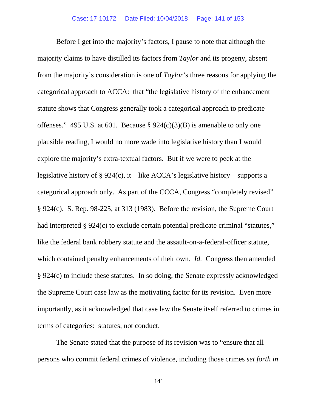Before I get into the majority's factors, I pause to note that although the majority claims to have distilled its factors from *Taylor* and its progeny, absent from the majority's consideration is one of *Taylor*'s three reasons for applying the categorical approach to ACCA: that "the legislative history of the enhancement statute shows that Congress generally took a categorical approach to predicate offenses." 495 U.S. at 601. Because  $\S 924(c)(3)(B)$  is amenable to only one plausible reading, I would no more wade into legislative history than I would explore the majority's extra-textual factors. But if we were to peek at the legislative history of § 924(c), it—like ACCA's legislative history—supports a categorical approach only. As part of the CCCA, Congress "completely revised" § 924(c). S. Rep. 98-225, at 313 (1983). Before the revision, the Supreme Court had interpreted § 924(c) to exclude certain potential predicate criminal "statutes," like the federal bank robbery statute and the assault-on-a-federal-officer statute, which contained penalty enhancements of their own. *Id.* Congress then amended § 924(c) to include these statutes. In so doing, the Senate expressly acknowledged the Supreme Court case law as the motivating factor for its revision. Even more importantly, as it acknowledged that case law the Senate itself referred to crimes in terms of categories: statutes, not conduct.

The Senate stated that the purpose of its revision was to "ensure that all persons who commit federal crimes of violence, including those crimes *set forth in*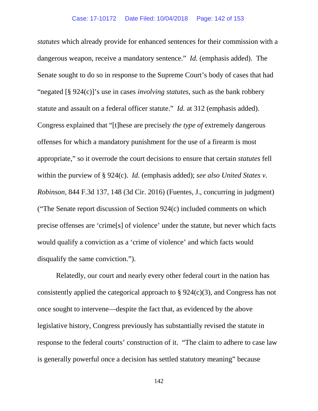*statutes* which already provide for enhanced sentences for their commission with a dangerous weapon, receive a mandatory sentence." *Id.* (emphasis added). The Senate sought to do so in response to the Supreme Court's body of cases that had "negated [§ 924(c)]'s use in cases *involving statutes*, such as the bank robbery statute and assault on a federal officer statute." *Id.* at 312 (emphasis added). Congress explained that "[t]hese are precisely *the type of* extremely dangerous offenses for which a mandatory punishment for the use of a firearm is most appropriate," so it overrode the court decisions to ensure that certain *statutes* fell within the purview of § 924(c). *Id.* (emphasis added); *see also United States v. Robinson*, 844 F.3d 137, 148 (3d Cir. 2016) (Fuentes, J., concurring in judgment) ("The Senate report discussion of Section 924(c) included comments on which precise offenses are 'crime[s] of violence' under the statute, but never which facts would qualify a conviction as a 'crime of violence' and which facts would disqualify the same conviction.").

Relatedly, our court and nearly every other federal court in the nation has consistently applied the categorical approach to § 924(c)(3), and Congress has not once sought to intervene—despite the fact that, as evidenced by the above legislative history, Congress previously has substantially revised the statute in response to the federal courts' construction of it. "The claim to adhere to case law is generally powerful once a decision has settled statutory meaning" because

142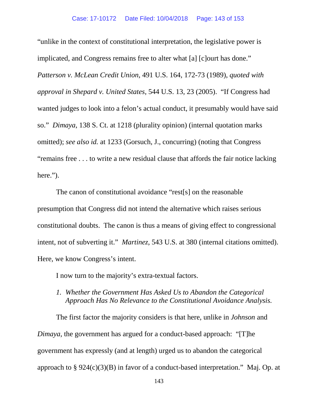"unlike in the context of constitutional interpretation, the legislative power is implicated, and Congress remains free to alter what [a] [c]ourt has done." *Patterson v. McLean Credit Union*, 491 U.S. 164, 172-73 (1989), *quoted with approval in Shepard v. United States*, 544 U.S. 13, 23 (2005). "If Congress had wanted judges to look into a felon's actual conduct, it presumably would have said so." *Dimaya*, 138 S. Ct. at 1218 (plurality opinion) (internal quotation marks omitted); *see also id.* at 1233 (Gorsuch, J., concurring) (noting that Congress "remains free . . . to write a new residual clause that affords the fair notice lacking here.").

The canon of constitutional avoidance "rest[s] on the reasonable presumption that Congress did not intend the alternative which raises serious constitutional doubts. The canon is thus a means of giving effect to congressional intent, not of subverting it." *Martinez*, 543 U.S. at 380 (internal citations omitted). Here, we know Congress's intent.

I now turn to the majority's extra-textual factors.

*1. Whether the Government Has Asked Us to Abandon the Categorical Approach Has No Relevance to the Constitutional Avoidance Analysis.*

The first factor the majority considers is that here, unlike in *Johnson* and *Dimaya*, the government has argued for a conduct-based approach: "[T]he government has expressly (and at length) urged us to abandon the categorical approach to  $\S 924(c)(3)(B)$  in favor of a conduct-based interpretation." Maj. Op. at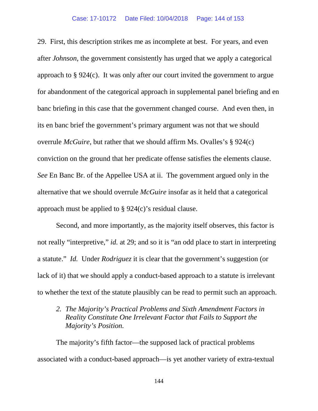29. First, this description strikes me as incomplete at best. For years, and even after *Johnson*, the government consistently has urged that we apply a categorical approach to § 924(c). It was only after our court invited the government to argue for abandonment of the categorical approach in supplemental panel briefing and en banc briefing in this case that the government changed course. And even then, in its en banc brief the government's primary argument was not that we should overrule *McGuire*, but rather that we should affirm Ms. Ovalles's § 924(c) conviction on the ground that her predicate offense satisfies the elements clause. *See* En Banc Br. of the Appellee USA at ii. The government argued only in the alternative that we should overrule *McGuire* insofar as it held that a categorical approach must be applied to § 924(c)'s residual clause.

Second, and more importantly, as the majority itself observes, this factor is not really "interpretive," *id.* at 29; and so it is "an odd place to start in interpreting a statute." *Id.* Under *Rodriguez* it is clear that the government's suggestion (or lack of it) that we should apply a conduct-based approach to a statute is irrelevant to whether the text of the statute plausibly can be read to permit such an approach.

*2. The Majority's Practical Problems and Sixth Amendment Factors in Reality Constitute One Irrelevant Factor that Fails to Support the Majority's Position.*

The majority's fifth factor—the supposed lack of practical problems associated with a conduct-based approach—is yet another variety of extra-textual

144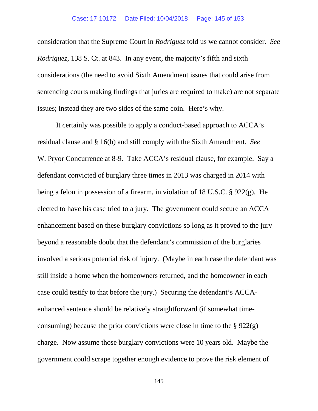consideration that the Supreme Court in *Rodriguez* told us we cannot consider. *See Rodriguez*, 138 S. Ct. at 843. In any event, the majority's fifth and sixth considerations (the need to avoid Sixth Amendment issues that could arise from sentencing courts making findings that juries are required to make) are not separate issues; instead they are two sides of the same coin. Here's why.

It certainly was possible to apply a conduct-based approach to ACCA's residual clause and § 16(b) and still comply with the Sixth Amendment. *See*  W. Pryor Concurrence at 8-9. Take ACCA's residual clause, for example. Say a defendant convicted of burglary three times in 2013 was charged in 2014 with being a felon in possession of a firearm, in violation of 18 U.S.C. § 922(g). He elected to have his case tried to a jury. The government could secure an ACCA enhancement based on these burglary convictions so long as it proved to the jury beyond a reasonable doubt that the defendant's commission of the burglaries involved a serious potential risk of injury. (Maybe in each case the defendant was still inside a home when the homeowners returned, and the homeowner in each case could testify to that before the jury.) Securing the defendant's ACCAenhanced sentence should be relatively straightforward (if somewhat timeconsuming) because the prior convictions were close in time to the  $\S 922(g)$ charge. Now assume those burglary convictions were 10 years old. Maybe the government could scrape together enough evidence to prove the risk element of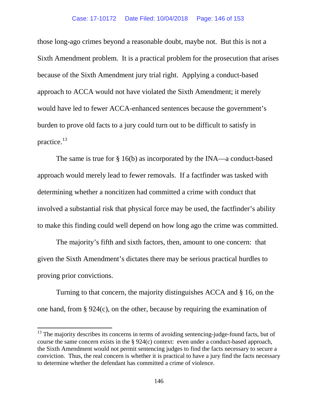## Case: 17-10172 Date Filed: 10/04/2018 Page: 146 of 153

those long-ago crimes beyond a reasonable doubt, maybe not. But this is not a Sixth Amendment problem. It is a practical problem for the prosecution that arises because of the Sixth Amendment jury trial right. Applying a conduct-based approach to ACCA would not have violated the Sixth Amendment; it merely would have led to fewer ACCA-enhanced sentences because the government's burden to prove old facts to a jury could turn out to be difficult to satisfy in practice.[13](#page-145-0)

The same is true for § 16(b) as incorporated by the INA—a conduct-based approach would merely lead to fewer removals. If a factfinder was tasked with determining whether a noncitizen had committed a crime with conduct that involved a substantial risk that physical force may be used, the factfinder's ability to make this finding could well depend on how long ago the crime was committed.

The majority's fifth and sixth factors, then, amount to one concern: that given the Sixth Amendment's dictates there may be serious practical hurdles to proving prior convictions.

Turning to that concern, the majority distinguishes ACCA and § 16, on the one hand, from § 924(c), on the other, because by requiring the examination of

<span id="page-145-0"></span><sup>&</sup>lt;sup>13</sup> The majority describes its concerns in terms of avoiding sentencing-judge-found facts, but of course the same concern exists in the  $\S 924(c)$  context: even under a conduct-based approach, the Sixth Amendment would not permit sentencing judges to find the facts necessary to secure a conviction. Thus, the real concern is whether it is practical to have a jury find the facts necessary to determine whether the defendant has committed a crime of violence.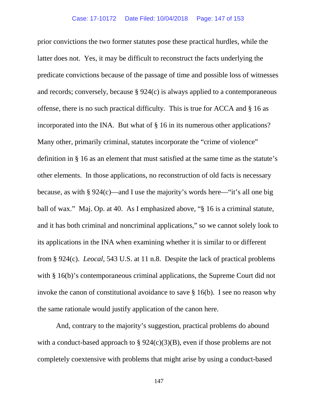prior convictions the two former statutes pose these practical hurdles, while the latter does not. Yes, it may be difficult to reconstruct the facts underlying the predicate convictions because of the passage of time and possible loss of witnesses and records; conversely, because § 924(c) is always applied to a contemporaneous offense, there is no such practical difficulty. This is true for ACCA and § 16 as incorporated into the INA. But what of § 16 in its numerous other applications? Many other, primarily criminal, statutes incorporate the "crime of violence" definition in § 16 as an element that must satisfied at the same time as the statute's other elements. In those applications, no reconstruction of old facts is necessary because, as with § 924(c)—and I use the majority's words here—"it's all one big ball of wax." Maj. Op. at 40. As I emphasized above, "§ 16 is a criminal statute, and it has both criminal and noncriminal applications," so we cannot solely look to its applications in the INA when examining whether it is similar to or different from § 924(c). *Leocal*, 543 U.S. at 11 n.8. Despite the lack of practical problems with § 16(b)'s contemporaneous criminal applications, the Supreme Court did not invoke the canon of constitutional avoidance to save § 16(b). I see no reason why the same rationale would justify application of the canon here.

And, contrary to the majority's suggestion, practical problems do abound with a conduct-based approach to  $\S 924(c)(3)(B)$ , even if those problems are not completely coextensive with problems that might arise by using a conduct-based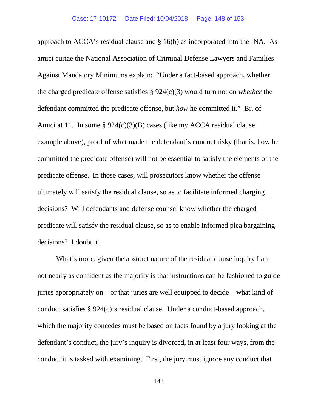approach to ACCA's residual clause and § 16(b) as incorporated into the INA. As amici curiae the National Association of Criminal Defense Lawyers and Families Against Mandatory Minimums explain: "Under a fact-based approach, whether the charged predicate offense satisfies § 924(c)(3) would turn not on *whether* the defendant committed the predicate offense, but *how* he committed it." Br. of Amici at 11. In some § 924(c)(3)(B) cases (like my ACCA residual clause example above), proof of what made the defendant's conduct risky (that is, how he committed the predicate offense) will not be essential to satisfy the elements of the predicate offense. In those cases, will prosecutors know whether the offense ultimately will satisfy the residual clause, so as to facilitate informed charging decisions? Will defendants and defense counsel know whether the charged predicate will satisfy the residual clause, so as to enable informed plea bargaining decisions? I doubt it.

What's more, given the abstract nature of the residual clause inquiry I am not nearly as confident as the majority is that instructions can be fashioned to guide juries appropriately on—or that juries are well equipped to decide—what kind of conduct satisfies § 924(c)'s residual clause. Under a conduct-based approach, which the majority concedes must be based on facts found by a jury looking at the defendant's conduct, the jury's inquiry is divorced, in at least four ways, from the conduct it is tasked with examining. First, the jury must ignore any conduct that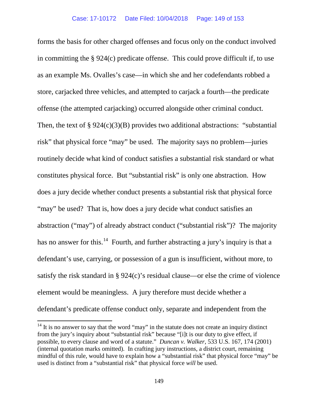forms the basis for other charged offenses and focus only on the conduct involved in committing the § 924(c) predicate offense. This could prove difficult if, to use as an example Ms. Ovalles's case—in which she and her codefendants robbed a store, carjacked three vehicles, and attempted to carjack a fourth—the predicate offense (the attempted carjacking) occurred alongside other criminal conduct. Then, the text of  $\S 924(c)(3)(B)$  provides two additional abstractions: "substantial risk" that physical force "may" be used. The majority says no problem—juries routinely decide what kind of conduct satisfies a substantial risk standard or what constitutes physical force. But "substantial risk" is only one abstraction. How does a jury decide whether conduct presents a substantial risk that physical force "may" be used? That is, how does a jury decide what conduct satisfies an abstraction ("may") of already abstract conduct ("substantial risk")? The majority has no answer for this.<sup>[14](#page-148-0)</sup> Fourth, and further abstracting a jury's inquiry is that a defendant's use, carrying, or possession of a gun is insufficient, without more, to satisfy the risk standard in § 924(c)'s residual clause—or else the crime of violence element would be meaningless. A jury therefore must decide whether a defendant's predicate offense conduct only, separate and independent from the

<span id="page-148-0"></span> $14$  It is no answer to say that the word "may" in the statute does not create an inquiry distinct from the jury's inquiry about "substantial risk" because "[i]t is our duty to give effect, if possible, to every clause and word of a statute." *Duncan v. Walker*, 533 U.S. 167, 174 (2001) (internal quotation marks omitted). In crafting jury instructions, a district court, remaining mindful of this rule, would have to explain how a "substantial risk" that physical force "may" be used is distinct from a "substantial risk" that physical force *will* be used.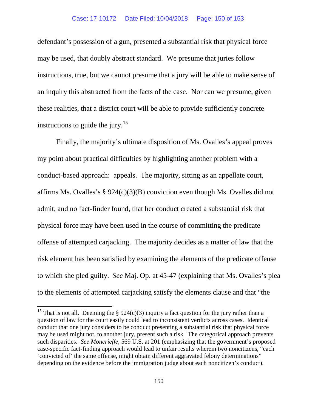defendant's possession of a gun, presented a substantial risk that physical force may be used, that doubly abstract standard. We presume that juries follow instructions, true, but we cannot presume that a jury will be able to make sense of an inquiry this abstracted from the facts of the case. Nor can we presume, given these realities, that a district court will be able to provide sufficiently concrete instructions to guide the jury.<sup>[15](#page-149-0)</sup>

Finally, the majority's ultimate disposition of Ms. Ovalles's appeal proves my point about practical difficulties by highlighting another problem with a conduct-based approach: appeals. The majority, sitting as an appellate court, affirms Ms. Ovalles's § 924(c)(3)(B) conviction even though Ms. Ovalles did not admit, and no fact-finder found, that her conduct created a substantial risk that physical force may have been used in the course of committing the predicate offense of attempted carjacking. The majority decides as a matter of law that the risk element has been satisfied by examining the elements of the predicate offense to which she pled guilty. *See* Maj. Op. at 45-47 (explaining that Ms. Ovalles's plea to the elements of attempted carjacking satisfy the elements clause and that "the

<span id="page-149-0"></span><sup>&</sup>lt;sup>15</sup> That is not all. Deeming the § 924(c)(3) inquiry a fact question for the jury rather than a question of law for the court easily could lead to inconsistent verdicts across cases. Identical conduct that one jury considers to be conduct presenting a substantial risk that physical force may be used might not, to another jury, present such a risk. The categorical approach prevents such disparities. *See Moncrieffe*, 569 U.S. at 201 (emphasizing that the government's proposed case-specific fact-finding approach would lead to unfair results wherein two noncitizens, "each 'convicted of' the same offense, might obtain different aggravated felony determinations" depending on the evidence before the immigration judge about each noncitizen's conduct).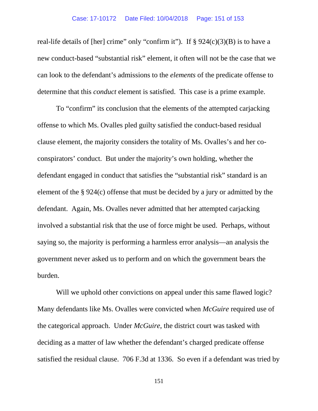real-life details of [her] crime" only "confirm it"). If  $\S 924(c)(3)(B)$  is to have a new conduct-based "substantial risk" element, it often will not be the case that we can look to the defendant's admissions to the *elements* of the predicate offense to determine that this *conduct* element is satisfied. This case is a prime example.

To "confirm" its conclusion that the elements of the attempted carjacking offense to which Ms. Ovalles pled guilty satisfied the conduct-based residual clause element, the majority considers the totality of Ms. Ovalles's and her coconspirators' conduct. But under the majority's own holding, whether the defendant engaged in conduct that satisfies the "substantial risk" standard is an element of the § 924(c) offense that must be decided by a jury or admitted by the defendant. Again, Ms. Ovalles never admitted that her attempted carjacking involved a substantial risk that the use of force might be used. Perhaps, without saying so, the majority is performing a harmless error analysis—an analysis the government never asked us to perform and on which the government bears the burden.

Will we uphold other convictions on appeal under this same flawed logic? Many defendants like Ms. Ovalles were convicted when *McGuire* required use of the categorical approach. Under *McGuire*, the district court was tasked with deciding as a matter of law whether the defendant's charged predicate offense satisfied the residual clause. 706 F.3d at 1336. So even if a defendant was tried by

151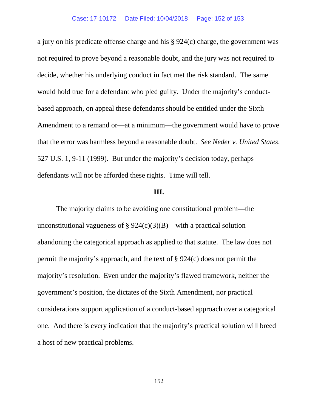a jury on his predicate offense charge and his § 924(c) charge, the government was not required to prove beyond a reasonable doubt, and the jury was not required to decide, whether his underlying conduct in fact met the risk standard. The same would hold true for a defendant who pled guilty. Under the majority's conductbased approach, on appeal these defendants should be entitled under the Sixth Amendment to a remand or—at a minimum—the government would have to prove that the error was harmless beyond a reasonable doubt. *See Neder v. United States*, 527 U.S. 1, 9-11 (1999). But under the majority's decision today, perhaps defendants will not be afforded these rights. Time will tell.

## **III.**

The majority claims to be avoiding one constitutional problem—the unconstitutional vagueness of  $\S 924(c)(3)(B)$ —with a practical solution abandoning the categorical approach as applied to that statute. The law does not permit the majority's approach, and the text of § 924(c) does not permit the majority's resolution. Even under the majority's flawed framework, neither the government's position, the dictates of the Sixth Amendment, nor practical considerations support application of a conduct-based approach over a categorical one. And there is every indication that the majority's practical solution will breed a host of new practical problems.